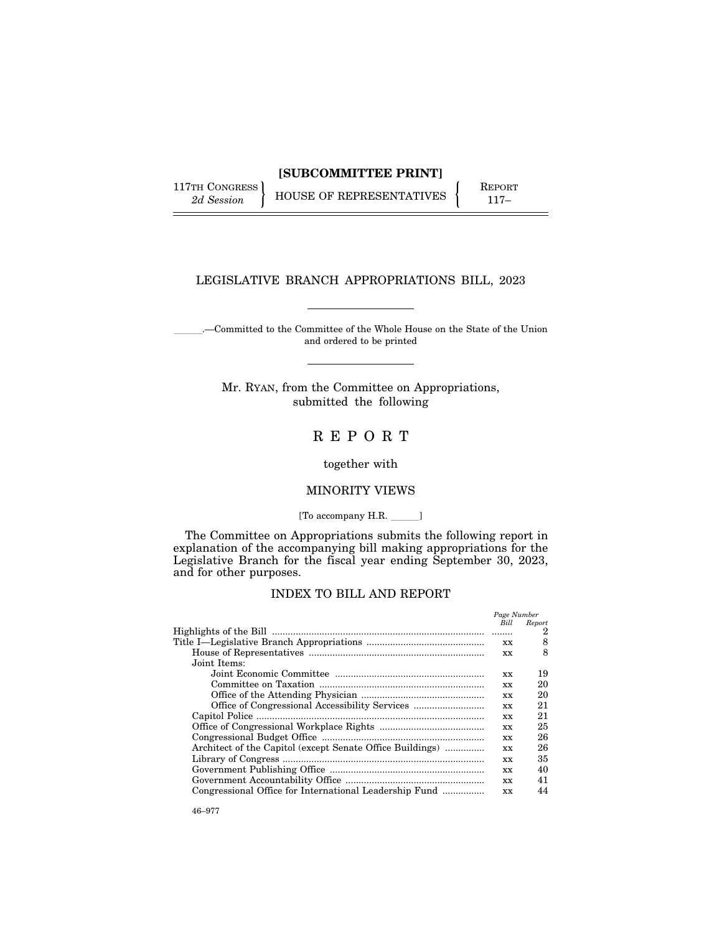$\left.\begin{array}{cc} \text{117TH CONGRESS} \\ \text{2d Session} \end{array}\right\} \text{ HOUSE OF REPRESENTATIVES } \left\{ \begin{array}{cc} \text{REPORT} \\ \text{117}- \end{array}\right.$ 

# LEGISLATIVE BRANCH APPROPRIATIONS BILL, 2023

.-Committed to the Committee of the Whole House on the State of the Union and ordered to be printed

Mr. RYAN, from the Committee on Appropriations, submitted the following

# R E P O R T

together with

# MINORITY VIEWS

[To accompany H.R.  $\_\_$ ]

The Committee on Appropriations submits the following report in explanation of the accompanying bill making appropriations for the Legislative Branch for the fiscal year ending September 30, 2023, and for other purposes.

# INDEX TO BILL AND REPORT

|                                                           | Page Number |        |
|-----------------------------------------------------------|-------------|--------|
|                                                           | Bill        | Report |
|                                                           |             | 2      |
|                                                           | XX          | 8      |
|                                                           | <b>XX</b>   | 8      |
| Joint Items:                                              |             |        |
|                                                           | <b>XX</b>   | 19     |
|                                                           | <b>XX</b>   | 20     |
|                                                           | <b>XX</b>   | 20     |
|                                                           | <b>XX</b>   | 21     |
|                                                           | <b>XX</b>   | 21     |
|                                                           | <b>XX</b>   | 25     |
|                                                           | <b>XX</b>   | 26     |
| Architect of the Capitol (except Senate Office Buildings) | <b>XX</b>   | 26     |
|                                                           | <b>XX</b>   | 35     |
|                                                           | <b>XX</b>   | 40     |
|                                                           | <b>XX</b>   | 41     |
| Congressional Office for International Leadership Fund    | XX          | 44     |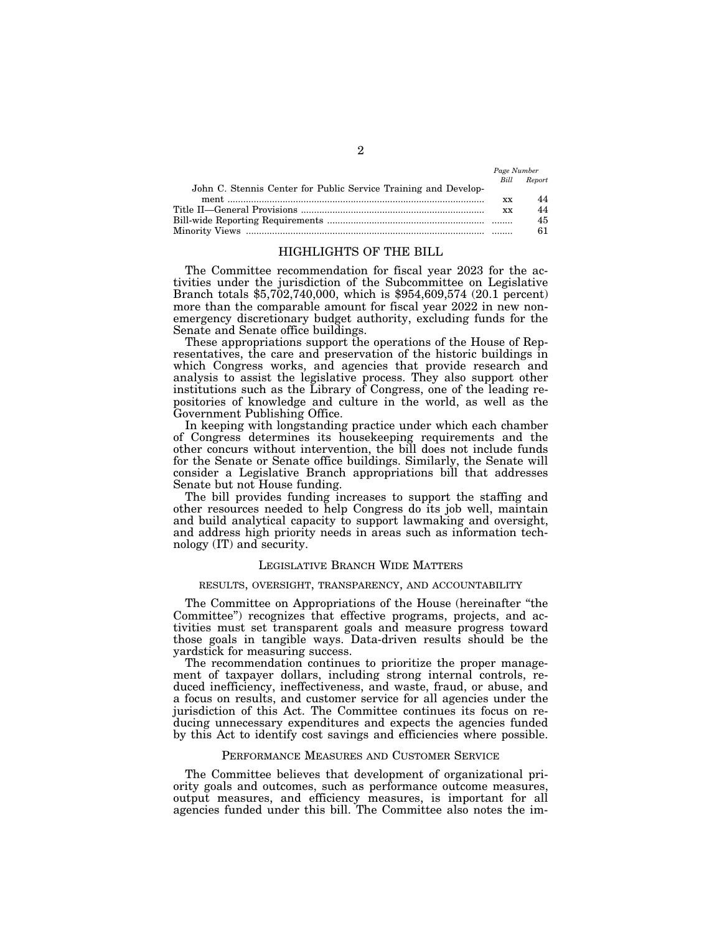|                                                                 |           | $1 \text{ G} \subset 11 \text{ G} \cup 10 \text{ G}$ |
|-----------------------------------------------------------------|-----------|------------------------------------------------------|
|                                                                 | Bill      | Report                                               |
| John C. Stennis Center for Public Service Training and Develop- |           |                                                      |
|                                                                 | XX        | 44                                                   |
|                                                                 | <b>XX</b> | 44                                                   |
|                                                                 |           | 45                                                   |
|                                                                 |           | 61                                                   |

# HIGHLIGHTS OF THE BILL

The Committee recommendation for fiscal year 2023 for the activities under the jurisdiction of the Subcommittee on Legislative Branch totals \$5,702,740,000, which is \$954,609,574 (20.1 percent) more than the comparable amount for fiscal year 2022 in new nonemergency discretionary budget authority, excluding funds for the Senate and Senate office buildings.

These appropriations support the operations of the House of Representatives, the care and preservation of the historic buildings in which Congress works, and agencies that provide research and analysis to assist the legislative process. They also support other institutions such as the Library of Congress, one of the leading repositories of knowledge and culture in the world, as well as the Government Publishing Office.

In keeping with longstanding practice under which each chamber of Congress determines its housekeeping requirements and the other concurs without intervention, the bill does not include funds for the Senate or Senate office buildings. Similarly, the Senate will consider a Legislative Branch appropriations bill that addresses Senate but not House funding.

The bill provides funding increases to support the staffing and other resources needed to help Congress do its job well, maintain and build analytical capacity to support lawmaking and oversight, and address high priority needs in areas such as information technology (IT) and security.

### LEGISLATIVE BRANCH WIDE MATTERS

# RESULTS, OVERSIGHT, TRANSPARENCY, AND ACCOUNTABILITY

The Committee on Appropriations of the House (hereinafter ''the Committee'') recognizes that effective programs, projects, and activities must set transparent goals and measure progress toward those goals in tangible ways. Data-driven results should be the yardstick for measuring success.

The recommendation continues to prioritize the proper management of taxpayer dollars, including strong internal controls, reduced inefficiency, ineffectiveness, and waste, fraud, or abuse, and a focus on results, and customer service for all agencies under the jurisdiction of this Act. The Committee continues its focus on reducing unnecessary expenditures and expects the agencies funded by this Act to identify cost savings and efficiencies where possible.

### PERFORMANCE MEASURES AND CUSTOMER SERVICE

The Committee believes that development of organizational priority goals and outcomes, such as performance outcome measures, output measures, and efficiency measures, is important for all agencies funded under this bill. The Committee also notes the im-

*Page Number*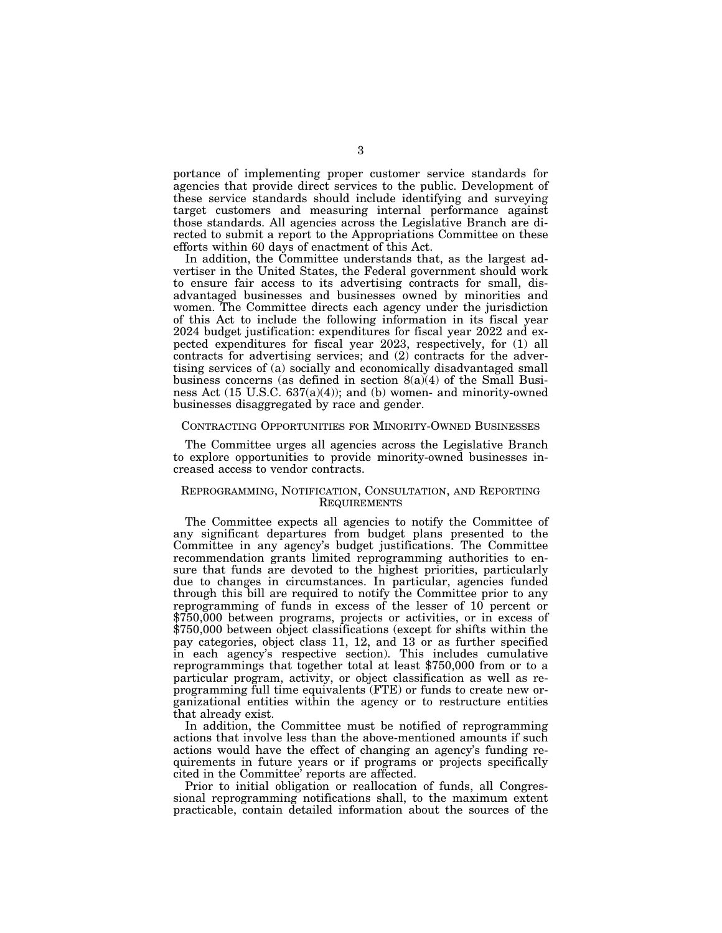portance of implementing proper customer service standards for agencies that provide direct services to the public. Development of these service standards should include identifying and surveying target customers and measuring internal performance against those standards. All agencies across the Legislative Branch are directed to submit a report to the Appropriations Committee on these efforts within 60 days of enactment of this Act.

In addition, the Committee understands that, as the largest advertiser in the United States, the Federal government should work to ensure fair access to its advertising contracts for small, disadvantaged businesses and businesses owned by minorities and women. The Committee directs each agency under the jurisdiction of this Act to include the following information in its fiscal year 2024 budget justification: expenditures for fiscal year 2022 and expected expenditures for fiscal year 2023, respectively, for (1) all contracts for advertising services; and (2) contracts for the advertising services of (a) socially and economically disadvantaged small business concerns (as defined in section 8(a)(4) of the Small Business Act (15 U.S.C. 637(a)(4)); and (b) women- and minority-owned businesses disaggregated by race and gender.

# CONTRACTING OPPORTUNITIES FOR MINORITY-OWNED BUSINESSES

The Committee urges all agencies across the Legislative Branch to explore opportunities to provide minority-owned businesses increased access to vendor contracts.

# REPROGRAMMING, NOTIFICATION, CONSULTATION, AND REPORTING **REQUIREMENTS**

The Committee expects all agencies to notify the Committee of any significant departures from budget plans presented to the Committee in any agency's budget justifications. The Committee recommendation grants limited reprogramming authorities to ensure that funds are devoted to the highest priorities, particularly due to changes in circumstances. In particular, agencies funded through this bill are required to notify the Committee prior to any reprogramming of funds in excess of the lesser of 10 percent or \$750,000 between programs, projects or activities, or in excess of \$750,000 between object classifications (except for shifts within the pay categories, object class 11, 12, and 13 or as further specified in each agency's respective section). This includes cumulative reprogrammings that together total at least \$750,000 from or to a particular program, activity, or object classification as well as reprogramming full time equivalents (FTE) or funds to create new organizational entities within the agency or to restructure entities that already exist.

In addition, the Committee must be notified of reprogramming actions that involve less than the above-mentioned amounts if such actions would have the effect of changing an agency's funding requirements in future years or if programs or projects specifically cited in the Committee' reports are affected.

Prior to initial obligation or reallocation of funds, all Congressional reprogramming notifications shall, to the maximum extent practicable, contain detailed information about the sources of the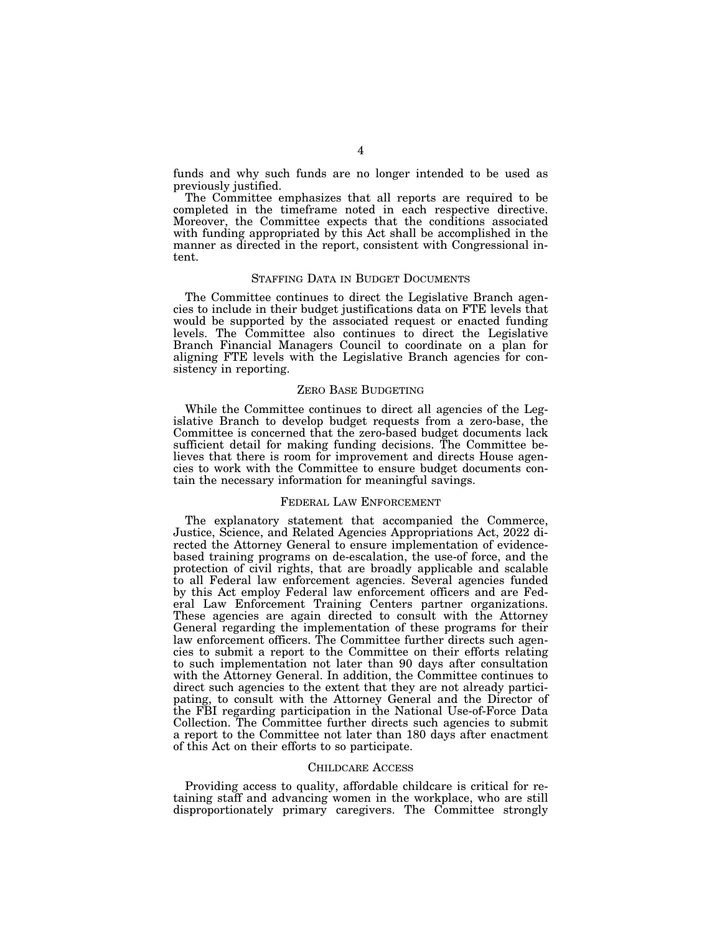funds and why such funds are no longer intended to be used as previously justified.

The Committee emphasizes that all reports are required to be completed in the timeframe noted in each respective directive. Moreover, the Committee expects that the conditions associated with funding appropriated by this Act shall be accomplished in the manner as directed in the report, consistent with Congressional intent.

## STAFFING DATA IN BUDGET DOCUMENTS

The Committee continues to direct the Legislative Branch agencies to include in their budget justifications data on FTE levels that would be supported by the associated request or enacted funding levels. The Committee also continues to direct the Legislative Branch Financial Managers Council to coordinate on a plan for aligning FTE levels with the Legislative Branch agencies for consistency in reporting.

# ZERO BASE BUDGETING

While the Committee continues to direct all agencies of the Legislative Branch to develop budget requests from a zero-base, the Committee is concerned that the zero-based budget documents lack sufficient detail for making funding decisions. The Committee believes that there is room for improvement and directs House agencies to work with the Committee to ensure budget documents contain the necessary information for meaningful savings.

### FEDERAL LAW ENFORCEMENT

The explanatory statement that accompanied the Commerce, Justice, Science, and Related Agencies Appropriations Act, 2022 directed the Attorney General to ensure implementation of evidencebased training programs on de-escalation, the use-of force, and the protection of civil rights, that are broadly applicable and scalable to all Federal law enforcement agencies. Several agencies funded by this Act employ Federal law enforcement officers and are Federal Law Enforcement Training Centers partner organizations. These agencies are again directed to consult with the Attorney General regarding the implementation of these programs for their law enforcement officers. The Committee further directs such agencies to submit a report to the Committee on their efforts relating to such implementation not later than 90 days after consultation with the Attorney General. In addition, the Committee continues to direct such agencies to the extent that they are not already participating, to consult with the Attorney General and the Director of the FBI regarding participation in the National Use-of-Force Data Collection. The Committee further directs such agencies to submit a report to the Committee not later than 180 days after enactment of this Act on their efforts to so participate.

### CHILDCARE ACCESS

Providing access to quality, affordable childcare is critical for retaining staff and advancing women in the workplace, who are still disproportionately primary caregivers. The Committee strongly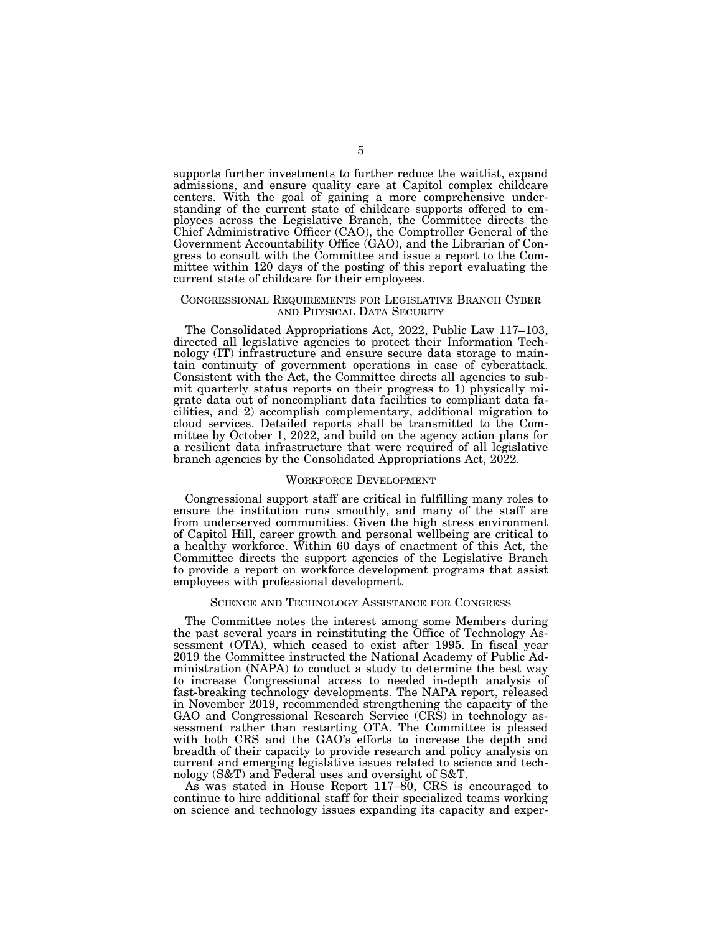supports further investments to further reduce the waitlist, expand admissions, and ensure quality care at Capitol complex childcare centers. With the goal of gaining a more comprehensive understanding of the current state of childcare supports offered to employees across the Legislative Branch, the Committee directs the Chief Administrative Officer (CAO), the Comptroller General of the Government Accountability Office (GAO), and the Librarian of Congress to consult with the Committee and issue a report to the Committee within 120 days of the posting of this report evaluating the current state of childcare for their employees.

# CONGRESSIONAL REQUIREMENTS FOR LEGISLATIVE BRANCH CYBER AND PHYSICAL DATA SECURITY

The Consolidated Appropriations Act, 2022, Public Law 117–103, directed all legislative agencies to protect their Information Technology (IT) infrastructure and ensure secure data storage to maintain continuity of government operations in case of cyberattack. Consistent with the Act, the Committee directs all agencies to submit quarterly status reports on their progress to 1) physically migrate data out of noncompliant data facilities to compliant data facilities, and 2) accomplish complementary, additional migration to cloud services. Detailed reports shall be transmitted to the Committee by October 1, 2022, and build on the agency action plans for a resilient data infrastructure that were required of all legislative branch agencies by the Consolidated Appropriations Act, 2022.

# WORKFORCE DEVELOPMENT

Congressional support staff are critical in fulfilling many roles to ensure the institution runs smoothly, and many of the staff are from underserved communities. Given the high stress environment of Capitol Hill, career growth and personal wellbeing are critical to a healthy workforce. Within 60 days of enactment of this Act, the Committee directs the support agencies of the Legislative Branch to provide a report on workforce development programs that assist employees with professional development.

# SCIENCE AND TECHNOLOGY ASSISTANCE FOR CONGRESS

The Committee notes the interest among some Members during the past several years in reinstituting the Office of Technology Assessment (OTA), which ceased to exist after 1995. In fiscal year 2019 the Committee instructed the National Academy of Public Administration (NAPA) to conduct a study to determine the best way to increase Congressional access to needed in-depth analysis of fast-breaking technology developments. The NAPA report, released in November 2019, recommended strengthening the capacity of the GAO and Congressional Research Service (CRS) in technology assessment rather than restarting OTA. The Committee is pleased with both CRS and the GAO's efforts to increase the depth and breadth of their capacity to provide research and policy analysis on current and emerging legislative issues related to science and technology (S&T) and Federal uses and oversight of S&T.

As was stated in House Report 117–80, CRS is encouraged to continue to hire additional staff for their specialized teams working on science and technology issues expanding its capacity and exper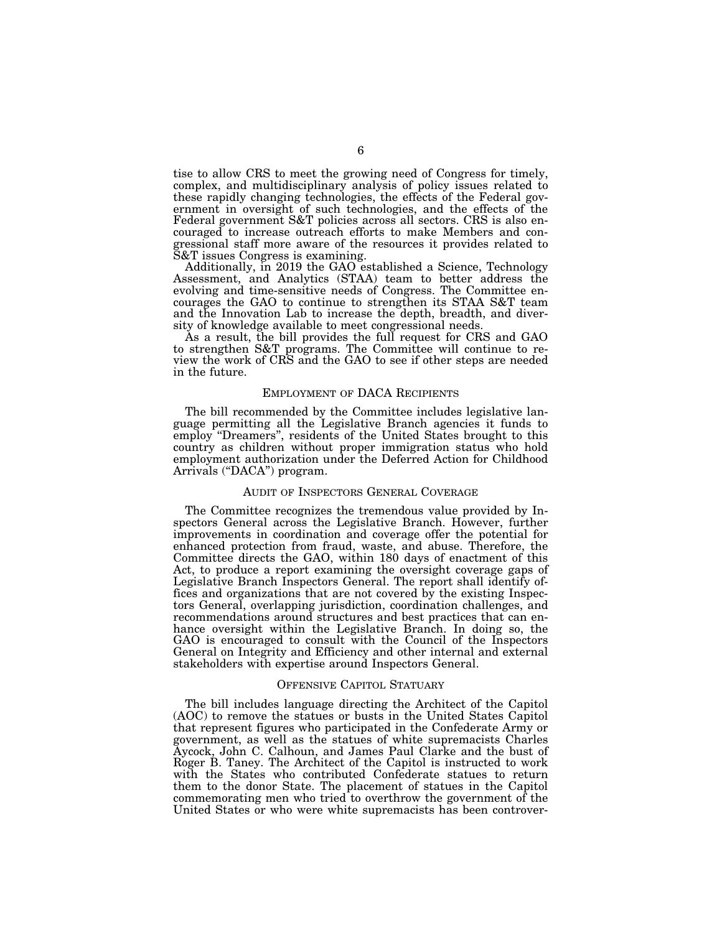tise to allow CRS to meet the growing need of Congress for timely, complex, and multidisciplinary analysis of policy issues related to these rapidly changing technologies, the effects of the Federal government in oversight of such technologies, and the effects of the Federal government S&T policies across all sectors. CRS is also encouraged to increase outreach efforts to make Members and congressional staff more aware of the resources it provides related to S&T issues Congress is examining.

Additionally, in 2019 the GAO established a Science, Technology Assessment, and Analytics (STAA) team to better address the evolving and time-sensitive needs of Congress. The Committee encourages the GAO to continue to strengthen its STAA S&T team and the Innovation Lab to increase the depth, breadth, and diversity of knowledge available to meet congressional needs.

As a result, the bill provides the full request for CRS and GAO to strengthen S&T programs. The Committee will continue to review the work of CRS and the GAO to see if other steps are needed in the future.

# EMPLOYMENT OF DACA RECIPIENTS

The bill recommended by the Committee includes legislative language permitting all the Legislative Branch agencies it funds to employ ''Dreamers'', residents of the United States brought to this country as children without proper immigration status who hold employment authorization under the Deferred Action for Childhood Arrivals (''DACA'') program.

# AUDIT OF INSPECTORS GENERAL COVERAGE

The Committee recognizes the tremendous value provided by Inspectors General across the Legislative Branch. However, further improvements in coordination and coverage offer the potential for enhanced protection from fraud, waste, and abuse. Therefore, the Committee directs the GAO, within 180 days of enactment of this Act, to produce a report examining the oversight coverage gaps of Legislative Branch Inspectors General. The report shall identify offices and organizations that are not covered by the existing Inspectors General, overlapping jurisdiction, coordination challenges, and recommendations around structures and best practices that can enhance oversight within the Legislative Branch. In doing so, the GAO is encouraged to consult with the Council of the Inspectors General on Integrity and Efficiency and other internal and external stakeholders with expertise around Inspectors General.

### OFFENSIVE CAPITOL STATUARY

The bill includes language directing the Architect of the Capitol (AOC) to remove the statues or busts in the United States Capitol that represent figures who participated in the Confederate Army or government, as well as the statues of white supremacists Charles Aycock, John C. Calhoun, and James Paul Clarke and the bust of Roger B. Taney. The Architect of the Capitol is instructed to work with the States who contributed Confederate statues to return them to the donor State. The placement of statues in the Capitol commemorating men who tried to overthrow the government of the United States or who were white supremacists has been controver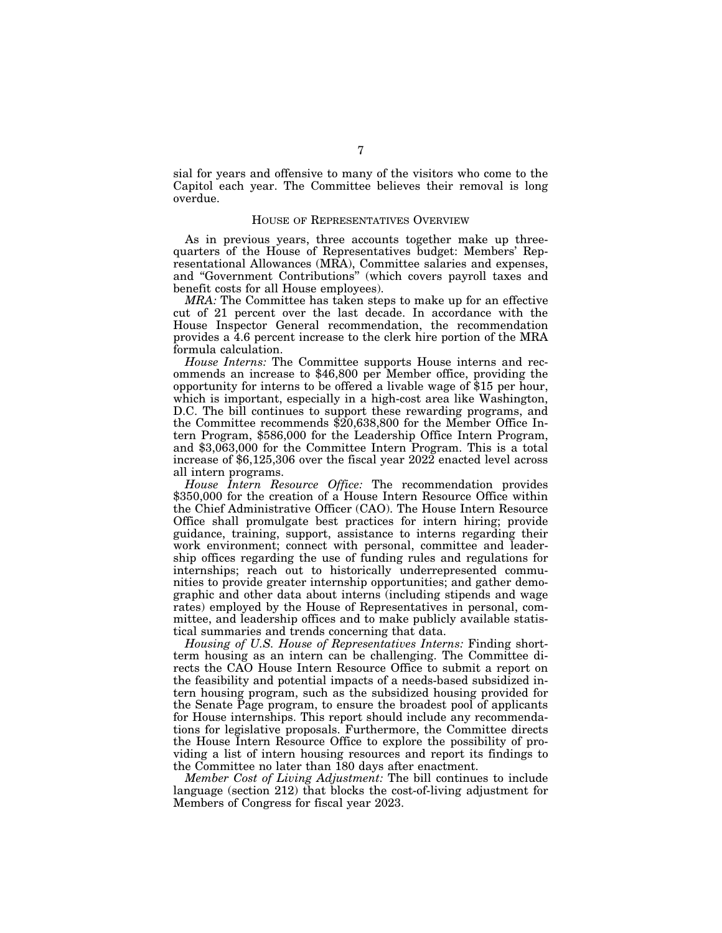sial for years and offensive to many of the visitors who come to the Capitol each year. The Committee believes their removal is long overdue.

# HOUSE OF REPRESENTATIVES OVERVIEW

As in previous years, three accounts together make up threequarters of the House of Representatives budget: Members' Representational Allowances (MRA), Committee salaries and expenses, and ''Government Contributions'' (which covers payroll taxes and benefit costs for all House employees).

*MRA:* The Committee has taken steps to make up for an effective cut of 21 percent over the last decade. In accordance with the House Inspector General recommendation, the recommendation provides a 4.6 percent increase to the clerk hire portion of the MRA formula calculation.

*House Interns:* The Committee supports House interns and recommends an increase to \$46,800 per Member office, providing the opportunity for interns to be offered a livable wage of \$15 per hour, which is important, especially in a high-cost area like Washington, D.C. The bill continues to support these rewarding programs, and the Committee recommends \$20,638,800 for the Member Office Intern Program, \$586,000 for the Leadership Office Intern Program, and \$3,063,000 for the Committee Intern Program. This is a total increase of \$6,125,306 over the fiscal year 2022 enacted level across all intern programs.

*House Intern Resource Office:* The recommendation provides \$350,000 for the creation of a House Intern Resource Office within the Chief Administrative Officer (CAO). The House Intern Resource Office shall promulgate best practices for intern hiring; provide guidance, training, support, assistance to interns regarding their work environment; connect with personal, committee and leadership offices regarding the use of funding rules and regulations for internships; reach out to historically underrepresented communities to provide greater internship opportunities; and gather demographic and other data about interns (including stipends and wage rates) employed by the House of Representatives in personal, committee, and leadership offices and to make publicly available statistical summaries and trends concerning that data.

*Housing of U.S. House of Representatives Interns:* Finding shortterm housing as an intern can be challenging. The Committee directs the CAO House Intern Resource Office to submit a report on the feasibility and potential impacts of a needs-based subsidized intern housing program, such as the subsidized housing provided for the Senate Page program, to ensure the broadest pool of applicants for House internships. This report should include any recommendations for legislative proposals. Furthermore, the Committee directs the House Intern Resource Office to explore the possibility of providing a list of intern housing resources and report its findings to the Committee no later than 180 days after enactment.

*Member Cost of Living Adjustment:* The bill continues to include language (section 212) that blocks the cost-of-living adjustment for Members of Congress for fiscal year 2023.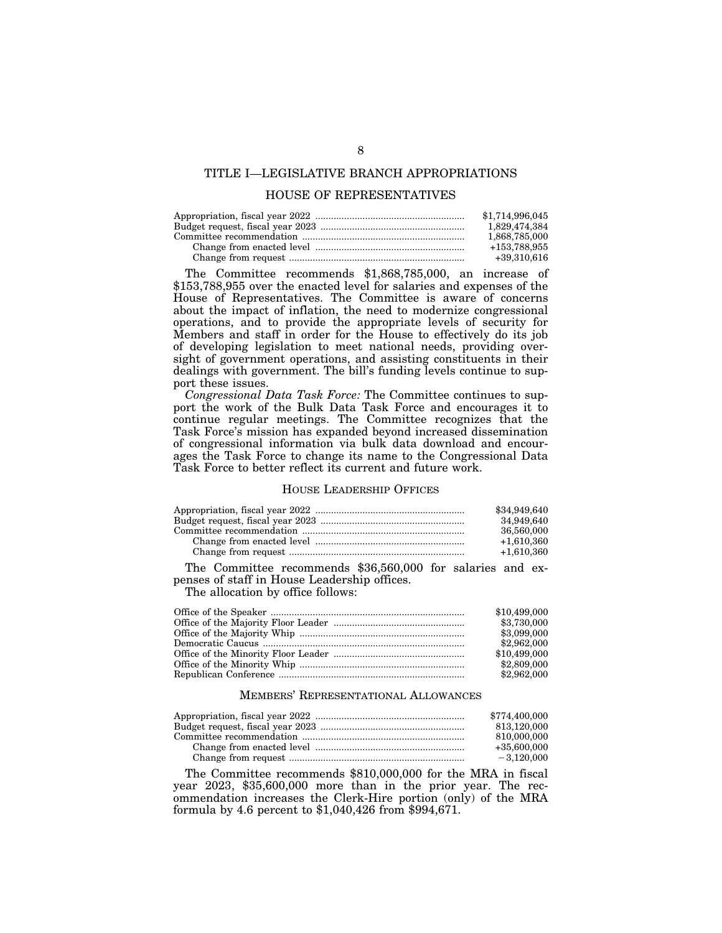# TITLE I—LEGISLATIVE BRANCH APPROPRIATIONS

# HOUSE OF REPRESENTATIVES

| \$1,714,996,045 |
|-----------------|
| 1.829.474.384   |
| 1.868.785.000   |
| +153.788.955    |
| $+39,310,616$   |

The Committee recommends \$1,868,785,000, an increase of \$153,788,955 over the enacted level for salaries and expenses of the House of Representatives. The Committee is aware of concerns about the impact of inflation, the need to modernize congressional operations, and to provide the appropriate levels of security for Members and staff in order for the House to effectively do its job of developing legislation to meet national needs, providing oversight of government operations, and assisting constituents in their dealings with government. The bill's funding levels continue to support these issues.

*Congressional Data Task Force:* The Committee continues to support the work of the Bulk Data Task Force and encourages it to continue regular meetings. The Committee recognizes that the Task Force's mission has expanded beyond increased dissemination of congressional information via bulk data download and encourages the Task Force to change its name to the Congressional Data Task Force to better reflect its current and future work.

# HOUSE LEADERSHIP OFFICES

| \$34,949,640 |
|--------------|
| 34.949.640   |
| 36,560,000   |
| $+1.610.360$ |
| $+1,610,360$ |

The Committee recommends \$36,560,000 for salaries and expenses of staff in House Leadership offices.

The allocation by office follows:

| \$10,499,000 |
|--------------|
| \$3,730,000  |
| \$3,099,000  |
| \$2,962,000  |
| \$10,499,000 |
| \$2,809,000  |
| \$2,962,000  |

### MEMBERS' REPRESENTATIONAL ALLOWANCES

| \$774,400,000 |
|---------------|
| 813.120.000   |
| 810,000,000   |
| $+35.600.000$ |
| $-3.120.000$  |

The Committee recommends \$810,000,000 for the MRA in fiscal year 2023, \$35,600,000 more than in the prior year. The recommendation increases the Clerk-Hire portion (only) of the MRA formula by 4.6 percent to \$1,040,426 from \$994,671.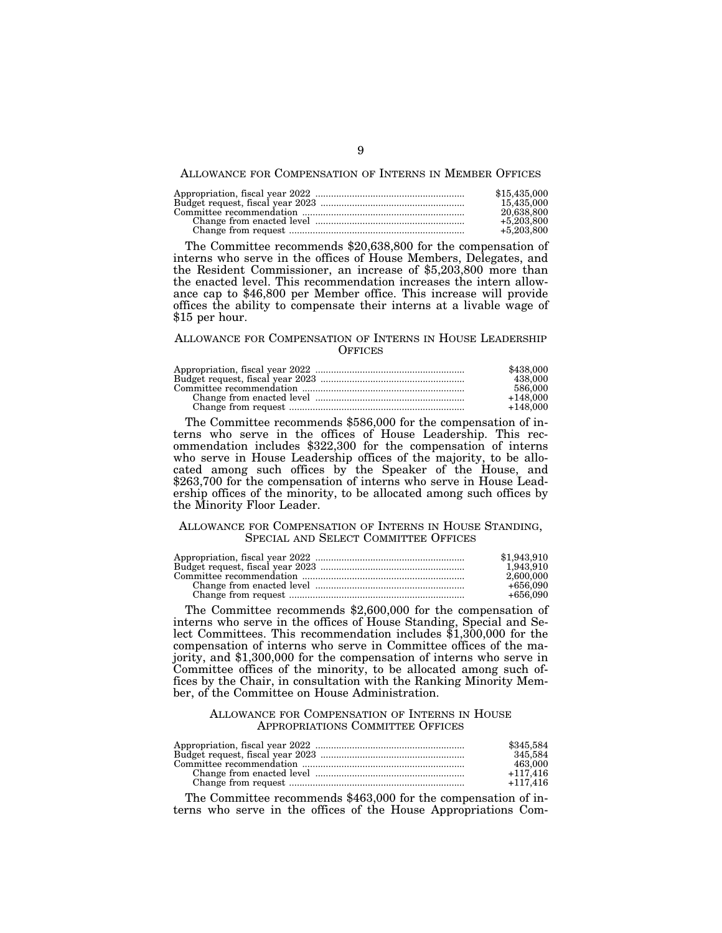ALLOWANCE FOR COMPENSATION OF INTERNS IN MEMBER OFFICES

| \$15,435,000 |
|--------------|
| 15.435.000   |
| 20.638,800   |
| $+5.203.800$ |
| $+5.203.800$ |

The Committee recommends \$20,638,800 for the compensation of interns who serve in the offices of House Members, Delegates, and the Resident Commissioner, an increase of \$5,203,800 more than the enacted level. This recommendation increases the intern allowance cap to \$46,800 per Member office. This increase will provide offices the ability to compensate their interns at a livable wage of \$15 per hour.

# ALLOWANCE FOR COMPENSATION OF INTERNS IN HOUSE LEADERSHIP **OFFICES**

| \$438,000  |
|------------|
| 438,000    |
| 586,000    |
| $+148.000$ |
| $+148.000$ |

The Committee recommends \$586,000 for the compensation of interns who serve in the offices of House Leadership. This recommendation includes \$322,300 for the compensation of interns who serve in House Leadership offices of the majority, to be allocated among such offices by the Speaker of the House, and \$263,700 for the compensation of interns who serve in House Leadership offices of the minority, to be allocated among such offices by the Minority Floor Leader.

# ALLOWANCE FOR COMPENSATION OF INTERNS IN HOUSE STANDING, SPECIAL AND SELECT COMMITTEE OFFICES

| \$1,943,910 |
|-------------|
| 1.943.910   |
| 2.600.000   |
| $+656.090$  |
| $+656.090$  |

The Committee recommends \$2,600,000 for the compensation of interns who serve in the offices of House Standing, Special and Select Committees. This recommendation includes \$1,300,000 for the compensation of interns who serve in Committee offices of the majority, and \$1,300,000 for the compensation of interns who serve in Committee offices of the minority, to be allocated among such offices by the Chair, in consultation with the Ranking Minority Member, of the Committee on House Administration.

# ALLOWANCE FOR COMPENSATION OF INTERNS IN HOUSE APPROPRIATIONS COMMITTEE OFFICES

| \$345,584  |
|------------|
| 345.584    |
| 463,000    |
| $+117.416$ |
| $+117.416$ |

The Committee recommends \$463,000 for the compensation of interns who serve in the offices of the House Appropriations Com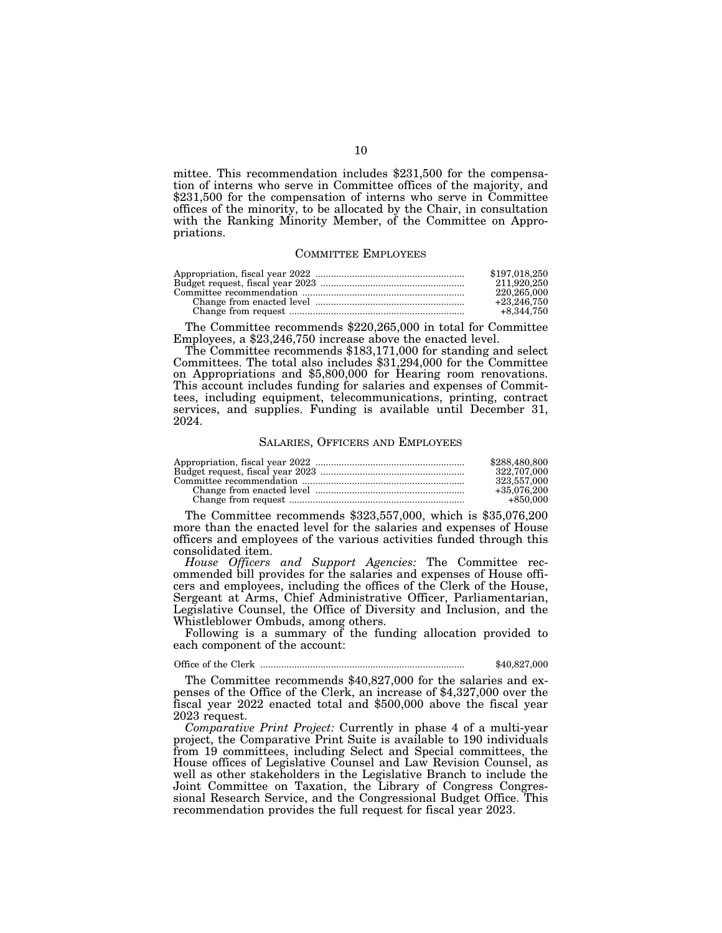mittee. This recommendation includes \$231,500 for the compensation of interns who serve in Committee offices of the majority, and \$231,500 for the compensation of interns who serve in Committee offices of the minority, to be allocated by the Chair, in consultation with the Ranking Minority Member, of the Committee on Appropriations.

### COMMITTEE EMPLOYEES

| \$197.018.250 |
|---------------|
| 211.920.250   |
| 220.265.000   |
| $+23.246.750$ |
| $+8.344.750$  |

The Committee recommends \$220,265,000 in total for Committee Employees, a \$23,246,750 increase above the enacted level.

The Committee recommends  $$183,171,000$  for standing and select Committees. The total also includes  $$31,294,000$  for the Committee on Appropriations and \$5,800,000 for Hearing room renovations. This account includes funding for salaries and expenses of Committees, including equipment, telecommunications, printing, contract services, and supplies. Funding is available until December 31, 2024.

### SALARIES, OFFICERS AND EMPLOYEES

| \$288,480,800 |
|---------------|
| 322.707.000   |
| 323,557,000   |
| $+35.076.200$ |
| $+850.000$    |

The Committee recommends \$323,557,000, which is \$35,076,200 more than the enacted level for the salaries and expenses of House officers and employees of the various activities funded through this consolidated item.

*House Officers and Support Agencies:* The Committee recommended bill provides for the salaries and expenses of House officers and employees, including the offices of the Clerk of the House, Sergeant at Arms, Chief Administrative Officer, Parliamentarian, Legislative Counsel, the Office of Diversity and Inclusion, and the Whistleblower Ombuds, among others.

Following is a summary of the funding allocation provided to each component of the account:

Office of the Clerk .............................................................................. \$40,827,000

The Committee recommends \$40,827,000 for the salaries and expenses of the Office of the Clerk, an increase of \$4,327,000 over the fiscal year 2022 enacted total and \$500,000 above the fiscal year 2023 request.

*Comparative Print Project:* Currently in phase 4 of a multi-year project, the Comparative Print Suite is available to 190 individuals from 19 committees, including Select and Special committees, the House offices of Legislative Counsel and Law Revision Counsel, as well as other stakeholders in the Legislative Branch to include the Joint Committee on Taxation, the Library of Congress Congressional Research Service, and the Congressional Budget Office. This recommendation provides the full request for fiscal year 2023.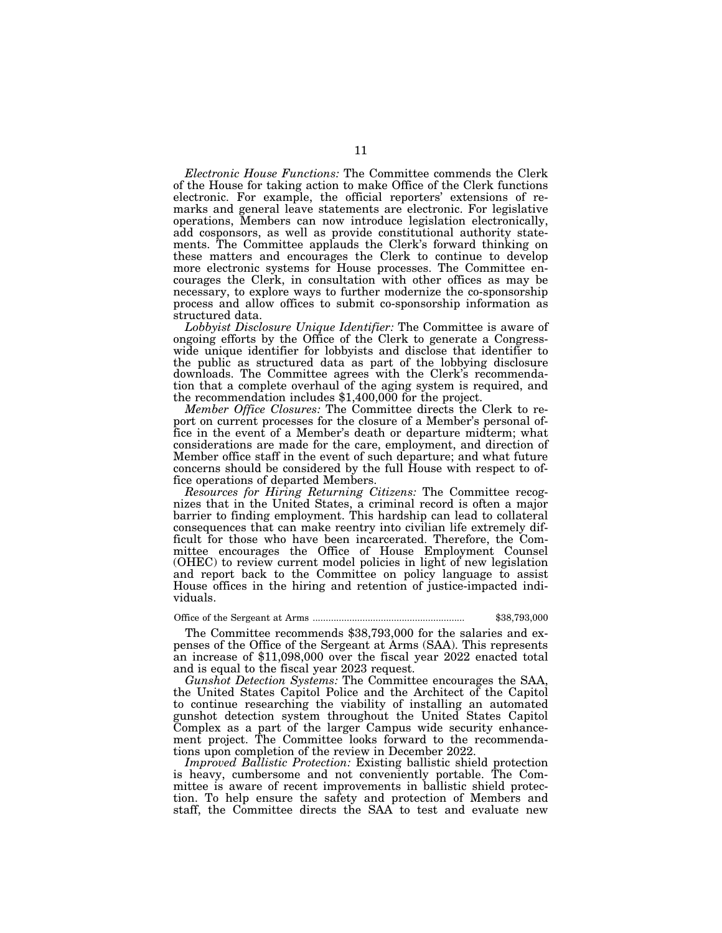*Electronic House Functions:* The Committee commends the Clerk of the House for taking action to make Office of the Clerk functions electronic. For example, the official reporters' extensions of remarks and general leave statements are electronic. For legislative operations, Members can now introduce legislation electronically, add cosponsors, as well as provide constitutional authority statements. The Committee applauds the Clerk's forward thinking on these matters and encourages the Clerk to continue to develop more electronic systems for House processes. The Committee encourages the Clerk, in consultation with other offices as may be necessary, to explore ways to further modernize the co-sponsorship process and allow offices to submit co-sponsorship information as structured data.

*Lobbyist Disclosure Unique Identifier:* The Committee is aware of ongoing efforts by the Office of the Clerk to generate a Congresswide unique identifier for lobbyists and disclose that identifier to the public as structured data as part of the lobbying disclosure downloads. The Committee agrees with the Clerk's recommendation that a complete overhaul of the aging system is required, and the recommendation includes \$1,400,000 for the project.

*Member Office Closures:* The Committee directs the Clerk to report on current processes for the closure of a Member's personal office in the event of a Member's death or departure midterm; what considerations are made for the care, employment, and direction of Member office staff in the event of such departure; and what future concerns should be considered by the full House with respect to office operations of departed Members.

*Resources for Hiring Returning Citizens:* The Committee recognizes that in the United States, a criminal record is often a major barrier to finding employment. This hardship can lead to collateral consequences that can make reentry into civilian life extremely difficult for those who have been incarcerated. Therefore, the Committee encourages the Office of House Employment Counsel (OHEC) to review current model policies in light of new legislation and report back to the Committee on policy language to assist House offices in the hiring and retention of justice-impacted individuals.

### Office of the Sergeant at Arms .......................................................... \$38,793,000

The Committee recommends \$38,793,000 for the salaries and expenses of the Office of the Sergeant at Arms (SAA). This represents an increase of \$11,098,000 over the fiscal year 2022 enacted total and is equal to the fiscal year 2023 request.

*Gunshot Detection Systems:* The Committee encourages the SAA, the United States Capitol Police and the Architect of the Capitol to continue researching the viability of installing an automated gunshot detection system throughout the United States Capitol Complex as a part of the larger Campus wide security enhancement project. The Committee looks forward to the recommendations upon completion of the review in December 2022.

*Improved Ballistic Protection:* Existing ballistic shield protection is heavy, cumbersome and not conveniently portable. The Committee is aware of recent improvements in ballistic shield protection. To help ensure the safety and protection of Members and staff, the Committee directs the SAA to test and evaluate new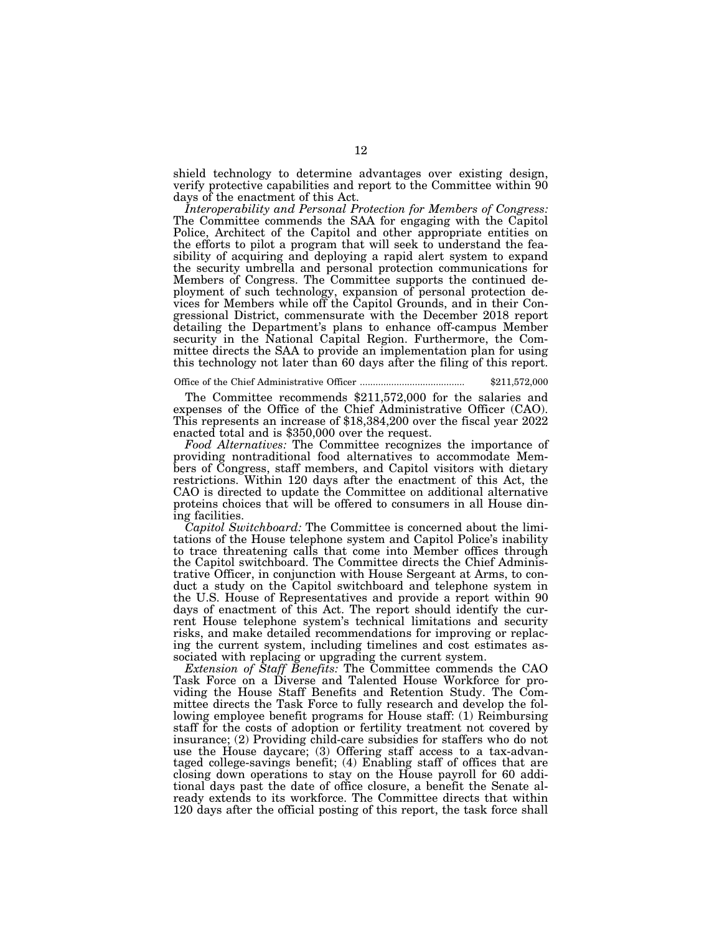shield technology to determine advantages over existing design, verify protective capabilities and report to the Committee within 90 days of the enactment of this Act.

*Interoperability and Personal Protection for Members of Congress:*  The Committee commends the SAA for engaging with the Capitol Police, Architect of the Capitol and other appropriate entities on the efforts to pilot a program that will seek to understand the feasibility of acquiring and deploying a rapid alert system to expand the security umbrella and personal protection communications for Members of Congress. The Committee supports the continued deployment of such technology, expansion of personal protection devices for Members while off the Capitol Grounds, and in their Congressional District, commensurate with the December 2018 report detailing the Department's plans to enhance off-campus Member security in the National Capital Region. Furthermore, the Committee directs the SAA to provide an implementation plan for using this technology not later than 60 days after the filing of this report.

Office of the Chief Administrative Officer ........................................ \$211,572,000

The Committee recommends \$211,572,000 for the salaries and expenses of the Office of the Chief Administrative Officer (CAO). This represents an increase of \$18,384,200 over the fiscal year 2022 enacted total and is \$350,000 over the request.

*Food Alternatives:* The Committee recognizes the importance of providing nontraditional food alternatives to accommodate Members of Congress, staff members, and Capitol visitors with dietary restrictions. Within 120 days after the enactment of this Act, the CAO is directed to update the Committee on additional alternative proteins choices that will be offered to consumers in all House dining facilities.

*Capitol Switchboard:* The Committee is concerned about the limitations of the House telephone system and Capitol Police's inability to trace threatening calls that come into Member offices through the Capitol switchboard. The Committee directs the Chief Administrative Officer, in conjunction with House Sergeant at Arms, to conduct a study on the Capitol switchboard and telephone system in the U.S. House of Representatives and provide a report within 90 days of enactment of this Act. The report should identify the current House telephone system's technical limitations and security risks, and make detailed recommendations for improving or replacing the current system, including timelines and cost estimates associated with replacing or upgrading the current system.

*Extension of Staff Benefits:* The Committee commends the CAO Task Force on a Diverse and Talented House Workforce for providing the House Staff Benefits and Retention Study. The Committee directs the Task Force to fully research and develop the following employee benefit programs for House staff: (1) Reimbursing staff for the costs of adoption or fertility treatment not covered by insurance; (2) Providing child-care subsidies for staffers who do not use the House daycare; (3) Offering staff access to a tax-advantaged college-savings benefit; (4) Enabling staff of offices that are closing down operations to stay on the House payroll for 60 additional days past the date of office closure, a benefit the Senate already extends to its workforce. The Committee directs that within 120 days after the official posting of this report, the task force shall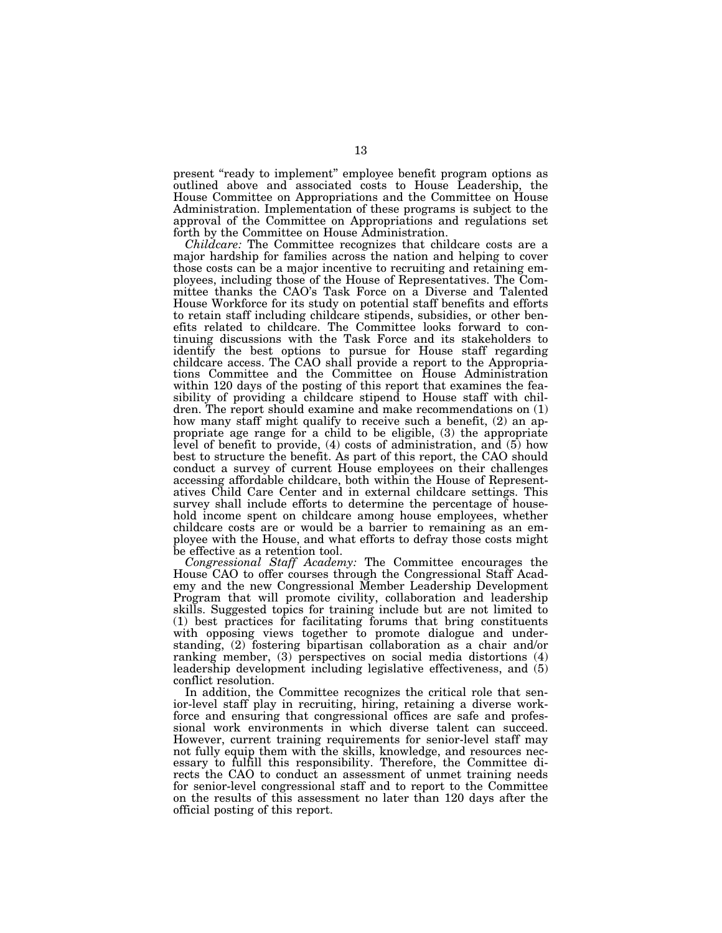present "ready to implement" employee benefit program options as outlined above and associated costs to House Leadership, the House Committee on Appropriations and the Committee on House Administration. Implementation of these programs is subject to the approval of the Committee on Appropriations and regulations set forth by the Committee on House Administration.

*Childcare:* The Committee recognizes that childcare costs are a major hardship for families across the nation and helping to cover those costs can be a major incentive to recruiting and retaining employees, including those of the House of Representatives. The Committee thanks the CAO's Task Force on a Diverse and Talented House Workforce for its study on potential staff benefits and efforts to retain staff including childcare stipends, subsidies, or other benefits related to childcare. The Committee looks forward to continuing discussions with the Task Force and its stakeholders to identify the best options to pursue for House staff regarding childcare access. The CAO shall provide a report to the Appropriations Committee and the Committee on House Administration within 120 days of the posting of this report that examines the feasibility of providing a childcare stipend to House staff with children. The report should examine and make recommendations on (1) how many staff might qualify to receive such a benefit, (2) an appropriate age range for a child to be eligible, (3) the appropriate level of benefit to provide, (4) costs of administration, and (5) how best to structure the benefit. As part of this report, the CAO should conduct a survey of current House employees on their challenges accessing affordable childcare, both within the House of Representatives Child Care Center and in external childcare settings. This survey shall include efforts to determine the percentage of household income spent on childcare among house employees, whether childcare costs are or would be a barrier to remaining as an employee with the House, and what efforts to defray those costs might be effective as a retention tool.

*Congressional Staff Academy:* The Committee encourages the House CAO to offer courses through the Congressional Staff Academy and the new Congressional Member Leadership Development Program that will promote civility, collaboration and leadership skills. Suggested topics for training include but are not limited to (1) best practices for facilitating forums that bring constituents with opposing views together to promote dialogue and understanding, (2) fostering bipartisan collaboration as a chair and/or ranking member, (3) perspectives on social media distortions (4) leadership development including legislative effectiveness, and (5) conflict resolution.

In addition, the Committee recognizes the critical role that senior-level staff play in recruiting, hiring, retaining a diverse workforce and ensuring that congressional offices are safe and professional work environments in which diverse talent can succeed. However, current training requirements for senior-level staff may not fully equip them with the skills, knowledge, and resources necessary to fulfill this responsibility. Therefore, the Committee directs the CAO to conduct an assessment of unmet training needs for senior-level congressional staff and to report to the Committee on the results of this assessment no later than 120 days after the official posting of this report.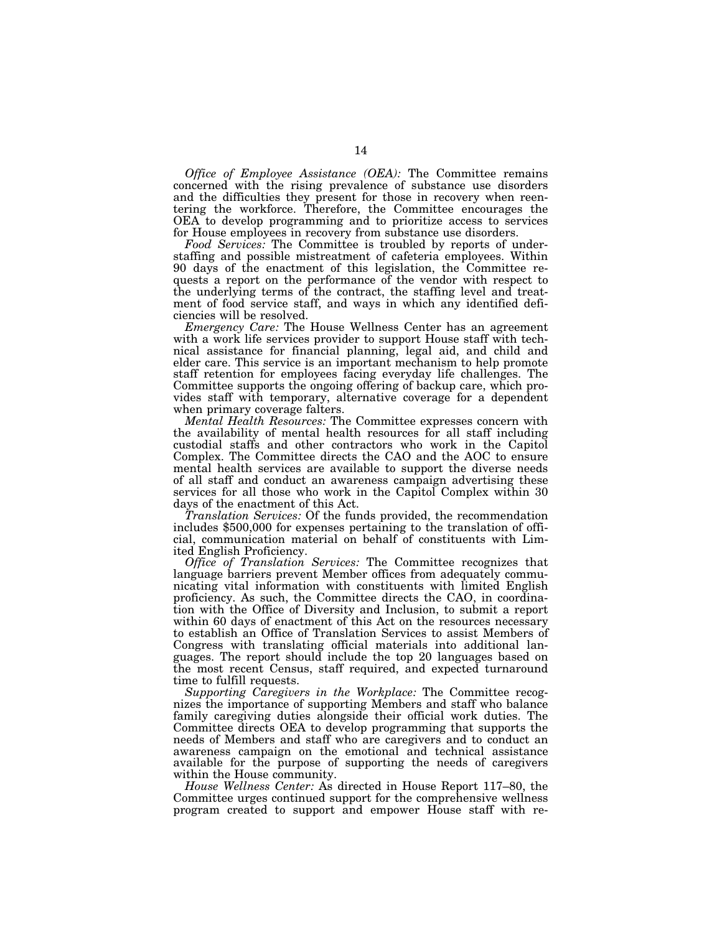*Office of Employee Assistance (OEA):* The Committee remains concerned with the rising prevalence of substance use disorders and the difficulties they present for those in recovery when reentering the workforce. Therefore, the Committee encourages the OEA to develop programming and to prioritize access to services for House employees in recovery from substance use disorders.

*Food Services:* The Committee is troubled by reports of understaffing and possible mistreatment of cafeteria employees. Within 90 days of the enactment of this legislation, the Committee requests a report on the performance of the vendor with respect to the underlying terms of the contract, the staffing level and treatment of food service staff, and ways in which any identified deficiencies will be resolved.

*Emergency Care:* The House Wellness Center has an agreement with a work life services provider to support House staff with technical assistance for financial planning, legal aid, and child and elder care. This service is an important mechanism to help promote staff retention for employees facing everyday life challenges. The Committee supports the ongoing offering of backup care, which provides staff with temporary, alternative coverage for a dependent when primary coverage falters.

*Mental Health Resources:* The Committee expresses concern with the availability of mental health resources for all staff including custodial staffs and other contractors who work in the Capitol Complex. The Committee directs the CAO and the AOC to ensure mental health services are available to support the diverse needs of all staff and conduct an awareness campaign advertising these services for all those who work in the Capitol Complex within 30 days of the enactment of this Act.

*Translation Services:* Of the funds provided, the recommendation includes \$500,000 for expenses pertaining to the translation of official, communication material on behalf of constituents with Limited English Proficiency.

*Office of Translation Services:* The Committee recognizes that language barriers prevent Member offices from adequately communicating vital information with constituents with limited English proficiency. As such, the Committee directs the CAO, in coordination with the Office of Diversity and Inclusion, to submit a report within 60 days of enactment of this Act on the resources necessary to establish an Office of Translation Services to assist Members of Congress with translating official materials into additional languages. The report should include the top 20 languages based on the most recent Census, staff required, and expected turnaround time to fulfill requests.

*Supporting Caregivers in the Workplace:* The Committee recognizes the importance of supporting Members and staff who balance family caregiving duties alongside their official work duties. The Committee directs OEA to develop programming that supports the needs of Members and staff who are caregivers and to conduct an awareness campaign on the emotional and technical assistance available for the purpose of supporting the needs of caregivers within the House community.

*House Wellness Center:* As directed in House Report 117–80, the Committee urges continued support for the comprehensive wellness program created to support and empower House staff with re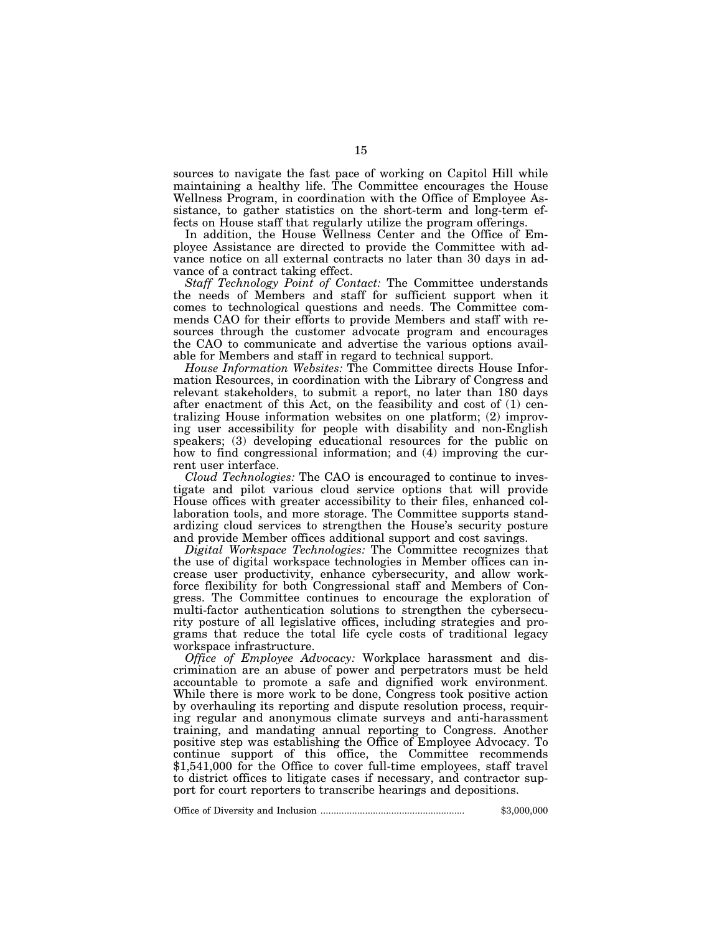sources to navigate the fast pace of working on Capitol Hill while maintaining a healthy life. The Committee encourages the House Wellness Program, in coordination with the Office of Employee Assistance, to gather statistics on the short-term and long-term effects on House staff that regularly utilize the program offerings.

In addition, the House Wellness Center and the Office of Employee Assistance are directed to provide the Committee with advance notice on all external contracts no later than 30 days in advance of a contract taking effect.

*Staff Technology Point of Contact:* The Committee understands the needs of Members and staff for sufficient support when it comes to technological questions and needs. The Committee commends CAO for their efforts to provide Members and staff with resources through the customer advocate program and encourages the CAO to communicate and advertise the various options available for Members and staff in regard to technical support.

*House Information Websites:* The Committee directs House Information Resources, in coordination with the Library of Congress and relevant stakeholders, to submit a report, no later than 180 days after enactment of this Act, on the feasibility and cost of (1) centralizing House information websites on one platform; (2) improving user accessibility for people with disability and non-English speakers; (3) developing educational resources for the public on how to find congressional information; and (4) improving the current user interface.

*Cloud Technologies:* The CAO is encouraged to continue to investigate and pilot various cloud service options that will provide House offices with greater accessibility to their files, enhanced collaboration tools, and more storage. The Committee supports standardizing cloud services to strengthen the House's security posture and provide Member offices additional support and cost savings.

*Digital Workspace Technologies:* The Committee recognizes that the use of digital workspace technologies in Member offices can increase user productivity, enhance cybersecurity, and allow workforce flexibility for both Congressional staff and Members of Congress. The Committee continues to encourage the exploration of multi-factor authentication solutions to strengthen the cybersecurity posture of all legislative offices, including strategies and programs that reduce the total life cycle costs of traditional legacy workspace infrastructure.

*Office of Employee Advocacy:* Workplace harassment and discrimination are an abuse of power and perpetrators must be held accountable to promote a safe and dignified work environment. While there is more work to be done, Congress took positive action by overhauling its reporting and dispute resolution process, requiring regular and anonymous climate surveys and anti-harassment training, and mandating annual reporting to Congress. Another positive step was establishing the Office of Employee Advocacy. To continue support of this office, the Committee recommends \$1,541,000 for the Office to cover full-time employees, staff travel to district offices to litigate cases if necessary, and contractor support for court reporters to transcribe hearings and depositions.

Office of Diversity and Inclusion ....................................................... \$3,000,000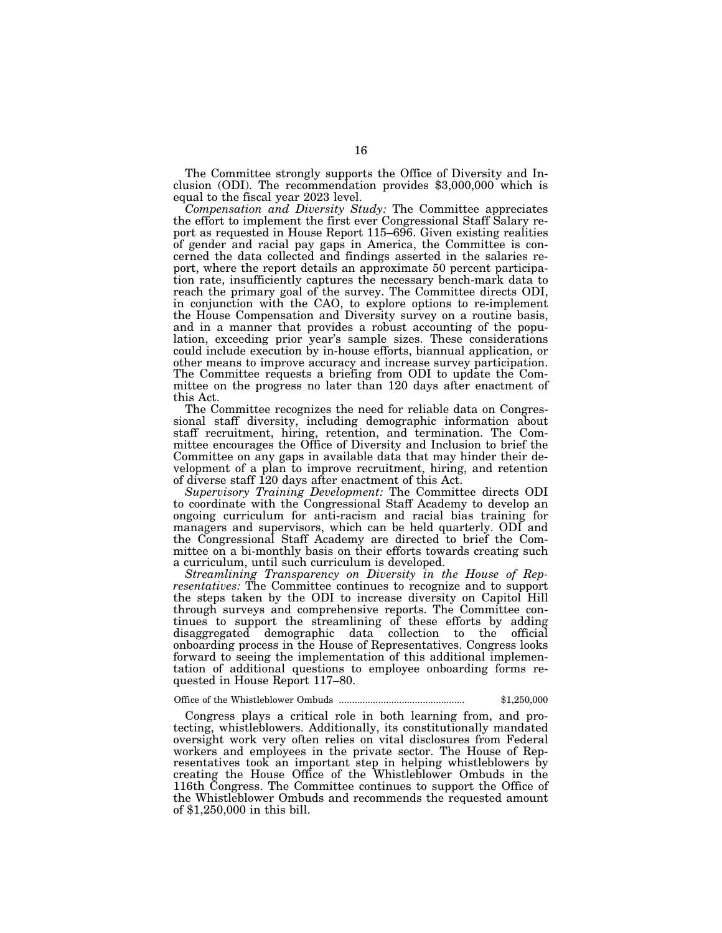The Committee strongly supports the Office of Diversity and Inclusion (ODI). The recommendation provides \$3,000,000 which is equal to the fiscal year 2023 level.

*Compensation and Diversity Study:* The Committee appreciates the effort to implement the first ever Congressional Staff Salary report as requested in House Report 115–696. Given existing realities of gender and racial pay gaps in America, the Committee is concerned the data collected and findings asserted in the salaries report, where the report details an approximate 50 percent participation rate, insufficiently captures the necessary bench-mark data to reach the primary goal of the survey. The Committee directs ODI, in conjunction with the CAO, to explore options to re-implement the House Compensation and Diversity survey on a routine basis, and in a manner that provides a robust accounting of the population, exceeding prior year's sample sizes. These considerations could include execution by in-house efforts, biannual application, or other means to improve accuracy and increase survey participation. The Committee requests a briefing from ODI to update the Committee on the progress no later than 120 days after enactment of this Act.

The Committee recognizes the need for reliable data on Congressional staff diversity, including demographic information about staff recruitment, hiring, retention, and termination. The Committee encourages the Office of Diversity and Inclusion to brief the Committee on any gaps in available data that may hinder their development of a plan to improve recruitment, hiring, and retention of diverse staff 120 days after enactment of this Act.

*Supervisory Training Development:* The Committee directs ODI to coordinate with the Congressional Staff Academy to develop an ongoing curriculum for anti-racism and racial bias training for managers and supervisors, which can be held quarterly. ODI and the Congressional Staff Academy are directed to brief the Committee on a bi-monthly basis on their efforts towards creating such a curriculum, until such curriculum is developed.

*Streamlining Transparency on Diversity in the House of Representatives:* The Committee continues to recognize and to support the steps taken by the ODI to increase diversity on Capitol Hill through surveys and comprehensive reports. The Committee continues to support the streamlining of these efforts by adding disaggregated demographic data collection to the official onboarding process in the House of Representatives. Congress looks forward to seeing the implementation of this additional implementation of additional questions to employee onboarding forms requested in House Report 117–80.

Office of the Whistleblower Ombuds ................................................ \$1,250,000

Congress plays a critical role in both learning from, and protecting, whistleblowers. Additionally, its constitutionally mandated oversight work very often relies on vital disclosures from Federal workers and employees in the private sector. The House of Representatives took an important step in helping whistleblowers by creating the House Office of the Whistleblower Ombuds in the 116th Congress. The Committee continues to support the Office of the Whistleblower Ombuds and recommends the requested amount of \$1,250,000 in this bill.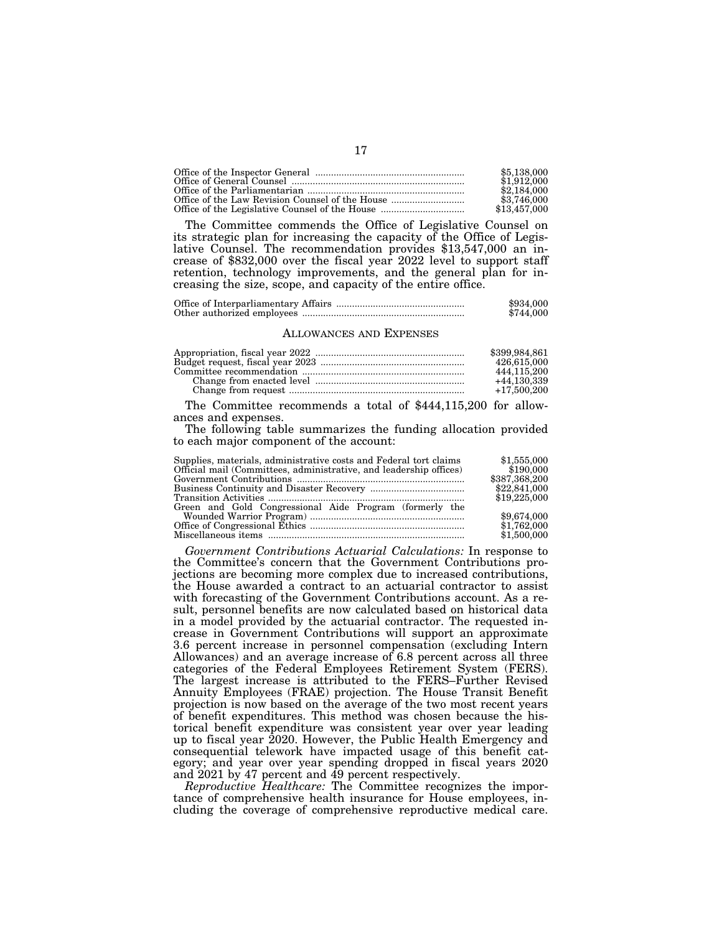|                                                 | \$5,138,000  |
|-------------------------------------------------|--------------|
|                                                 | \$1,912,000  |
|                                                 | \$2,184,000  |
| Office of the Law Revision Counsel of the House | \$3,746,000  |
| Office of the Legislative Counsel of the House  | \$13,457,000 |

The Committee commends the Office of Legislative Counsel on its strategic plan for increasing the capacity of the Office of Legislative Counsel. The recommendation provides \$13,547,000 an increase of \$832,000 over the fiscal year 2022 level to support staff retention, technology improvements, and the general plan for increasing the size, scope, and capacity of the entire office.

|  | \$934,000 |
|--|-----------|
|  | \$744,000 |

### ALLOWANCES AND EXPENSES

| \$399,984,861 |
|---------------|
| 426.615.000   |
| 444.115.200   |
| $+44.130.339$ |
| $+17.500.200$ |

The Committee recommends a total of \$444,115,200 for allowances and expenses.

The following table summarizes the funding allocation provided to each major component of the account:

| Supplies, materials, administrative costs and Federal tort claims  | \$1,555,000   |
|--------------------------------------------------------------------|---------------|
| Official mail (Committees, administrative, and leadership offices) | \$190,000     |
|                                                                    | \$387,368,200 |
|                                                                    | \$22,841,000  |
|                                                                    | \$19,225,000  |
| Green and Gold Congressional Aide Program (formerly the            |               |
|                                                                    | \$9,674,000   |
|                                                                    | \$1,762,000   |
|                                                                    | \$1,500,000   |

*Government Contributions Actuarial Calculations:* In response to the Committee's concern that the Government Contributions projections are becoming more complex due to increased contributions, the House awarded a contract to an actuarial contractor to assist with forecasting of the Government Contributions account. As a result, personnel benefits are now calculated based on historical data in a model provided by the actuarial contractor. The requested increase in Government Contributions will support an approximate 3.6 percent increase in personnel compensation (excluding Intern Allowances) and an average increase of 6.8 percent across all three categories of the Federal Employees Retirement System (FERS). The largest increase is attributed to the FERS–Further Revised Annuity Employees (FRAE) projection. The House Transit Benefit projection is now based on the average of the two most recent years of benefit expenditures. This method was chosen because the historical benefit expenditure was consistent year over year leading up to fiscal year 2020. However, the Public Health Emergency and consequential telework have impacted usage of this benefit category; and year over year spending dropped in fiscal years 2020 and 2021 by 47 percent and 49 percent respectively.

*Reproductive Healthcare:* The Committee recognizes the importance of comprehensive health insurance for House employees, including the coverage of comprehensive reproductive medical care.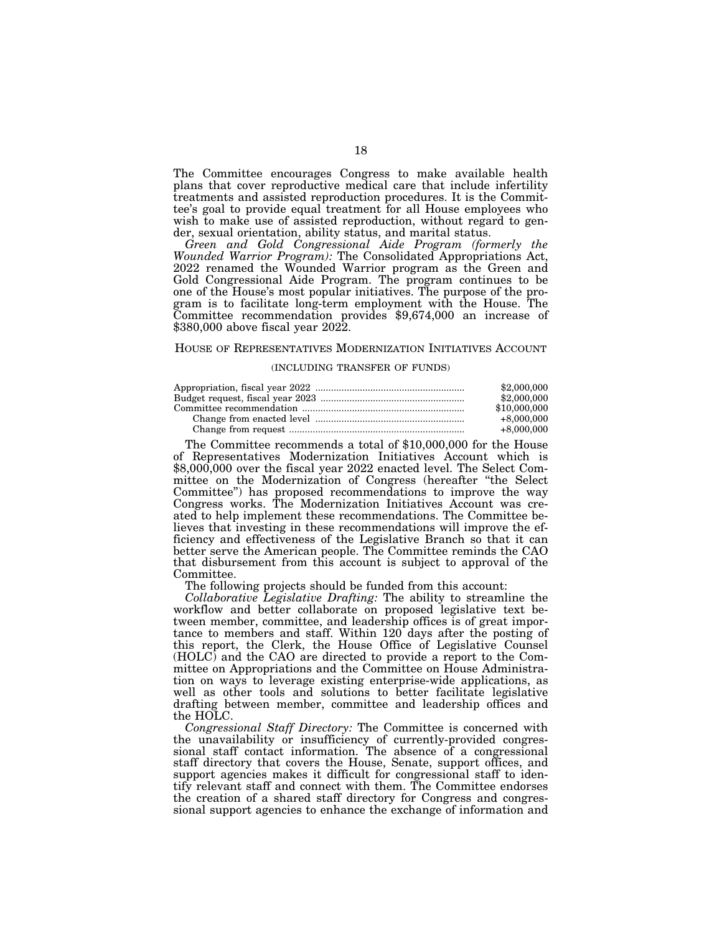The Committee encourages Congress to make available health plans that cover reproductive medical care that include infertility treatments and assisted reproduction procedures. It is the Committee's goal to provide equal treatment for all House employees who wish to make use of assisted reproduction, without regard to gender, sexual orientation, ability status, and marital status.

*Green and Gold Congressional Aide Program (formerly the Wounded Warrior Program):* The Consolidated Appropriations Act, 2022 renamed the Wounded Warrior program as the Green and Gold Congressional Aide Program. The program continues to be one of the House's most popular initiatives. The purpose of the program is to facilitate long-term employment with the House. The Committee recommendation provides \$9,674,000 an increase of \$380,000 above fiscal year 2022.

# HOUSE OF REPRESENTATIVES MODERNIZATION INITIATIVES ACCOUNT

### (INCLUDING TRANSFER OF FUNDS)

| \$2,000,000  |
|--------------|
| \$2,000,000  |
| \$10,000,000 |
| $+8.000.000$ |
| $+8,000,000$ |

The Committee recommends a total of \$10,000,000 for the House of Representatives Modernization Initiatives Account which is \$8,000,000 over the fiscal year 2022 enacted level. The Select Committee on the Modernization of Congress (hereafter ''the Select Committee'') has proposed recommendations to improve the way Congress works. The Modernization Initiatives Account was created to help implement these recommendations. The Committee believes that investing in these recommendations will improve the efficiency and effectiveness of the Legislative Branch so that it can better serve the American people. The Committee reminds the CAO that disbursement from this account is subject to approval of the Committee.

The following projects should be funded from this account:

*Collaborative Legislative Drafting:* The ability to streamline the workflow and better collaborate on proposed legislative text between member, committee, and leadership offices is of great importance to members and staff. Within 120 days after the posting of this report, the Clerk, the House Office of Legislative Counsel (HOLC) and the CAO are directed to provide a report to the Committee on Appropriations and the Committee on House Administration on ways to leverage existing enterprise-wide applications, as well as other tools and solutions to better facilitate legislative drafting between member, committee and leadership offices and the HOLC.

*Congressional Staff Directory:* The Committee is concerned with the unavailability or insufficiency of currently-provided congressional staff contact information. The absence of a congressional staff directory that covers the House, Senate, support offices, and support agencies makes it difficult for congressional staff to identify relevant staff and connect with them. The Committee endorses the creation of a shared staff directory for Congress and congressional support agencies to enhance the exchange of information and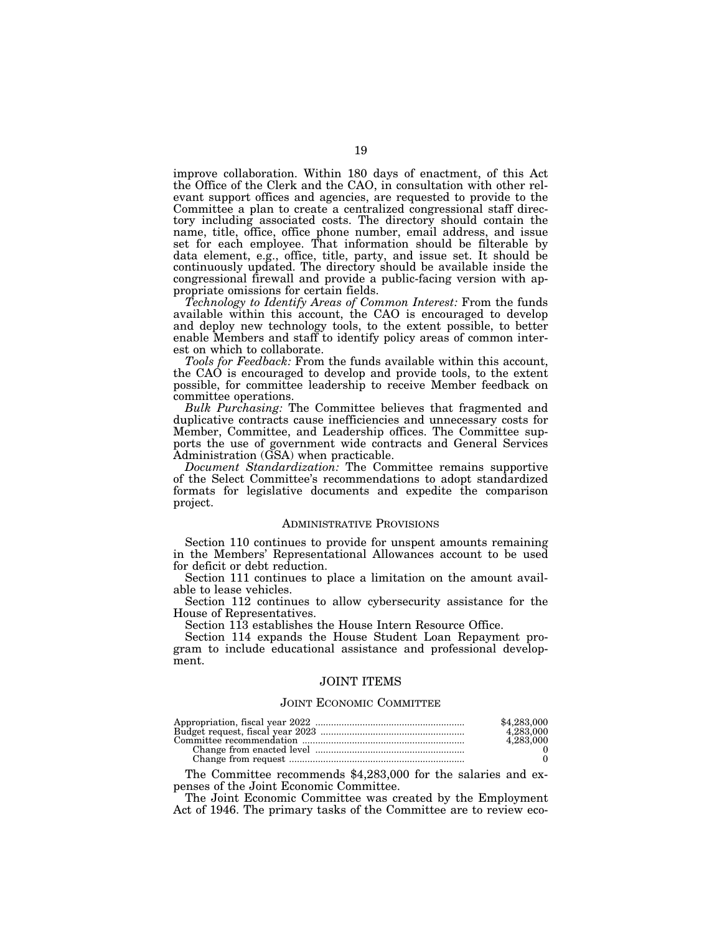improve collaboration. Within 180 days of enactment, of this Act the Office of the Clerk and the CAO, in consultation with other relevant support offices and agencies, are requested to provide to the Committee a plan to create a centralized congressional staff directory including associated costs. The directory should contain the name, title, office, office phone number, email address, and issue set for each employee. That information should be filterable by data element, e.g., office, title, party, and issue set. It should be continuously updated. The directory should be available inside the congressional firewall and provide a public-facing version with appropriate omissions for certain fields.

*Technology to Identify Areas of Common Interest:* From the funds available within this account, the CAO is encouraged to develop and deploy new technology tools, to the extent possible, to better enable Members and staff to identify policy areas of common interest on which to collaborate.

*Tools for Feedback:* From the funds available within this account, the CAO is encouraged to develop and provide tools, to the extent possible, for committee leadership to receive Member feedback on committee operations.

*Bulk Purchasing:* The Committee believes that fragmented and duplicative contracts cause inefficiencies and unnecessary costs for Member, Committee, and Leadership offices. The Committee supports the use of government wide contracts and General Services Administration (GSA) when practicable.

*Document Standardization:* The Committee remains supportive of the Select Committee's recommendations to adopt standardized formats for legislative documents and expedite the comparison project.

# ADMINISTRATIVE PROVISIONS

Section 110 continues to provide for unspent amounts remaining in the Members' Representational Allowances account to be used for deficit or debt reduction.

Section 111 continues to place a limitation on the amount available to lease vehicles.

Section 112 continues to allow cybersecurity assistance for the House of Representatives.

Section 113 establishes the House Intern Resource Office.

Section 114 expands the House Student Loan Repayment program to include educational assistance and professional development.

# JOINT ITEMS

### JOINT ECONOMIC COMMITTEE

| \$4,283,000 |
|-------------|
| 4.283,000   |
| 4.283.000   |
|             |
|             |
|             |

The Committee recommends \$4,283,000 for the salaries and expenses of the Joint Economic Committee.

The Joint Economic Committee was created by the Employment Act of 1946. The primary tasks of the Committee are to review eco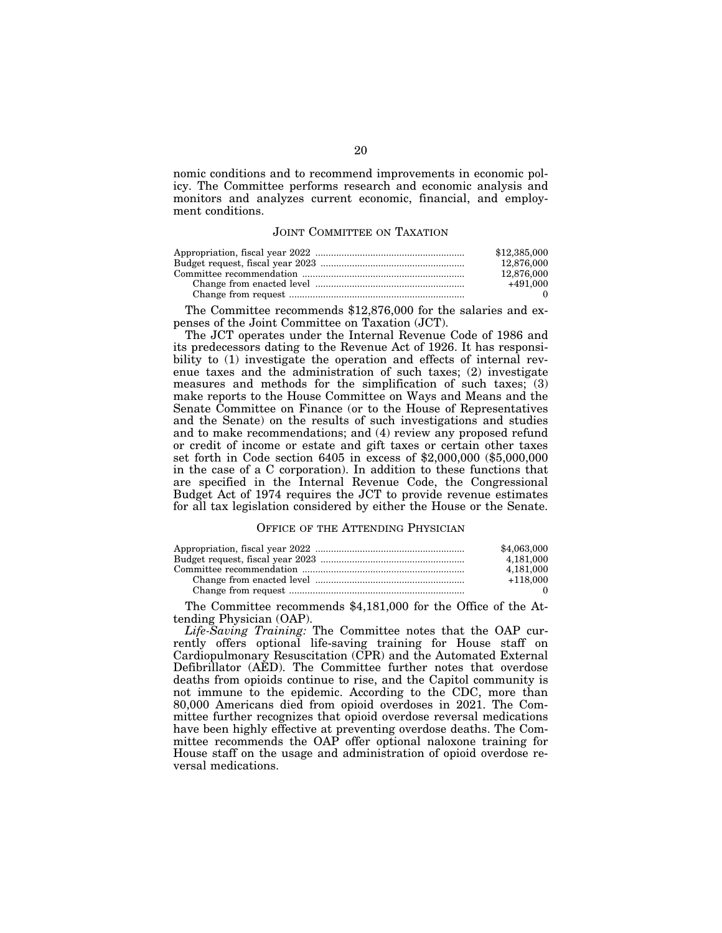nomic conditions and to recommend improvements in economic policy. The Committee performs research and economic analysis and monitors and analyzes current economic, financial, and employment conditions.

### JOINT COMMITTEE ON TAXATION

| \$12,385,000 |
|--------------|
| 12,876,000   |
| 12,876,000   |
| +491.000     |
|              |

The Committee recommends \$12,876,000 for the salaries and expenses of the Joint Committee on Taxation (JCT).

The JCT operates under the Internal Revenue Code of 1986 and its predecessors dating to the Revenue Act of 1926. It has responsibility to (1) investigate the operation and effects of internal revenue taxes and the administration of such taxes; (2) investigate measures and methods for the simplification of such taxes;  $(3)$ make reports to the House Committee on Ways and Means and the Senate Committee on Finance (or to the House of Representatives and the Senate) on the results of such investigations and studies and to make recommendations; and (4) review any proposed refund or credit of income or estate and gift taxes or certain other taxes set forth in Code section 6405 in excess of \$2,000,000 (\$5,000,000 in the case of a C corporation). In addition to these functions that are specified in the Internal Revenue Code, the Congressional Budget Act of 1974 requires the JCT to provide revenue estimates for all tax legislation considered by either the House or the Senate.

### OFFICE OF THE ATTENDING PHYSICIAN

| \$4,063,000 |
|-------------|
| 4.181.000   |
| 4.181.000   |
| $+118.000$  |
|             |

The Committee recommends \$4,181,000 for the Office of the Attending Physician (OAP).

*Life-Saving Training:* The Committee notes that the OAP currently offers optional life-saving training for House staff on Cardiopulmonary Resuscitation (CPR) and the Automated External Defibrillator (AED). The Committee further notes that overdose deaths from opioids continue to rise, and the Capitol community is not immune to the epidemic. According to the CDC, more than 80,000 Americans died from opioid overdoses in 2021. The Committee further recognizes that opioid overdose reversal medications have been highly effective at preventing overdose deaths. The Committee recommends the OAP offer optional naloxone training for House staff on the usage and administration of opioid overdose reversal medications.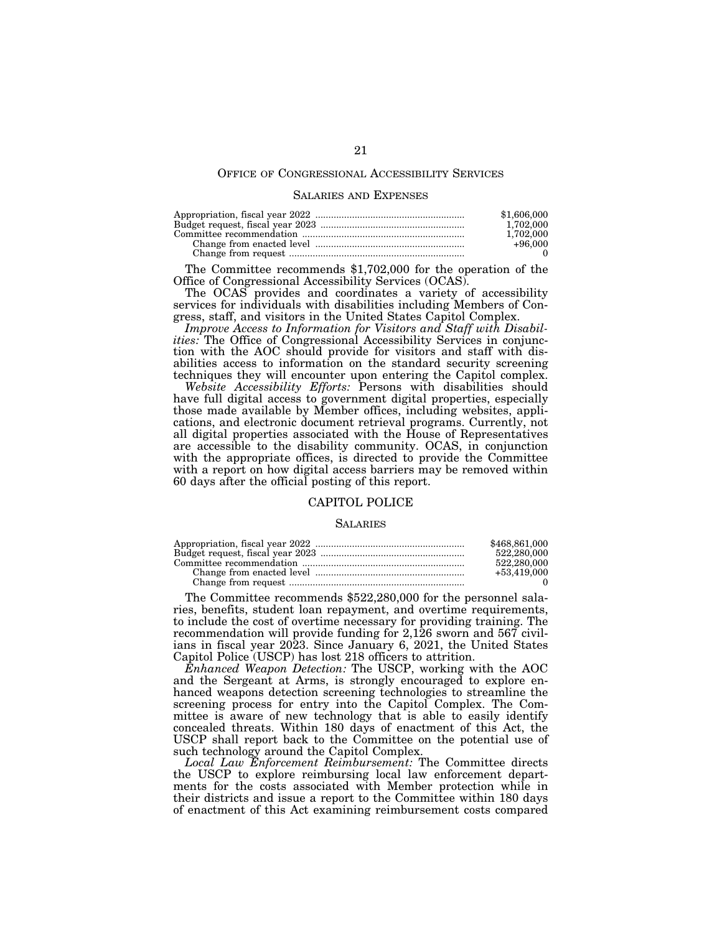# OFFICE OF CONGRESSIONAL ACCESSIBILITY SERVICES

### SALARIES AND EXPENSES

| \$1,606,000<br>1.702.000 |
|--------------------------|
| 1.702.000                |
| $+96,000$                |

The Committee recommends \$1,702,000 for the operation of the Office of Congressional Accessibility Services (OCAS).

The OCAS provides and coordinates a variety of accessibility services for individuals with disabilities including Members of Congress, staff, and visitors in the United States Capitol Complex.

*Improve Access to Information for Visitors and Staff with Disabilities:* The Office of Congressional Accessibility Services in conjunction with the AOC should provide for visitors and staff with disabilities access to information on the standard security screening techniques they will encounter upon entering the Capitol complex.

*Website Accessibility Efforts:* Persons with disabilities should have full digital access to government digital properties, especially those made available by Member offices, including websites, applications, and electronic document retrieval programs. Currently, not all digital properties associated with the House of Representatives are accessible to the disability community. OCAS, in conjunction with the appropriate offices, is directed to provide the Committee with a report on how digital access barriers may be removed within 60 days after the official posting of this report.

# CAPITOL POLICE

### **SALARIES**

| \$468,861,000 |
|---------------|
| 522.280.000   |
| 522.280.000   |
| $+53.419.000$ |
|               |

The Committee recommends \$522,280,000 for the personnel salaries, benefits, student loan repayment, and overtime requirements, to include the cost of overtime necessary for providing training. The recommendation will provide funding for 2,126 sworn and 567 civilians in fiscal year 2023. Since January 6, 2021, the United States Capitol Police (USCP) has lost 218 officers to attrition.

*Enhanced Weapon Detection:* The USCP, working with the AOC and the Sergeant at Arms, is strongly encouraged to explore enhanced weapons detection screening technologies to streamline the screening process for entry into the Capitol Complex. The Committee is aware of new technology that is able to easily identify concealed threats. Within 180 days of enactment of this Act, the USCP shall report back to the Committee on the potential use of such technology around the Capitol Complex.

*Local Law Enforcement Reimbursement:* The Committee directs the USCP to explore reimbursing local law enforcement departments for the costs associated with Member protection while in their districts and issue a report to the Committee within 180 days of enactment of this Act examining reimbursement costs compared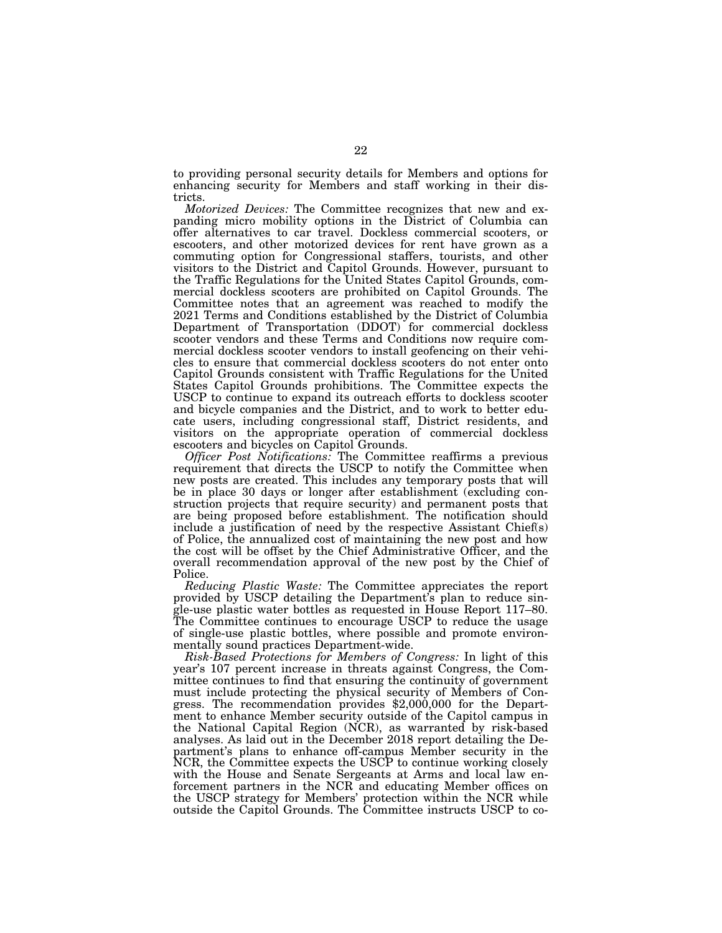to providing personal security details for Members and options for enhancing security for Members and staff working in their districts.

*Motorized Devices:* The Committee recognizes that new and expanding micro mobility options in the District of Columbia can offer alternatives to car travel. Dockless commercial scooters, or escooters, and other motorized devices for rent have grown as a commuting option for Congressional staffers, tourists, and other visitors to the District and Capitol Grounds. However, pursuant to the Traffic Regulations for the United States Capitol Grounds, commercial dockless scooters are prohibited on Capitol Grounds. The Committee notes that an agreement was reached to modify the 2021 Terms and Conditions established by the District of Columbia Department of Transportation (DDOT) for commercial dockless scooter vendors and these Terms and Conditions now require commercial dockless scooter vendors to install geofencing on their vehicles to ensure that commercial dockless scooters do not enter onto Capitol Grounds consistent with Traffic Regulations for the United States Capitol Grounds prohibitions. The Committee expects the USCP to continue to expand its outreach efforts to dockless scooter and bicycle companies and the District, and to work to better educate users, including congressional staff, District residents, and visitors on the appropriate operation of commercial dockless escooters and bicycles on Capitol Grounds.

*Officer Post Notifications:* The Committee reaffirms a previous requirement that directs the USCP to notify the Committee when new posts are created. This includes any temporary posts that will be in place 30 days or longer after establishment (excluding construction projects that require security) and permanent posts that are being proposed before establishment. The notification should include a justification of need by the respective Assistant Chief(s) of Police, the annualized cost of maintaining the new post and how the cost will be offset by the Chief Administrative Officer, and the overall recommendation approval of the new post by the Chief of Police.

*Reducing Plastic Waste:* The Committee appreciates the report provided by USCP detailing the Department's plan to reduce single-use plastic water bottles as requested in House Report 117–80. The Committee continues to encourage USCP to reduce the usage of single-use plastic bottles, where possible and promote environmentally sound practices Department-wide.

*Risk-Based Protections for Members of Congress:* In light of this year's 107 percent increase in threats against Congress, the Committee continues to find that ensuring the continuity of government must include protecting the physical security of Members of Congress. The recommendation provides \$2,000,000 for the Department to enhance Member security outside of the Capitol campus in the National Capital Region (NCR), as warranted by risk-based analyses. As laid out in the December 2018 report detailing the Department's plans to enhance off-campus Member security in the NCR, the Committee expects the USCP to continue working closely with the House and Senate Sergeants at Arms and local law enforcement partners in the NCR and educating Member offices on the USCP strategy for Members' protection within the NCR while outside the Capitol Grounds. The Committee instructs USCP to co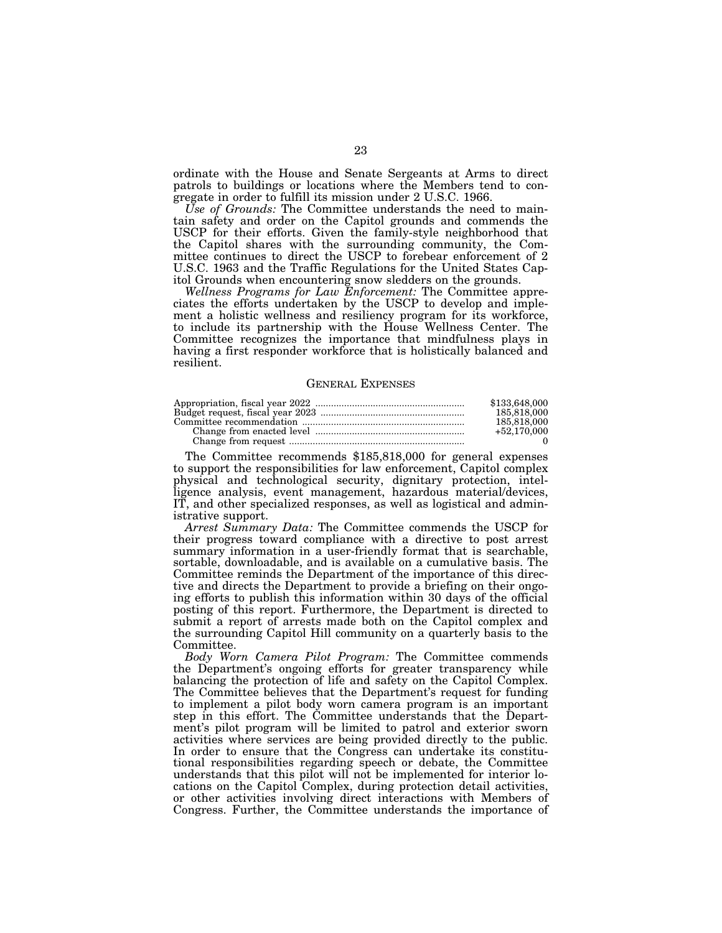ordinate with the House and Senate Sergeants at Arms to direct patrols to buildings or locations where the Members tend to congregate in order to fulfill its mission under 2 U.S.C. 1966.

*Use of Grounds:* The Committee understands the need to maintain safety and order on the Capitol grounds and commends the USCP for their efforts. Given the family-style neighborhood that the Capitol shares with the surrounding community, the Committee continues to direct the USCP to forebear enforcement of 2 U.S.C. 1963 and the Traffic Regulations for the United States Capitol Grounds when encountering snow sledders on the grounds.

*Wellness Programs for Law Enforcement:* The Committee appreciates the efforts undertaken by the USCP to develop and implement a holistic wellness and resiliency program for its workforce, to include its partnership with the House Wellness Center. The Committee recognizes the importance that mindfulness plays in having a first responder workforce that is holistically balanced and resilient.

### GENERAL EXPENSES

| \$133,648,000 |
|---------------|
| 185,818,000   |
| 185,818,000   |
| $+52,170,000$ |
|               |

The Committee recommends \$185,818,000 for general expenses to support the responsibilities for law enforcement, Capitol complex physical and technological security, dignitary protection, intelligence analysis, event management, hazardous material/devices, IT, and other specialized responses, as well as logistical and administrative support.

*Arrest Summary Data:* The Committee commends the USCP for their progress toward compliance with a directive to post arrest summary information in a user-friendly format that is searchable, sortable, downloadable, and is available on a cumulative basis. The Committee reminds the Department of the importance of this directive and directs the Department to provide a briefing on their ongoing efforts to publish this information within 30 days of the official posting of this report. Furthermore, the Department is directed to submit a report of arrests made both on the Capitol complex and the surrounding Capitol Hill community on a quarterly basis to the Committee.

*Body Worn Camera Pilot Program:* The Committee commends the Department's ongoing efforts for greater transparency while balancing the protection of life and safety on the Capitol Complex. The Committee believes that the Department's request for funding to implement a pilot body worn camera program is an important step in this effort. The Committee understands that the Department's pilot program will be limited to patrol and exterior sworn activities where services are being provided directly to the public. In order to ensure that the Congress can undertake its constitutional responsibilities regarding speech or debate, the Committee understands that this pilot will not be implemented for interior locations on the Capitol Complex, during protection detail activities, or other activities involving direct interactions with Members of Congress. Further, the Committee understands the importance of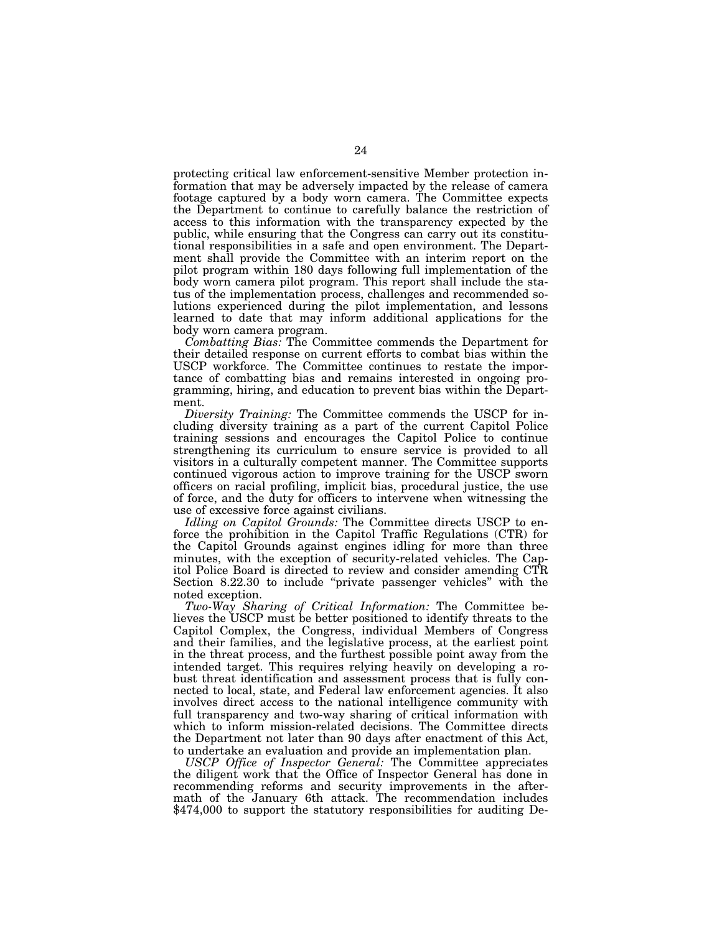protecting critical law enforcement-sensitive Member protection information that may be adversely impacted by the release of camera footage captured by a body worn camera. The Committee expects the Department to continue to carefully balance the restriction of access to this information with the transparency expected by the public, while ensuring that the Congress can carry out its constitutional responsibilities in a safe and open environment. The Department shall provide the Committee with an interim report on the pilot program within 180 days following full implementation of the body worn camera pilot program. This report shall include the status of the implementation process, challenges and recommended solutions experienced during the pilot implementation, and lessons learned to date that may inform additional applications for the body worn camera program.

*Combatting Bias:* The Committee commends the Department for their detailed response on current efforts to combat bias within the USCP workforce. The Committee continues to restate the importance of combatting bias and remains interested in ongoing programming, hiring, and education to prevent bias within the Department.

*Diversity Training:* The Committee commends the USCP for including diversity training as a part of the current Capitol Police training sessions and encourages the Capitol Police to continue strengthening its curriculum to ensure service is provided to all visitors in a culturally competent manner. The Committee supports continued vigorous action to improve training for the USCP sworn officers on racial profiling, implicit bias, procedural justice, the use of force, and the duty for officers to intervene when witnessing the use of excessive force against civilians.

*Idling on Capitol Grounds:* The Committee directs USCP to enforce the prohibition in the Capitol Traffic Regulations (CTR) for the Capitol Grounds against engines idling for more than three minutes, with the exception of security-related vehicles. The Capitol Police Board is directed to review and consider amending CTR Section 8.22.30 to include ''private passenger vehicles'' with the noted exception.

*Two-Way Sharing of Critical Information:* The Committee believes the USCP must be better positioned to identify threats to the Capitol Complex, the Congress, individual Members of Congress and their families, and the legislative process, at the earliest point in the threat process, and the furthest possible point away from the intended target. This requires relying heavily on developing a robust threat identification and assessment process that is fully connected to local, state, and Federal law enforcement agencies. It also involves direct access to the national intelligence community with full transparency and two-way sharing of critical information with which to inform mission-related decisions. The Committee directs the Department not later than 90 days after enactment of this Act, to undertake an evaluation and provide an implementation plan.

*USCP Office of Inspector General:* The Committee appreciates the diligent work that the Office of Inspector General has done in recommending reforms and security improvements in the aftermath of the January 6th attack. The recommendation includes \$474,000 to support the statutory responsibilities for auditing De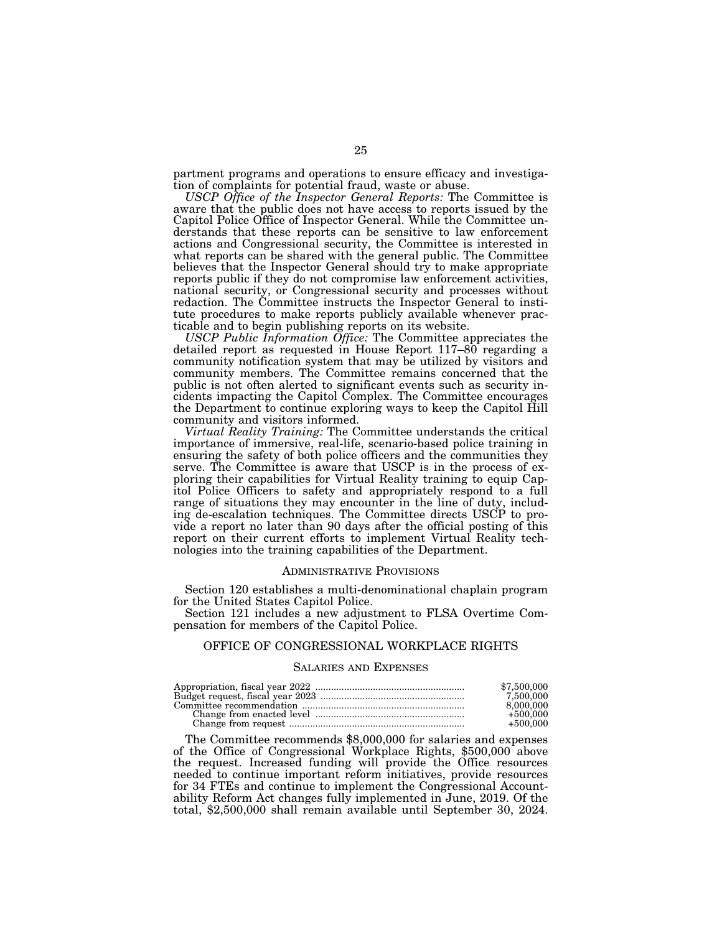partment programs and operations to ensure efficacy and investigation of complaints for potential fraud, waste or abuse.

*USCP Office of the Inspector General Reports:* The Committee is aware that the public does not have access to reports issued by the Capitol Police Office of Inspector General. While the Committee understands that these reports can be sensitive to law enforcement actions and Congressional security, the Committee is interested in what reports can be shared with the general public. The Committee believes that the Inspector General should try to make appropriate reports public if they do not compromise law enforcement activities, national security, or Congressional security and processes without redaction. The Committee instructs the Inspector General to institute procedures to make reports publicly available whenever practicable and to begin publishing reports on its website.

*USCP Public Information Office:* The Committee appreciates the detailed report as requested in House Report 117–80 regarding a community notification system that may be utilized by visitors and community members. The Committee remains concerned that the public is not often alerted to significant events such as security incidents impacting the Capitol Complex. The Committee encourages the Department to continue exploring ways to keep the Capitol Hill community and visitors informed.

*Virtual Reality Training:* The Committee understands the critical importance of immersive, real-life, scenario-based police training in ensuring the safety of both police officers and the communities they serve. The Committee is aware that USCP is in the process of exploring their capabilities for Virtual Reality training to equip Capitol Police Officers to safety and appropriately respond to a full range of situations they may encounter in the line of duty, including de-escalation techniques. The Committee directs USCP to provide a report no later than 90 days after the official posting of this report on their current efforts to implement Virtual Reality technologies into the training capabilities of the Department.

### ADMINISTRATIVE PROVISIONS

Section 120 establishes a multi-denominational chaplain program for the United States Capitol Police.

Section 121 includes a new adjustment to FLSA Overtime Compensation for members of the Capitol Police.

# OFFICE OF CONGRESSIONAL WORKPLACE RIGHTS

### SALARIES AND EXPENSES

| \$7,500,000 |
|-------------|
| 7,500,000   |
| 8.000.000   |
| $+500.000$  |
| $+500.000$  |

The Committee recommends \$8,000,000 for salaries and expenses of the Office of Congressional Workplace Rights, \$500,000 above the request. Increased funding will provide the Office resources needed to continue important reform initiatives, provide resources for 34 FTEs and continue to implement the Congressional Accountability Reform Act changes fully implemented in June, 2019. Of the total, \$2,500,000 shall remain available until September 30, 2024.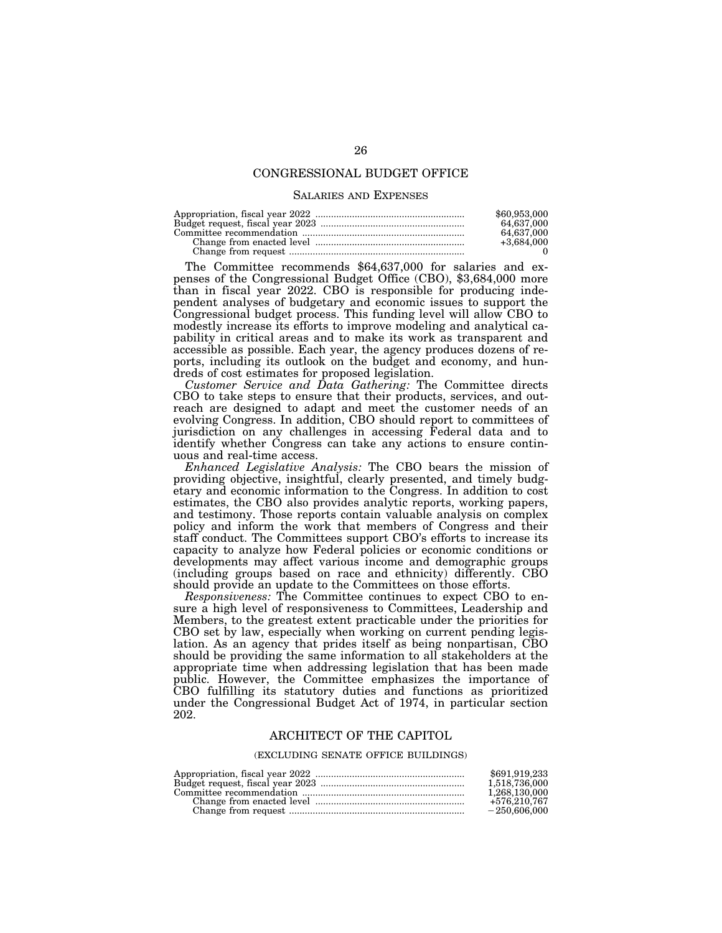# CONGRESSIONAL BUDGET OFFICE

### SALARIES AND EXPENSES

| \$60,953,000<br>64.637.000<br>64,637,000<br>$+3.684.000$ |
|----------------------------------------------------------|
|                                                          |

The Committee recommends \$64,637,000 for salaries and expenses of the Congressional Budget Office (CBO), \$3,684,000 more than in fiscal year 2022. CBO is responsible for producing independent analyses of budgetary and economic issues to support the Congressional budget process. This funding level will allow CBO to modestly increase its efforts to improve modeling and analytical capability in critical areas and to make its work as transparent and accessible as possible. Each year, the agency produces dozens of reports, including its outlook on the budget and economy, and hundreds of cost estimates for proposed legislation.

*Customer Service and Data Gathering:* The Committee directs CBO to take steps to ensure that their products, services, and outreach are designed to adapt and meet the customer needs of an evolving Congress. In addition, CBO should report to committees of jurisdiction on any challenges in accessing Federal data and to identify whether Congress can take any actions to ensure continuous and real-time access.

*Enhanced Legislative Analysis:* The CBO bears the mission of providing objective, insightful, clearly presented, and timely budgetary and economic information to the Congress. In addition to cost estimates, the CBO also provides analytic reports, working papers, and testimony. Those reports contain valuable analysis on complex policy and inform the work that members of Congress and their staff conduct. The Committees support CBO's efforts to increase its capacity to analyze how Federal policies or economic conditions or developments may affect various income and demographic groups (including groups based on race and ethnicity) differently. CBO should provide an update to the Committees on those efforts.

*Responsiveness:* The Committee continues to expect CBO to ensure a high level of responsiveness to Committees, Leadership and Members, to the greatest extent practicable under the priorities for CBO set by law, especially when working on current pending legislation. As an agency that prides itself as being nonpartisan, CBO should be providing the same information to all stakeholders at the appropriate time when addressing legislation that has been made public. However, the Committee emphasizes the importance of CBO fulfilling its statutory duties and functions as prioritized under the Congressional Budget Act of 1974, in particular section 202.

# ARCHITECT OF THE CAPITOL

### (EXCLUDING SENATE OFFICE BUILDINGS)

| \$691.919.233  |
|----------------|
| 1.518.736.000  |
| 1.268.130.000  |
| +576.210.767   |
| $-250.606.000$ |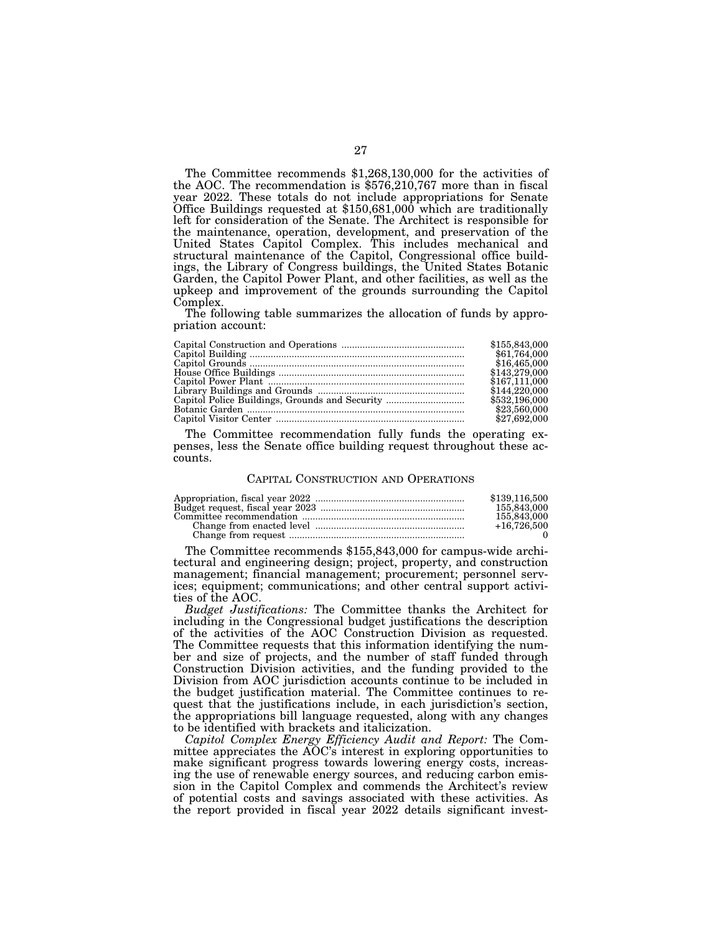The Committee recommends \$1,268,130,000 for the activities of the AOC. The recommendation is \$576,210,767 more than in fiscal year 2022. These totals do not include appropriations for Senate Office Buildings requested at \$150,681,000 which are traditionally left for consideration of the Senate. The Architect is responsible for the maintenance, operation, development, and preservation of the United States Capitol Complex. This includes mechanical and structural maintenance of the Capitol, Congressional office buildings, the Library of Congress buildings, the United States Botanic Garden, the Capitol Power Plant, and other facilities, as well as the upkeep and improvement of the grounds surrounding the Capitol Complex.

The following table summarizes the allocation of funds by appropriation account:

|                                                | \$155,843,000 |
|------------------------------------------------|---------------|
|                                                | \$61,764,000  |
|                                                | \$16.465,000  |
|                                                | \$143,279,000 |
|                                                | \$167,111,000 |
|                                                | \$144,220,000 |
| Capitol Police Buildings, Grounds and Security | \$532,196,000 |
|                                                | \$23,560,000  |
|                                                | \$27,692,000  |

The Committee recommendation fully funds the operating expenses, less the Senate office building request throughout these accounts.

### CAPITAL CONSTRUCTION AND OPERATIONS

| \$139,116,500 |
|---------------|
| 155,843,000   |
| 155,843,000   |
| $+16.726.500$ |
|               |

The Committee recommends \$155,843,000 for campus-wide architectural and engineering design; project, property, and construction management; financial management; procurement; personnel services; equipment; communications; and other central support activities of the AOC.

*Budget Justifications:* The Committee thanks the Architect for including in the Congressional budget justifications the description of the activities of the AOC Construction Division as requested. The Committee requests that this information identifying the number and size of projects, and the number of staff funded through Construction Division activities, and the funding provided to the Division from AOC jurisdiction accounts continue to be included in the budget justification material. The Committee continues to request that the justifications include, in each jurisdiction's section, the appropriations bill language requested, along with any changes to be identified with brackets and italicization.

*Capitol Complex Energy Efficiency Audit and Report:* The Committee appreciates the AOC's interest in exploring opportunities to make significant progress towards lowering energy costs, increasing the use of renewable energy sources, and reducing carbon emission in the Capitol Complex and commends the Architect's review of potential costs and savings associated with these activities. As the report provided in fiscal year 2022 details significant invest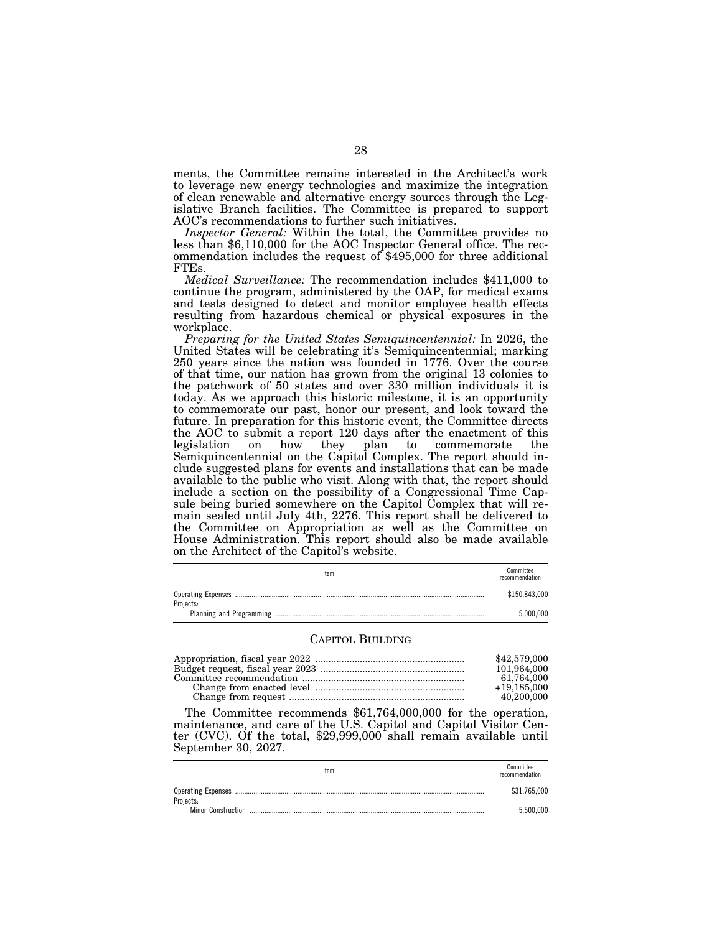ments, the Committee remains interested in the Architect's work to leverage new energy technologies and maximize the integration of clean renewable and alternative energy sources through the Legislative Branch facilities. The Committee is prepared to support AOC's recommendations to further such initiatives.<br>*Inspector General:* Within the total, the Committee provides no

less than \$6,110,000 for the AOC Inspector General office. The recommendation includes the request of \$495,000 for three additional FTEs.

*Medical Surveillance:* The recommendation includes \$411,000 to continue the program, administered by the OAP, for medical exams and tests designed to detect and monitor employee health effects resulting from hazardous chemical or physical exposures in the workplace.

*Preparing for the United States Semiquincentennial:* In 2026, the United States will be celebrating it's Semiquincentennial; marking 250 years since the nation was founded in 1776. Over the course of that time, our nation has grown from the original 13 colonies to the patchwork of 50 states and over 330 million individuals it is today. As we approach this historic milestone, it is an opportunity to commemorate our past, honor our present, and look toward the future. In preparation for this historic event, the Committee directs the AOC to submit a report 120 days after the enactment of this legislation on how they plan to commemorate the they plan to commemorate the Semiquincentennial on the Capitol Complex. The report should include suggested plans for events and installations that can be made available to the public who visit. Along with that, the report should include a section on the possibility of a Congressional Time Capsule being buried somewhere on the Capitol Complex that will remain sealed until July 4th, 2276. This report shall be delivered to the Committee on Appropriation as well as the Committee on House Administration. This report should also be made available on the Architect of the Capitol's website.

| Item      | Committee<br>recommendation |
|-----------|-----------------------------|
|           | \$150,843,000               |
| Projects: | 5.000.000                   |

### CAPITOL BUILDING

| \$42,579,000  |
|---------------|
| 101.964.000   |
| 61.764.000    |
| $+19.185.000$ |
| $-40.200.000$ |

The Committee recommends \$61,764,000,000 for the operation, maintenance, and care of the U.S. Capitol and Capitol Visitor Center (CVC). Of the total, \$29,999,000 shall remain available until September 30, 2027.

| Item                      | Committee<br>recommendation |
|---------------------------|-----------------------------|
| Projects:                 | \$31.765.000                |
| <b>Minor Construction</b> | 5.500.000                   |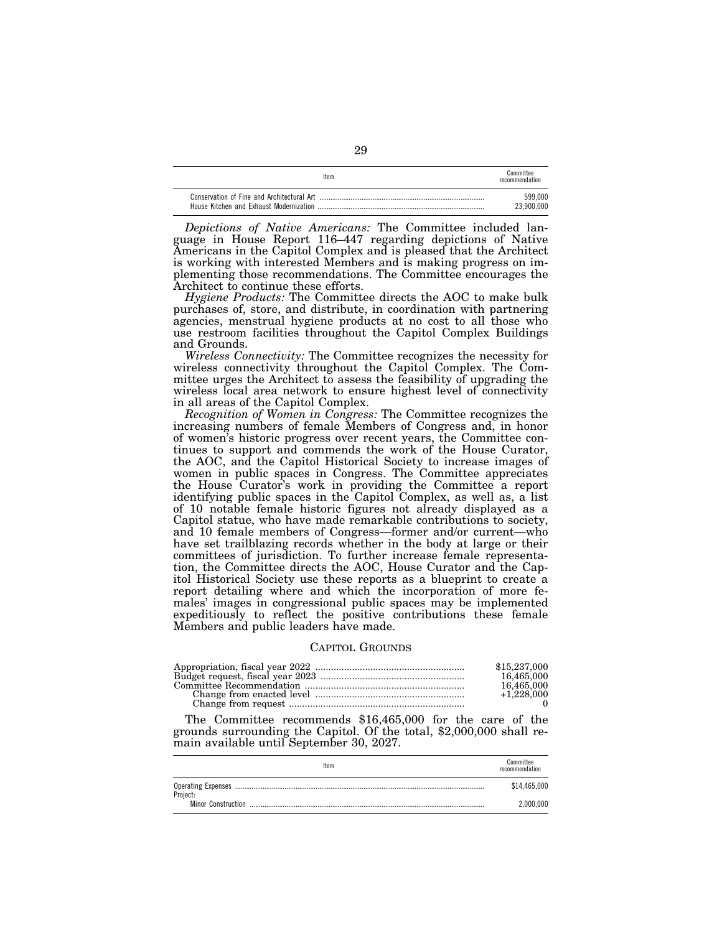| Item                                       | Committee<br>recommendation |
|--------------------------------------------|-----------------------------|
| Conservation of Fine and Architectural Art | 599.000                     |
| House Kitchen and Exhaust Modernization    | 23.900.000                  |

*Depictions of Native Americans:* The Committee included language in House Report 116–447 regarding depictions of Native Americans in the Capitol Complex and is pleased that the Architect is working with interested Members and is making progress on implementing those recommendations. The Committee encourages the Architect to continue these efforts.

*Hygiene Products:* The Committee directs the AOC to make bulk purchases of, store, and distribute, in coordination with partnering agencies, menstrual hygiene products at no cost to all those who use restroom facilities throughout the Capitol Complex Buildings and Grounds.

*Wireless Connectivity:* The Committee recognizes the necessity for wireless connectivity throughout the Capitol Complex. The Committee urges the Architect to assess the feasibility of upgrading the wireless local area network to ensure highest level of connectivity in all areas of the Capitol Complex.

*Recognition of Women in Congress:* The Committee recognizes the increasing numbers of female Members of Congress and, in honor of women's historic progress over recent years, the Committee continues to support and commends the work of the House Curator, the AOC, and the Capitol Historical Society to increase images of women in public spaces in Congress. The Committee appreciates the House Curator's work in providing the Committee a report identifying public spaces in the Capitol Complex, as well as, a list of 10 notable female historic figures not already displayed as a Capitol statue, who have made remarkable contributions to society, and 10 female members of Congress—former and/or current—who have set trailblazing records whether in the body at large or their committees of jurisdiction. To further increase female representation, the Committee directs the AOC, House Curator and the Capitol Historical Society use these reports as a blueprint to create a report detailing where and which the incorporation of more females' images in congressional public spaces may be implemented expeditiously to reflect the positive contributions these female Members and public leaders have made.

### CAPITOL GROUNDS

| \$15,237,000 |
|--------------|
| 16.465.000   |
| 16.465,000   |
| $+1.228,000$ |
|              |

The Committee recommends \$16,465,000 for the care of the grounds surrounding the Capitol. Of the total, \$2,000,000 shall remain available until September 30, 2027.

|                           | ltem | Committee<br>recommendation |
|---------------------------|------|-----------------------------|
|                           |      | \$14.465.000                |
| <b>Minor Construction</b> |      | 2.000.000                   |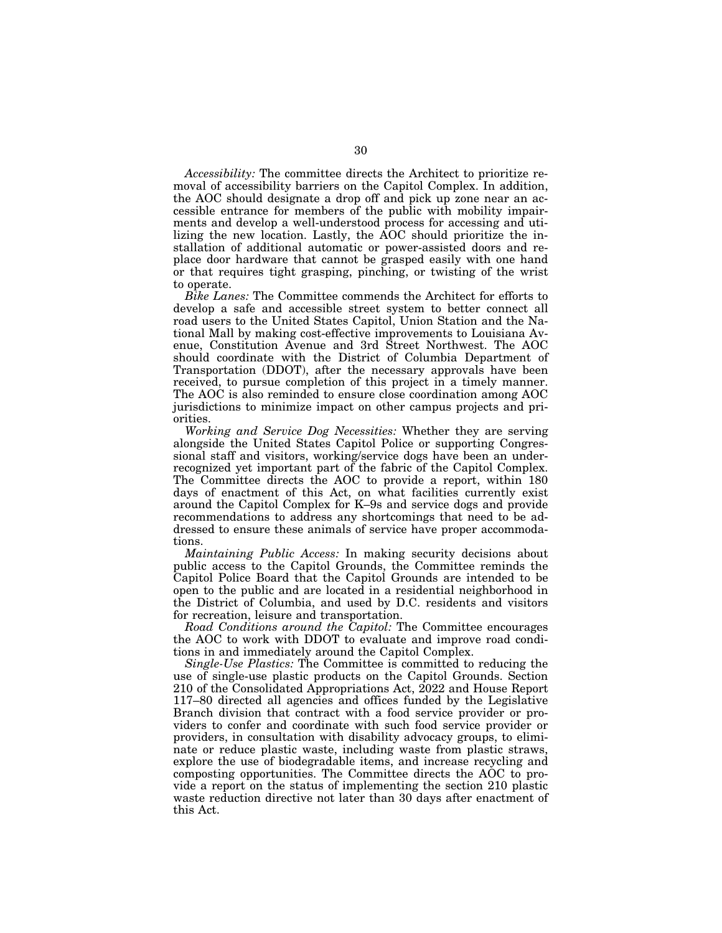*Accessibility:* The committee directs the Architect to prioritize removal of accessibility barriers on the Capitol Complex. In addition, the AOC should designate a drop off and pick up zone near an accessible entrance for members of the public with mobility impairments and develop a well-understood process for accessing and utilizing the new location. Lastly, the AOC should prioritize the installation of additional automatic or power-assisted doors and replace door hardware that cannot be grasped easily with one hand or that requires tight grasping, pinching, or twisting of the wrist to operate.

*Bike Lanes:* The Committee commends the Architect for efforts to develop a safe and accessible street system to better connect all road users to the United States Capitol, Union Station and the National Mall by making cost-effective improvements to Louisiana Avenue, Constitution Avenue and 3rd Street Northwest. The AOC should coordinate with the District of Columbia Department of Transportation (DDOT), after the necessary approvals have been received, to pursue completion of this project in a timely manner. The AOC is also reminded to ensure close coordination among AOC jurisdictions to minimize impact on other campus projects and priorities.

*Working and Service Dog Necessities:* Whether they are serving alongside the United States Capitol Police or supporting Congressional staff and visitors, working/service dogs have been an underrecognized yet important part of the fabric of the Capitol Complex. The Committee directs the AOC to provide a report, within 180 days of enactment of this Act, on what facilities currently exist around the Capitol Complex for K–9s and service dogs and provide recommendations to address any shortcomings that need to be addressed to ensure these animals of service have proper accommodations.

*Maintaining Public Access:* In making security decisions about public access to the Capitol Grounds, the Committee reminds the Capitol Police Board that the Capitol Grounds are intended to be open to the public and are located in a residential neighborhood in the District of Columbia, and used by D.C. residents and visitors for recreation, leisure and transportation.

*Road Conditions around the Capitol:* The Committee encourages the AOC to work with DDOT to evaluate and improve road conditions in and immediately around the Capitol Complex.

*Single-Use Plastics:* The Committee is committed to reducing the use of single-use plastic products on the Capitol Grounds. Section 210 of the Consolidated Appropriations Act, 2022 and House Report 117–80 directed all agencies and offices funded by the Legislative Branch division that contract with a food service provider or providers to confer and coordinate with such food service provider or providers, in consultation with disability advocacy groups, to eliminate or reduce plastic waste, including waste from plastic straws, explore the use of biodegradable items, and increase recycling and composting opportunities. The Committee directs the AOC to provide a report on the status of implementing the section 210 plastic waste reduction directive not later than 30 days after enactment of this Act.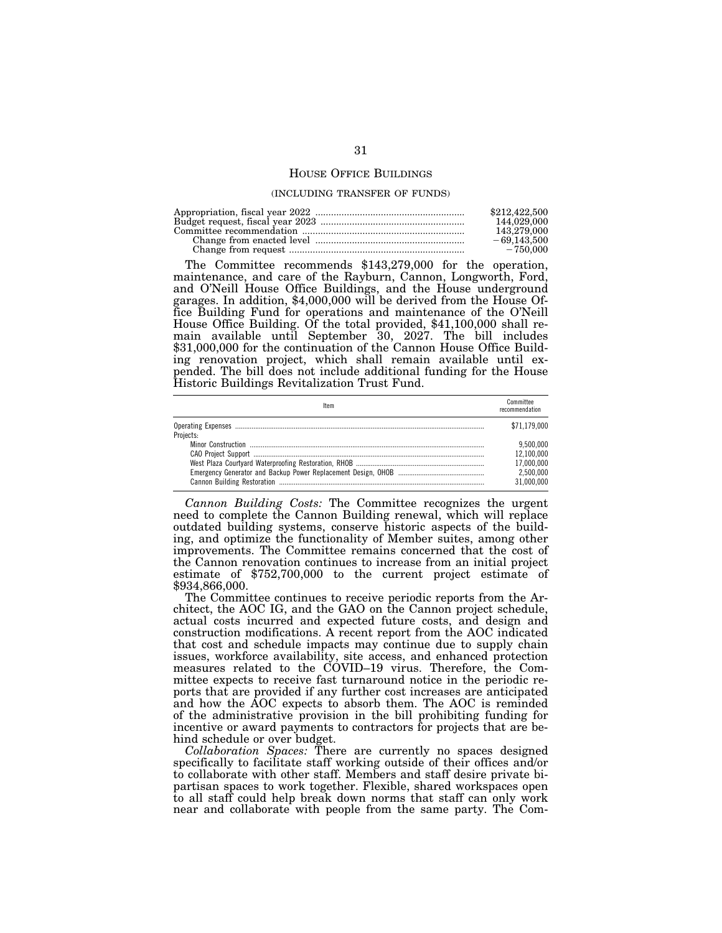### HOUSE OFFICE BUILDINGS

### (INCLUDING TRANSFER OF FUNDS)

| \$212,422,500 |
|---------------|
| 144.029.000   |
| 143.279.000   |
| $-69.143.500$ |
| $-750.000$    |

The Committee recommends \$143,279,000 for the operation, maintenance, and care of the Rayburn, Cannon, Longworth, Ford, and O'Neill House Office Buildings, and the House underground garages. In addition, \$4,000,000 will be derived from the House Office Building Fund for operations and maintenance of the O'Neill House Office Building. Of the total provided, \$41,100,000 shall remain available until September 30, 2027. The bill includes \$31,000,000 for the continuation of the Cannon House Office Building renovation project, which shall remain available until expended. The bill does not include additional funding for the House Historic Buildings Revitalization Trust Fund.

| ltem      | recommendation |
|-----------|----------------|
|           | \$71.179.000   |
| Projects: |                |
|           | 9.500.000      |
|           | 12.100.000     |
|           | 17.000.000     |
|           | 2.500.000      |
|           | 31.000.000     |

*Cannon Building Costs:* The Committee recognizes the urgent need to complete the Cannon Building renewal, which will replace outdated building systems, conserve historic aspects of the building, and optimize the functionality of Member suites, among other improvements. The Committee remains concerned that the cost of the Cannon renovation continues to increase from an initial project estimate of \$752,700,000 to the current project estimate of \$934,866,000.

The Committee continues to receive periodic reports from the Architect, the AOC IG, and the GAO on the Cannon project schedule, actual costs incurred and expected future costs, and design and construction modifications. A recent report from the AOC indicated that cost and schedule impacts may continue due to supply chain issues, workforce availability, site access, and enhanced protection measures related to the COVID–19 virus. Therefore, the Committee expects to receive fast turnaround notice in the periodic reports that are provided if any further cost increases are anticipated and how the AOC expects to absorb them. The AOC is reminded of the administrative provision in the bill prohibiting funding for incentive or award payments to contractors for projects that are behind schedule or over budget.

*Collaboration Spaces:* There are currently no spaces designed specifically to facilitate staff working outside of their offices and/or to collaborate with other staff. Members and staff desire private bipartisan spaces to work together. Flexible, shared workspaces open to all staff could help break down norms that staff can only work near and collaborate with people from the same party. The Com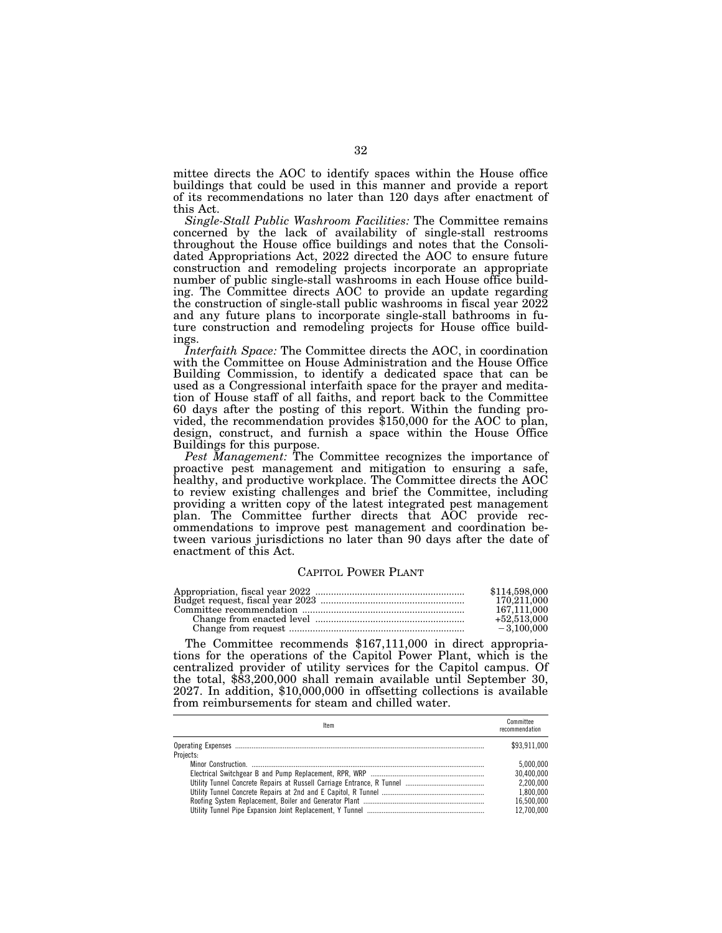mittee directs the AOC to identify spaces within the House office buildings that could be used in this manner and provide a report of its recommendations no later than 120 days after enactment of this Act.

*Single-Stall Public Washroom Facilities:* The Committee remains concerned by the lack of availability of single-stall restrooms throughout the House office buildings and notes that the Consolidated Appropriations Act, 2022 directed the AOC to ensure future construction and remodeling projects incorporate an appropriate number of public single-stall washrooms in each House office building. The Committee directs AOC to provide an update regarding the construction of single-stall public washrooms in fiscal year 2022 and any future plans to incorporate single-stall bathrooms in future construction and remodeling projects for House office buildings.

*Interfaith Space:* The Committee directs the AOC, in coordination with the Committee on House Administration and the House Office Building Commission, to identify a dedicated space that can be used as a Congressional interfaith space for the prayer and meditation of House staff of all faiths, and report back to the Committee 60 days after the posting of this report. Within the funding provided, the recommendation provides \$150,000 for the AOC to plan, design, construct, and furnish a space within the House Office Buildings for this purpose.

*Pest Management:* The Committee recognizes the importance of proactive pest management and mitigation to ensuring a safe, healthy, and productive workplace. The Committee directs the AOC to review existing challenges and brief the Committee, including providing a written copy of the latest integrated pest management plan. The Committee further directs that AOC provide recommendations to improve pest management and coordination between various jurisdictions no later than 90 days after the date of enactment of this Act.

# CAPITOL POWER PLANT

| \$114,598,000 |
|---------------|
| 170.211.000   |
| 167.111.000   |
| $+52.513.000$ |
| $-3.100.000$  |

The Committee recommends \$167,111,000 in direct appropriations for the operations of the Capitol Power Plant, which is the centralized provider of utility services for the Capitol campus. Of the total, \$83,200,000 shall remain available until September 30, 2027. In addition, \$10,000,000 in offsetting collections is available from reimbursements for steam and chilled water.

| ltem      | Committee<br>recommendation |
|-----------|-----------------------------|
| Proiects: | \$93.911.000                |
|           | 5.000.000                   |
|           | 30.400.000                  |
|           | 2.200.000                   |
|           | 1.800.000                   |
|           | 16.500.000                  |
|           | 12.700.000                  |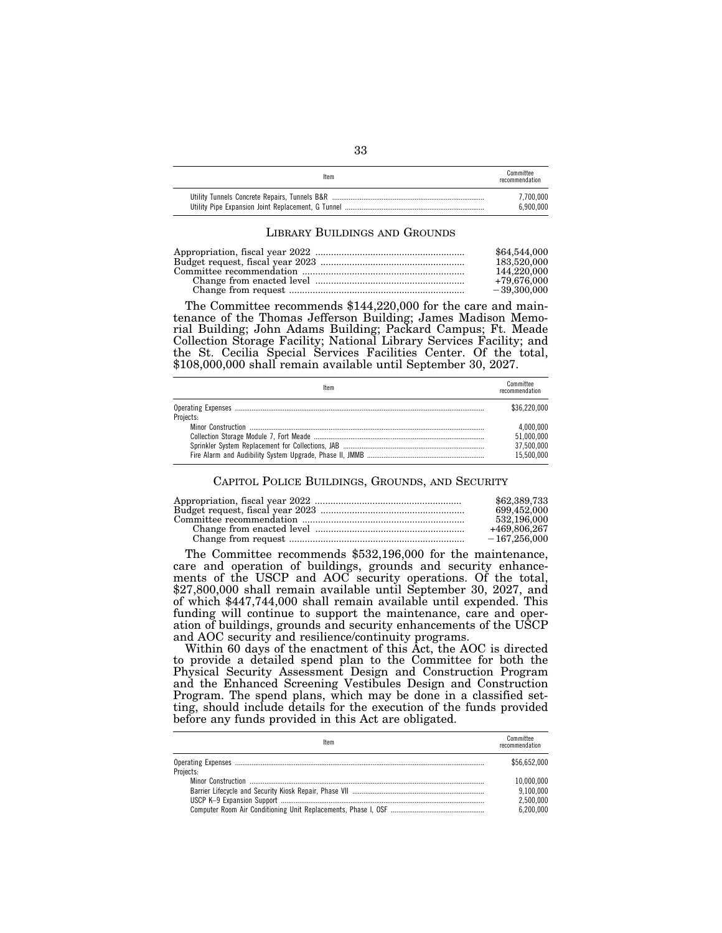| Item | Committee<br>recommendation |
|------|-----------------------------|
|      | 7.700.000                   |
|      | 6.900.000                   |

### LIBRARY BUILDINGS AND GROUNDS

| \$64,544,000<br>183,520,000 |
|-----------------------------|
| 144.220.000                 |
| +79.676.000                 |
| $-39,300,000$               |

The Committee recommends \$144,220,000 for the care and maintenance of the Thomas Jefferson Building; James Madison Memorial Building; John Adams Building; Packard Campus; Ft. Meade Collection Storage Facility; National Library Services Facility; and the St. Cecilia Special Services Facilities Center. Of the total, \$108,000,000 shall remain available until September 30, 2027.

| Item      | recommendation |
|-----------|----------------|
|           | \$36,220,000   |
| Projects: |                |
|           | 4.000.000      |
|           | 51.000.000     |
|           | 37.500.000     |
|           | 15.500.000     |

### CAPITOL POLICE BUILDINGS, GROUNDS, AND SECURITY

| \$62,389,733   |
|----------------|
| 699.452.000    |
| 532.196.000    |
| +469.806.267   |
| $-167.256.000$ |

The Committee recommends \$532,196,000 for the maintenance, care and operation of buildings, grounds and security enhancements of the USCP and AOC security operations. Of the total, \$27,800,000 shall remain available until September 30, 2027, and of which \$447,744,000 shall remain available until expended. This funding will continue to support the maintenance, care and operation of buildings, grounds and security enhancements of the USCP and AOC security and resilience/continuity programs.

Within 60 days of the enactment of this Act, the AOC is directed to provide a detailed spend plan to the Committee for both the Physical Security Assessment Design and Construction Program and the Enhanced Screening Vestibules Design and Construction Program. The spend plans, which may be done in a classified setting, should include details for the execution of the funds provided before any funds provided in this Act are obligated.

| Item      | recommendation |
|-----------|----------------|
|           | \$56.652.000   |
| Projects: |                |
|           | 10.000.000     |
|           | 9.100.000      |
|           | 2.500.000      |
|           | 6.200.000      |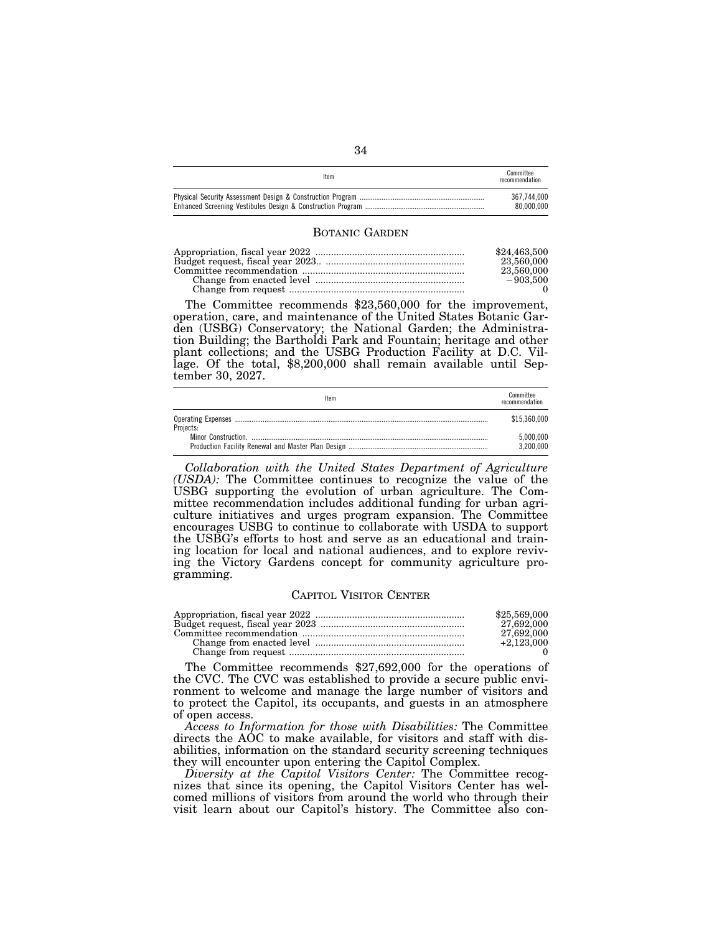| Item | Committee<br>recommendation |
|------|-----------------------------|
|      | 367.744.000                 |
|      | 80.000.000                  |

### BOTANIC GARDEN

| \$24,463,500 |
|--------------|
| 23,560,000   |
| 23,560,000   |
| $-903.500$   |
|              |

The Committee recommends \$23,560,000 for the improvement, operation, care, and maintenance of the United States Botanic Garden (USBG) Conservatory; the National Garden; the Administration Building; the Bartholdi Park and Fountain; heritage and other plant collections; and the USBG Production Facility at D.C. Village. Of the total, \$8,200,000 shall remain available until September 30, 2027.

| ltem      | Committee<br>recommendation |
|-----------|-----------------------------|
| Projects: | \$15.360.000                |
|           | 5.000.000<br>3.200.000      |

*Collaboration with the United States Department of Agriculture (USDA):* The Committee continues to recognize the value of the USBG supporting the evolution of urban agriculture. The Committee recommendation includes additional funding for urban agriculture initiatives and urges program expansion. The Committee encourages USBG to continue to collaborate with USDA to support the USBG's efforts to host and serve as an educational and training location for local and national audiences, and to explore reviving the Victory Gardens concept for community agriculture programming.

# CAPITOL VISITOR CENTER

| \$25,569,000 |
|--------------|
| 27.692.000   |
| 27,692,000   |
| $+2.123.000$ |
|              |

The Committee recommends \$27,692,000 for the operations of the CVC. The CVC was established to provide a secure public environment to welcome and manage the large number of visitors and to protect the Capitol, its occupants, and guests in an atmosphere of open access.

*Access to Information for those with Disabilities:* The Committee directs the AOC to make available, for visitors and staff with disabilities, information on the standard security screening techniques they will encounter upon entering the Capitol Complex.

*Diversity at the Capitol Visitors Center:* The Committee recognizes that since its opening, the Capitol Visitors Center has welcomed millions of visitors from around the world who through their visit learn about our Capitol's history. The Committee also con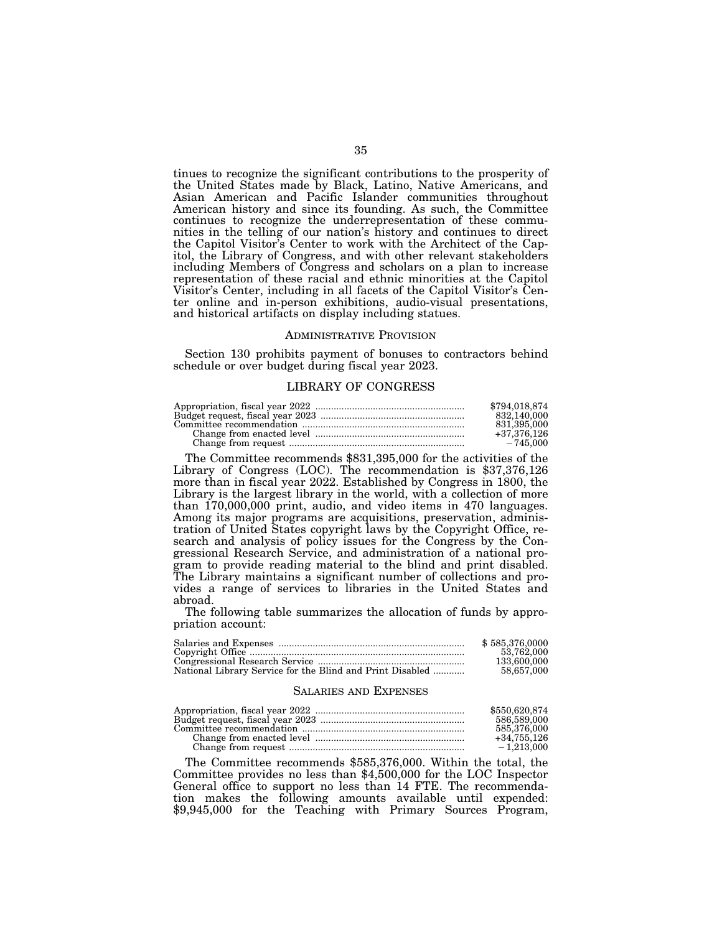tinues to recognize the significant contributions to the prosperity of the United States made by Black, Latino, Native Americans, and Asian American and Pacific Islander communities throughout American history and since its founding. As such, the Committee continues to recognize the underrepresentation of these communities in the telling of our nation's history and continues to direct the Capitol Visitor's Center to work with the Architect of the Capitol, the Library of Congress, and with other relevant stakeholders including Members of Congress and scholars on a plan to increase representation of these racial and ethnic minorities at the Capitol Visitor's Center, including in all facets of the Capitol Visitor's Center online and in-person exhibitions, audio-visual presentations, and historical artifacts on display including statues.

### ADMINISTRATIVE PROVISION

Section 130 prohibits payment of bonuses to contractors behind schedule or over budget during fiscal year 2023.

# LIBRARY OF CONGRESS

| \$794,018,874 |
|---------------|
| 832.140.000   |
| 831.395.000   |
| $+37.376.126$ |
| $-745,000$    |

The Committee recommends \$831,395,000 for the activities of the Library of Congress (LOC). The recommendation is \$37,376,126 more than in fiscal year 2022. Established by Congress in 1800, the Library is the largest library in the world, with a collection of more than 170,000,000 print, audio, and video items in 470 languages. Among its major programs are acquisitions, preservation, administration of United States copyright laws by the Copyright Office, research and analysis of policy issues for the Congress by the Congressional Research Service, and administration of a national program to provide reading material to the blind and print disabled. The Library maintains a significant number of collections and provides a range of services to libraries in the United States and abroad.

The following table summarizes the allocation of funds by appropriation account:

|                                                           | \$585.376.0000 |
|-----------------------------------------------------------|----------------|
|                                                           | 53.762.000     |
|                                                           | 133,600,000    |
| National Library Service for the Blind and Print Disabled | 58.657.000     |

### SALARIES AND EXPENSES

| \$550,620,874 |
|---------------|
| 586,589,000   |
| 585,376,000   |
| $+34.755.126$ |
| $-1.213.000$  |

The Committee recommends \$585,376,000. Within the total, the Committee provides no less than \$4,500,000 for the LOC Inspector General office to support no less than 14 FTE. The recommendation makes the following amounts available until expended: \$9,945,000 for the Teaching with Primary Sources Program,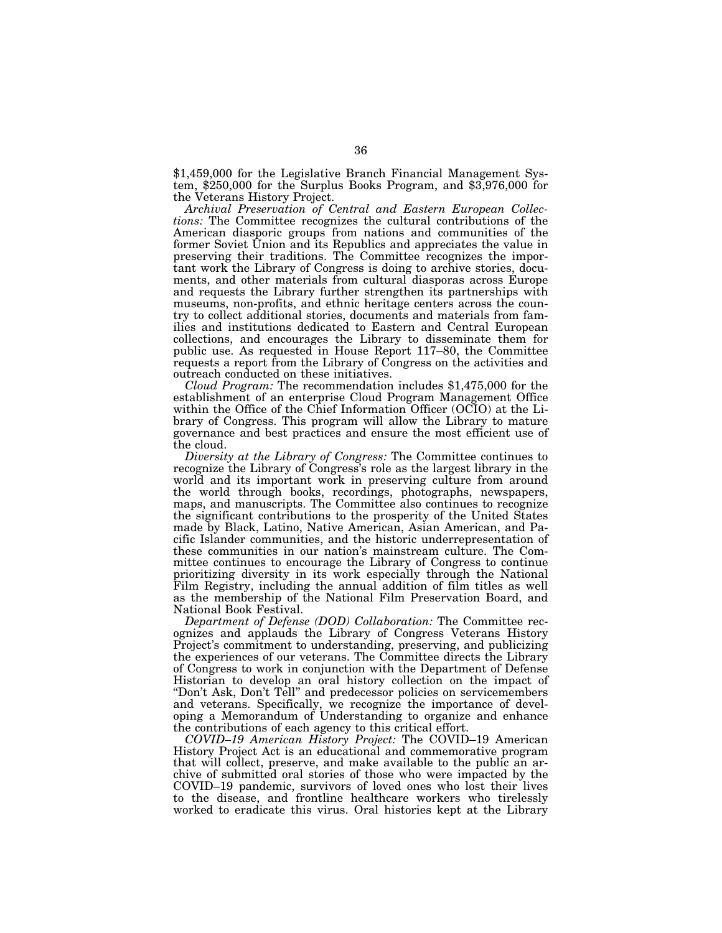\$1,459,000 for the Legislative Branch Financial Management System, \$250,000 for the Surplus Books Program, and \$3,976,000 for the Veterans History Project.

*Archival Preservation of Central and Eastern European Collections:* The Committee recognizes the cultural contributions of the American diasporic groups from nations and communities of the former Soviet Union and its Republics and appreciates the value in preserving their traditions. The Committee recognizes the important work the Library of Congress is doing to archive stories, documents, and other materials from cultural diasporas across Europe and requests the Library further strengthen its partnerships with museums, non-profits, and ethnic heritage centers across the country to collect additional stories, documents and materials from families and institutions dedicated to Eastern and Central European collections, and encourages the Library to disseminate them for public use. As requested in House Report 117–80, the Committee requests a report from the Library of Congress on the activities and outreach conducted on these initiatives.

*Cloud Program:* The recommendation includes \$1,475,000 for the establishment of an enterprise Cloud Program Management Office within the Office of the Chief Information Officer (OCIO) at the Library of Congress. This program will allow the Library to mature governance and best practices and ensure the most efficient use of the cloud.

*Diversity at the Library of Congress:* The Committee continues to recognize the Library of Congress's role as the largest library in the world and its important work in preserving culture from around the world through books, recordings, photographs, newspapers, maps, and manuscripts. The Committee also continues to recognize the significant contributions to the prosperity of the United States made by Black, Latino, Native American, Asian American, and Pacific Islander communities, and the historic underrepresentation of these communities in our nation's mainstream culture. The Committee continues to encourage the Library of Congress to continue prioritizing diversity in its work especially through the National Film Registry, including the annual addition of film titles as well as the membership of the National Film Preservation Board, and National Book Festival.

*Department of Defense (DOD) Collaboration:* The Committee recognizes and applauds the Library of Congress Veterans History Project's commitment to understanding, preserving, and publicizing the experiences of our veterans. The Committee directs the Library of Congress to work in conjunction with the Department of Defense Historian to develop an oral history collection on the impact of "Don't Ask, Don't Tell" and predecessor policies on servicemembers and veterans. Specifically, we recognize the importance of developing a Memorandum of Understanding to organize and enhance the contributions of each agency to this critical effort.

*COVID–19 American History Project:* The COVID–19 American History Project Act is an educational and commemorative program that will collect, preserve, and make available to the public an archive of submitted oral stories of those who were impacted by the COVID–19 pandemic, survivors of loved ones who lost their lives to the disease, and frontline healthcare workers who tirelessly worked to eradicate this virus. Oral histories kept at the Library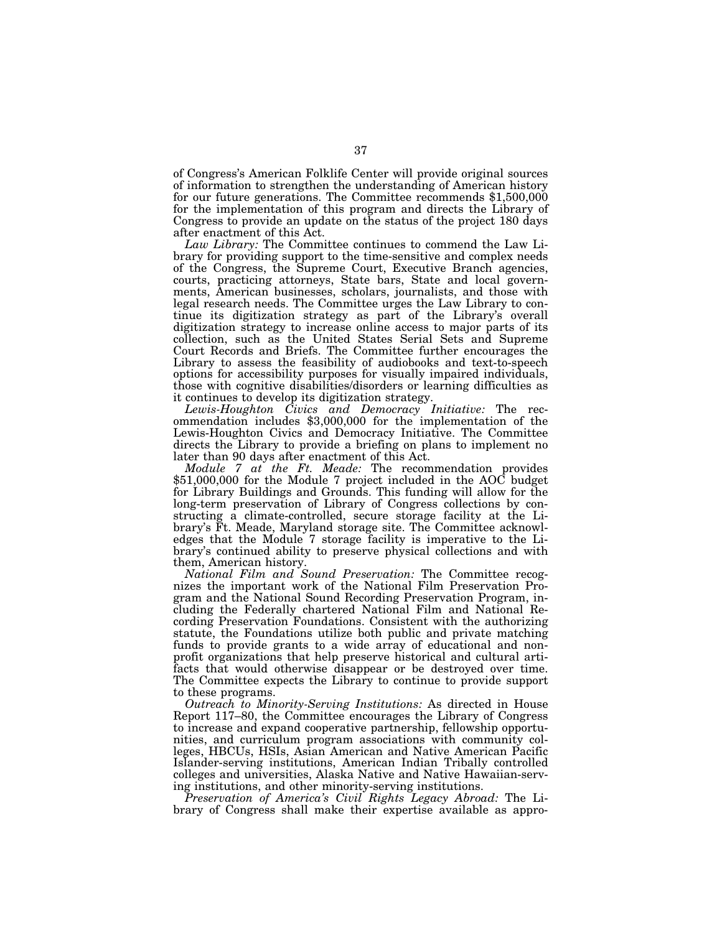of Congress's American Folklife Center will provide original sources of information to strengthen the understanding of American history for our future generations. The Committee recommends \$1,500,000 for the implementation of this program and directs the Library of Congress to provide an update on the status of the project 180 days after enactment of this Act.

*Law Library:* The Committee continues to commend the Law Library for providing support to the time-sensitive and complex needs of the Congress, the Supreme Court, Executive Branch agencies, courts, practicing attorneys, State bars, State and local governments, American businesses, scholars, journalists, and those with legal research needs. The Committee urges the Law Library to continue its digitization strategy as part of the Library's overall digitization strategy to increase online access to major parts of its collection, such as the United States Serial Sets and Supreme Court Records and Briefs. The Committee further encourages the Library to assess the feasibility of audiobooks and text-to-speech options for accessibility purposes for visually impaired individuals, those with cognitive disabilities/disorders or learning difficulties as it continues to develop its digitization strategy.

*Lewis-Houghton Civics and Democracy Initiative:* The recommendation includes \$3,000,000 for the implementation of the Lewis-Houghton Civics and Democracy Initiative. The Committee directs the Library to provide a briefing on plans to implement no later than 90 days after enactment of this Act.<br>Module 7 at the Ft. Meade: The recommendation provides

 $$51,000,000$  for the Module 7 project included in the AOC budget for Library Buildings and Grounds. This funding will allow for the long-term preservation of Library of Congress collections by constructing a climate-controlled, secure storage facility at the Library's Ft. Meade, Maryland storage site. The Committee acknowledges that the Module 7 storage facility is imperative to the Library's continued ability to preserve physical collections and with them, American history.

*National Film and Sound Preservation:* The Committee recognizes the important work of the National Film Preservation Program and the National Sound Recording Preservation Program, including the Federally chartered National Film and National Recording Preservation Foundations. Consistent with the authorizing statute, the Foundations utilize both public and private matching funds to provide grants to a wide array of educational and nonprofit organizations that help preserve historical and cultural artifacts that would otherwise disappear or be destroyed over time. The Committee expects the Library to continue to provide support to these programs.

*Outreach to Minority-Serving Institutions:* As directed in House Report 117–80, the Committee encourages the Library of Congress to increase and expand cooperative partnership, fellowship opportunities, and curriculum program associations with community colleges, HBCUs, HSIs, Asian American and Native American Pacific Islander-serving institutions, American Indian Tribally controlled colleges and universities, Alaska Native and Native Hawaiian-serving institutions, and other minority-serving institutions.

*Preservation of America's Civil Rights Legacy Abroad:* The Library of Congress shall make their expertise available as appro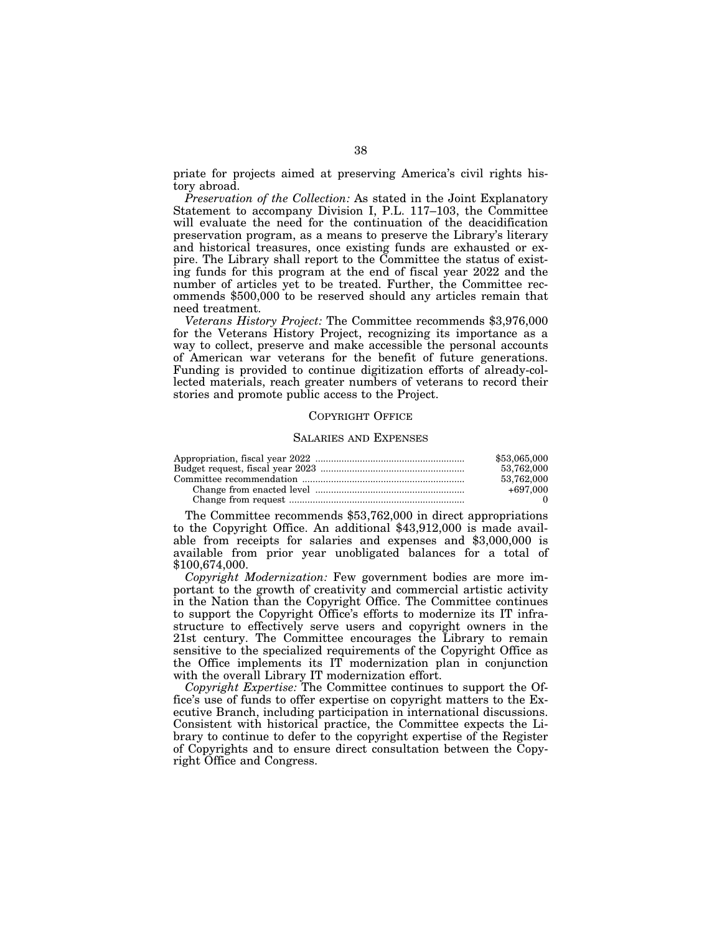priate for projects aimed at preserving America's civil rights history abroad.

*Preservation of the Collection:* As stated in the Joint Explanatory Statement to accompany Division I, P.L. 117–103, the Committee will evaluate the need for the continuation of the deacidification preservation program, as a means to preserve the Library's literary and historical treasures, once existing funds are exhausted or expire. The Library shall report to the Committee the status of existing funds for this program at the end of fiscal year 2022 and the number of articles yet to be treated. Further, the Committee recommends \$500,000 to be reserved should any articles remain that need treatment.

*Veterans History Project:* The Committee recommends \$3,976,000 for the Veterans History Project, recognizing its importance as a way to collect, preserve and make accessible the personal accounts of American war veterans for the benefit of future generations. Funding is provided to continue digitization efforts of already-collected materials, reach greater numbers of veterans to record their stories and promote public access to the Project.

### COPYRIGHT OFFICE

### SALARIES AND EXPENSES

| \$53,065,000 |
|--------------|
| 53.762,000   |
| 53.762,000   |
| +697.000     |
|              |

The Committee recommends \$53,762,000 in direct appropriations to the Copyright Office. An additional \$43,912,000 is made available from receipts for salaries and expenses and \$3,000,000 is available from prior year unobligated balances for a total of \$100,674,000.

*Copyright Modernization:* Few government bodies are more important to the growth of creativity and commercial artistic activity in the Nation than the Copyright Office. The Committee continues to support the Copyright Office's efforts to modernize its IT infrastructure to effectively serve users and copyright owners in the 21st century. The Committee encourages the Library to remain sensitive to the specialized requirements of the Copyright Office as the Office implements its IT modernization plan in conjunction with the overall Library IT modernization effort.

*Copyright Expertise:* The Committee continues to support the Office's use of funds to offer expertise on copyright matters to the Executive Branch, including participation in international discussions. Consistent with historical practice, the Committee expects the Library to continue to defer to the copyright expertise of the Register of Copyrights and to ensure direct consultation between the Copyright Office and Congress.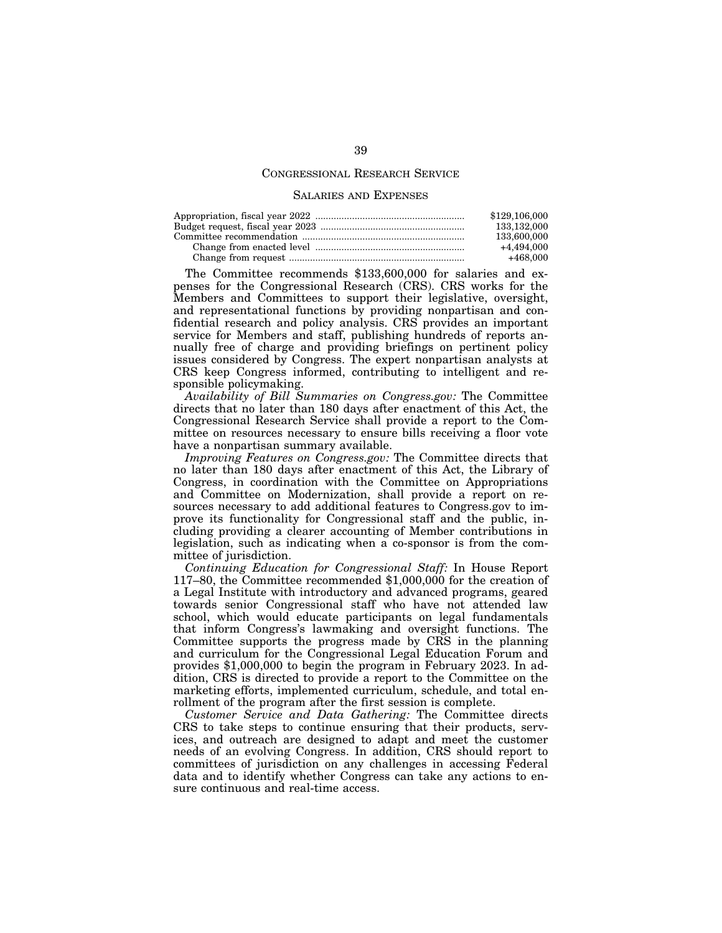# CONGRESSIONAL RESEARCH SERVICE

### SALARIES AND EXPENSES

| \$129,106,000 |
|---------------|
| 133.132.000   |
| 133,600,000   |
| +4.494.000    |
| +468,000      |

The Committee recommends \$133,600,000 for salaries and expenses for the Congressional Research (CRS). CRS works for the Members and Committees to support their legislative, oversight, and representational functions by providing nonpartisan and confidential research and policy analysis. CRS provides an important service for Members and staff, publishing hundreds of reports annually free of charge and providing briefings on pertinent policy issues considered by Congress. The expert nonpartisan analysts at CRS keep Congress informed, contributing to intelligent and responsible policymaking.

*Availability of Bill Summaries on Congress.gov:* The Committee directs that no later than 180 days after enactment of this Act, the Congressional Research Service shall provide a report to the Committee on resources necessary to ensure bills receiving a floor vote have a nonpartisan summary available.

*Improving Features on Congress.gov:* The Committee directs that no later than 180 days after enactment of this Act, the Library of Congress, in coordination with the Committee on Appropriations and Committee on Modernization, shall provide a report on resources necessary to add additional features to Congress.gov to improve its functionality for Congressional staff and the public, including providing a clearer accounting of Member contributions in legislation, such as indicating when a co-sponsor is from the committee of jurisdiction.

*Continuing Education for Congressional Staff:* In House Report 117–80, the Committee recommended \$1,000,000 for the creation of a Legal Institute with introductory and advanced programs, geared towards senior Congressional staff who have not attended law school, which would educate participants on legal fundamentals that inform Congress's lawmaking and oversight functions. The Committee supports the progress made by CRS in the planning and curriculum for the Congressional Legal Education Forum and provides \$1,000,000 to begin the program in February 2023. In addition, CRS is directed to provide a report to the Committee on the marketing efforts, implemented curriculum, schedule, and total enrollment of the program after the first session is complete.

*Customer Service and Data Gathering:* The Committee directs CRS to take steps to continue ensuring that their products, services, and outreach are designed to adapt and meet the customer needs of an evolving Congress. In addition, CRS should report to committees of jurisdiction on any challenges in accessing Federal data and to identify whether Congress can take any actions to ensure continuous and real-time access.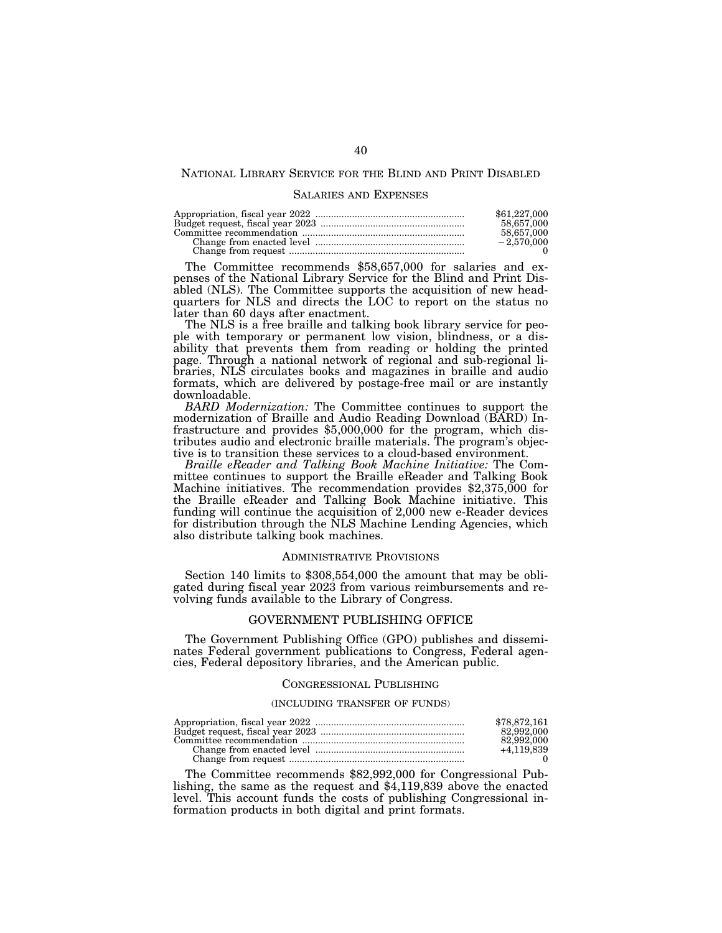# NATIONAL LIBRARY SERVICE FOR THE BLIND AND PRINT DISABLED

### SALARIES AND EXPENSES

| \$61,227,000 |
|--------------|
| 58,657,000   |
| 58,657,000   |
| $-2.570.000$ |

The Committee recommends \$58,657,000 for salaries and expenses of the National Library Service for the Blind and Print Disabled (NLS). The Committee supports the acquisition of new headquarters for NLS and directs the LOC to report on the status no later than 60 days after enactment.

The NLS is a free braille and talking book library service for people with temporary or permanent low vision, blindness, or a disability that prevents them from reading or holding the printed page. Through a national network of regional and sub-regional libraries, NLS circulates books and magazines in braille and audio formats, which are delivered by postage-free mail or are instantly downloadable.

*BARD Modernization:* The Committee continues to support the modernization of Braille and Audio Reading Download (BARD) Infrastructure and provides \$5,000,000 for the program, which distributes audio and electronic braille materials. The program's objective is to transition these services to a cloud-based environment.

*Braille eReader and Talking Book Machine Initiative:* The Committee continues to support the Braille eReader and Talking Book Machine initiatives. The recommendation provides  $$2,375,000$  for the Braille eReader and Talking Book Machine initiative. This funding will continue the acquisition of 2,000 new e-Reader devices for distribution through the NLS Machine Lending Agencies, which also distribute talking book machines.

# ADMINISTRATIVE PROVISIONS

Section 140 limits to \$308,554,000 the amount that may be obligated during fiscal year 2023 from various reimbursements and revolving funds available to the Library of Congress.

# GOVERNMENT PUBLISHING OFFICE

The Government Publishing Office (GPO) publishes and disseminates Federal government publications to Congress, Federal agencies, Federal depository libraries, and the American public.

# CONGRESSIONAL PUBLISHING

### (INCLUDING TRANSFER OF FUNDS)

|  | \$78.872.161<br>82,992,000<br>82,992,000<br>$+4.119.839$ |
|--|----------------------------------------------------------|
|--|----------------------------------------------------------|

The Committee recommends \$82,992,000 for Congressional Publishing, the same as the request and \$4,119,839 above the enacted level. This account funds the costs of publishing Congressional information products in both digital and print formats.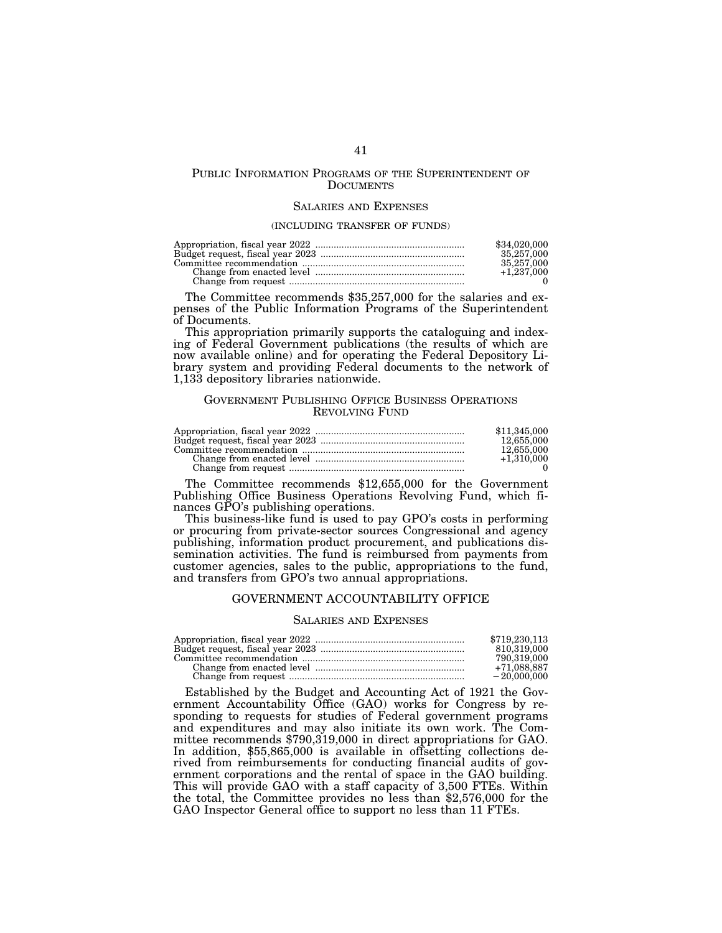# PUBLIC INFORMATION PROGRAMS OF THE SUPERINTENDENT OF **DOCUMENTS**

# SALARIES AND EXPENSES

### (INCLUDING TRANSFER OF FUNDS)

| \$34,020,000 |
|--------------|
| 35,257,000   |
| 35,257,000   |
| $+1.237.000$ |
|              |

The Committee recommends \$35,257,000 for the salaries and expenses of the Public Information Programs of the Superintendent of Documents.

This appropriation primarily supports the cataloguing and indexing of Federal Government publications (the results of which are now available online) and for operating the Federal Depository Library system and providing Federal documents to the network of 1,133 depository libraries nationwide.

# GOVERNMENT PUBLISHING OFFICE BUSINESS OPERATIONS REVOLVING FUND

| \$11.345.000 |
|--------------|
| 12.655.000   |
| 12.655.000   |
| $+1.310,000$ |
|              |

The Committee recommends \$12,655,000 for the Government Publishing Office Business Operations Revolving Fund, which finances GPO's publishing operations.

This business-like fund is used to pay GPO's costs in performing or procuring from private-sector sources Congressional and agency publishing, information product procurement, and publications dissemination activities. The fund is reimbursed from payments from customer agencies, sales to the public, appropriations to the fund, and transfers from GPO's two annual appropriations.

### GOVERNMENT ACCOUNTABILITY OFFICE

### SALARIES AND EXPENSES

| \$719,230,113 |
|---------------|
| 810.319.000   |
| 790.319.000   |
| +71.088.887   |
| $-20,000,000$ |

Established by the Budget and Accounting Act of 1921 the Government Accountability Office (GAO) works for Congress by responding to requests for studies of Federal government programs and expenditures and may also initiate its own work. The Committee recommends \$790,319,000 in direct appropriations for GAO. In addition, \$55,865,000 is available in offsetting collections derived from reimbursements for conducting financial audits of government corporations and the rental of space in the GAO building. This will provide GAO with a staff capacity of 3,500 FTEs. Within the total, the Committee provides no less than \$2,576,000 for the GAO Inspector General office to support no less than 11 FTEs.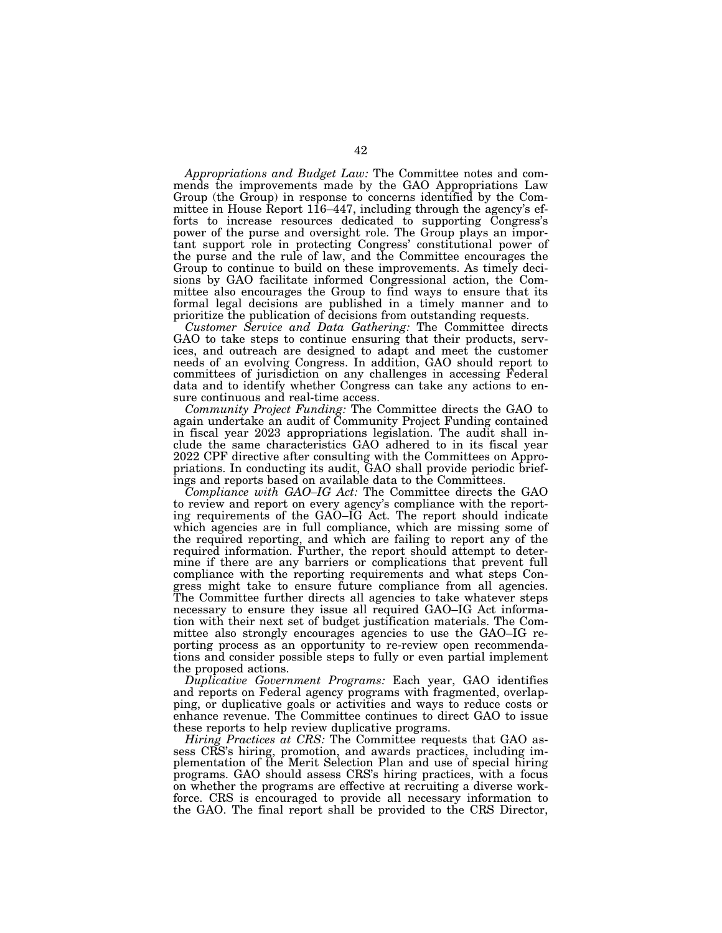*Appropriations and Budget Law:* The Committee notes and commends the improvements made by the GAO Appropriations Law Group (the Group) in response to concerns identified by the Committee in House Report 116–447, including through the agency's efforts to increase resources dedicated to supporting Congress's power of the purse and oversight role. The Group plays an important support role in protecting Congress' constitutional power of the purse and the rule of law, and the Committee encourages the Group to continue to build on these improvements. As timely decisions by GAO facilitate informed Congressional action, the Committee also encourages the Group to find ways to ensure that its formal legal decisions are published in a timely manner and to prioritize the publication of decisions from outstanding requests.

*Customer Service and Data Gathering:* The Committee directs GAO to take steps to continue ensuring that their products, services, and outreach are designed to adapt and meet the customer needs of an evolving Congress. In addition, GAO should report to committees of jurisdiction on any challenges in accessing Federal data and to identify whether Congress can take any actions to ensure continuous and real-time access.

*Community Project Funding:* The Committee directs the GAO to again undertake an audit of Community Project Funding contained in fiscal year 2023 appropriations legislation. The audit shall include the same characteristics GAO adhered to in its fiscal year 2022 CPF directive after consulting with the Committees on Appropriations. In conducting its audit, GAO shall provide periodic briefings and reports based on available data to the Committees.

*Compliance with GAO–IG Act:* The Committee directs the GAO to review and report on every agency's compliance with the reporting requirements of the GAO–IG Act. The report should indicate which agencies are in full compliance, which are missing some of the required reporting, and which are failing to report any of the required information. Further, the report should attempt to determine if there are any barriers or complications that prevent full compliance with the reporting requirements and what steps Congress might take to ensure future compliance from all agencies. The Committee further directs all agencies to take whatever steps necessary to ensure they issue all required GAO–IG Act information with their next set of budget justification materials. The Committee also strongly encourages agencies to use the GAO–IG reporting process as an opportunity to re-review open recommendations and consider possible steps to fully or even partial implement the proposed actions.

*Duplicative Government Programs:* Each year, GAO identifies and reports on Federal agency programs with fragmented, overlapping, or duplicative goals or activities and ways to reduce costs or enhance revenue. The Committee continues to direct GAO to issue these reports to help review duplicative programs.

*Hiring Practices at CRS:* The Committee requests that GAO assess CRS's hiring, promotion, and awards practices, including implementation of the Merit Selection Plan and use of special hiring programs. GAO should assess CRS's hiring practices, with a focus on whether the programs are effective at recruiting a diverse workforce. CRS is encouraged to provide all necessary information to the GAO. The final report shall be provided to the CRS Director,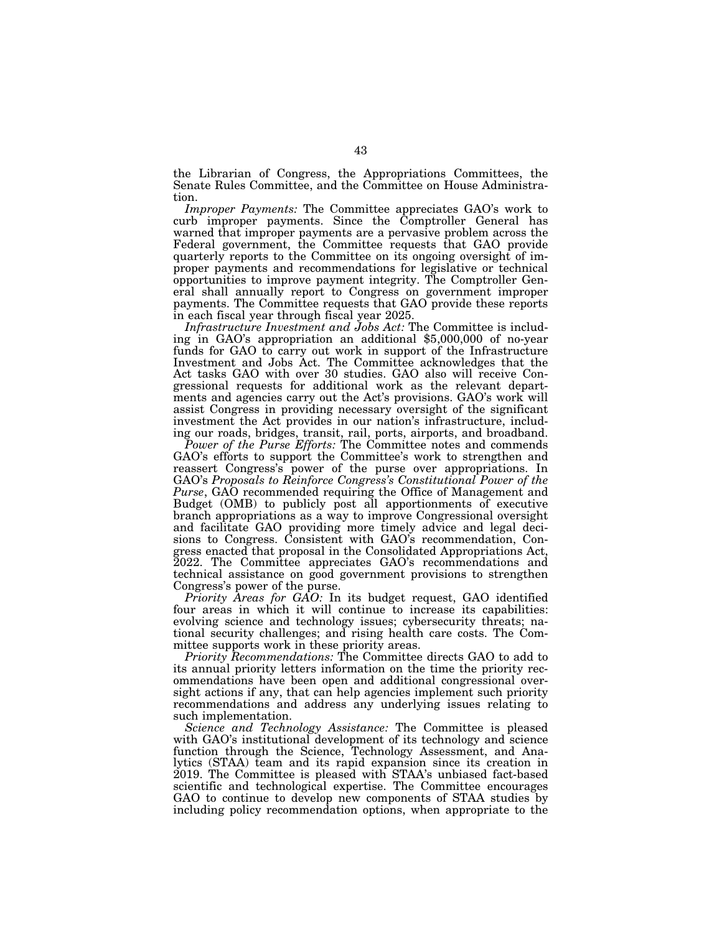the Librarian of Congress, the Appropriations Committees, the Senate Rules Committee, and the Committee on House Administration.

*Improper Payments:* The Committee appreciates GAO's work to curb improper payments. Since the Comptroller General has warned that improper payments are a pervasive problem across the Federal government, the Committee requests that GAO provide quarterly reports to the Committee on its ongoing oversight of improper payments and recommendations for legislative or technical opportunities to improve payment integrity. The Comptroller General shall annually report to Congress on government improper payments. The Committee requests that GAO provide these reports in each fiscal year through fiscal year 2025.

*Infrastructure Investment and Jobs Act:* The Committee is including in GAO's appropriation an additional \$5,000,000 of no-year funds for GAO to carry out work in support of the Infrastructure Investment and Jobs Act. The Committee acknowledges that the Act tasks GAO with over 30 studies. GAO also will receive Congressional requests for additional work as the relevant departments and agencies carry out the Act's provisions. GAO's work will assist Congress in providing necessary oversight of the significant investment the Act provides in our nation's infrastructure, including our roads, bridges, transit, rail, ports, airports, and broadband.

Power of the Purse Efforts: The Committee notes and commends GAO's efforts to support the Committee's work to strengthen and reassert Congress's power of the purse over appropriations. In GAO's *Proposals to Reinforce Congress's Constitutional Power of the Purse*, GAO recommended requiring the Office of Management and Budget (OMB) to publicly post all apportionments of executive branch appropriations as a way to improve Congressional oversight and facilitate GAO providing more timely advice and legal decisions to Congress. Consistent with GAO's recommendation, Congress enacted that proposal in the Consolidated Appropriations Act, 2022. The Committee appreciates GAO's recommendations and technical assistance on good government provisions to strengthen Congress's power of the purse.

*Priority Areas for GAO:* In its budget request, GAO identified four areas in which it will continue to increase its capabilities: evolving science and technology issues; cybersecurity threats; national security challenges; and rising health care costs. The Committee supports work in these priority areas.

*Priority Recommendations:* The Committee directs GAO to add to its annual priority letters information on the time the priority recommendations have been open and additional congressional oversight actions if any, that can help agencies implement such priority recommendations and address any underlying issues relating to such implementation.

*Science and Technology Assistance:* The Committee is pleased with GAO's institutional development of its technology and science function through the Science, Technology Assessment, and Analytics (STAA) team and its rapid expansion since its creation in 2019. The Committee is pleased with STAA's unbiased fact-based scientific and technological expertise. The Committee encourages GAO to continue to develop new components of STAA studies by including policy recommendation options, when appropriate to the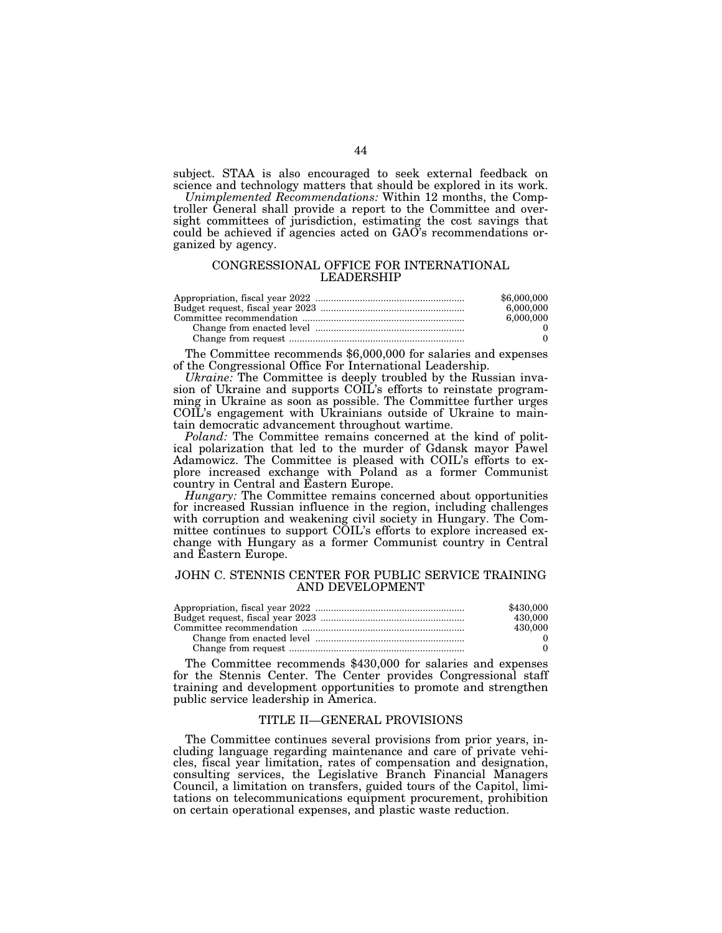subject. STAA is also encouraged to seek external feedback on science and technology matters that should be explored in its work.

*Unimplemented Recommendations:* Within 12 months, the Comptroller General shall provide a report to the Committee and oversight committees of jurisdiction, estimating the cost savings that could be achieved if agencies acted on GAO's recommendations organized by agency.

# CONGRESSIONAL OFFICE FOR INTERNATIONAL LEADERSHIP

| \$6,000,000<br>6.000.000 |
|--------------------------|
|                          |
| 6.000.000                |
|                          |
| 0                        |

The Committee recommends \$6,000,000 for salaries and expenses of the Congressional Office For International Leadership.

*Ukraine:* The Committee is deeply troubled by the Russian invasion of Ukraine and supports COIL's efforts to reinstate programming in Ukraine as soon as possible. The Committee further urges COIL's engagement with Ukrainians outside of Ukraine to maintain democratic advancement throughout wartime.

*Poland:* The Committee remains concerned at the kind of political polarization that led to the murder of Gdansk mayor Pawel Adamowicz. The Committee is pleased with COIL's efforts to explore increased exchange with Poland as a former Communist country in Central and Eastern Europe.

*Hungary:* The Committee remains concerned about opportunities for increased Russian influence in the region, including challenges with corruption and weakening civil society in Hungary. The Committee continues to support COIL's efforts to explore increased exchange with Hungary as a former Communist country in Central and Eastern Europe.

# JOHN C. STENNIS CENTER FOR PUBLIC SERVICE TRAINING AND DEVELOPMENT

| \$430,000 |
|-----------|
| 430,000   |
| 430,000   |
|           |
|           |

The Committee recommends \$430,000 for salaries and expenses for the Stennis Center. The Center provides Congressional staff training and development opportunities to promote and strengthen public service leadership in America.

# TITLE II—GENERAL PROVISIONS

The Committee continues several provisions from prior years, including language regarding maintenance and care of private vehicles, fiscal year limitation, rates of compensation and designation, consulting services, the Legislative Branch Financial Managers Council, a limitation on transfers, guided tours of the Capitol, limitations on telecommunications equipment procurement, prohibition on certain operational expenses, and plastic waste reduction.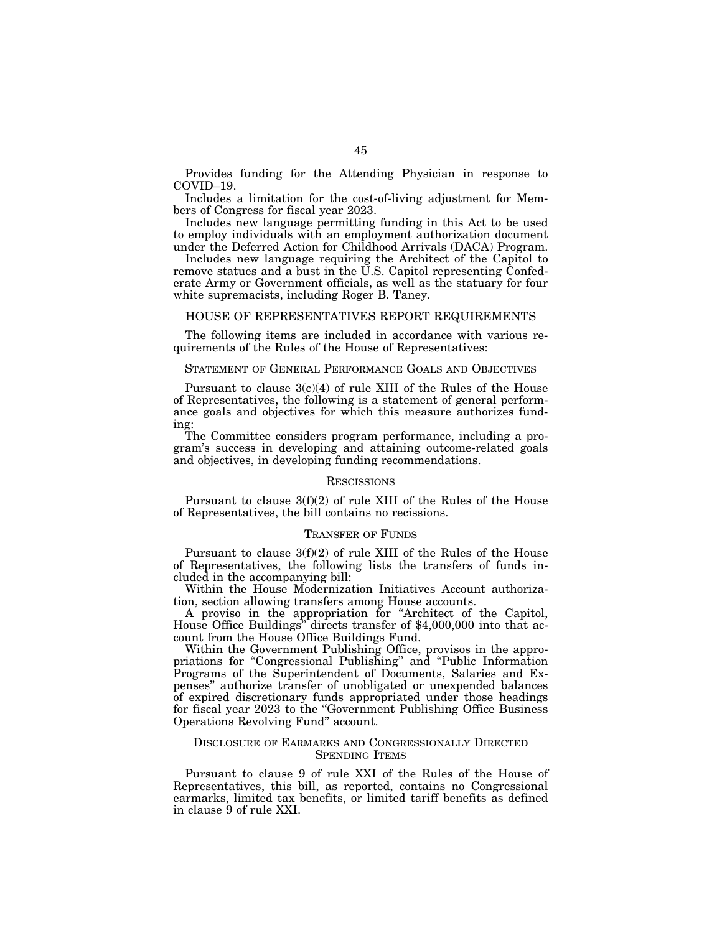Provides funding for the Attending Physician in response to COVID–19.

Includes a limitation for the cost-of-living adjustment for Members of Congress for fiscal year 2023.

Includes new language permitting funding in this Act to be used to employ individuals with an employment authorization document under the Deferred Action for Childhood Arrivals (DACA) Program.

Includes new language requiring the Architect of the Capitol to remove statues and a bust in the U.S. Capitol representing Confederate Army or Government officials, as well as the statuary for four white supremacists, including Roger B. Taney.

# HOUSE OF REPRESENTATIVES REPORT REQUIREMENTS

The following items are included in accordance with various requirements of the Rules of the House of Representatives:

# STATEMENT OF GENERAL PERFORMANCE GOALS AND OBJECTIVES

Pursuant to clause  $3(c)(4)$  of rule XIII of the Rules of the House of Representatives, the following is a statement of general performance goals and objectives for which this measure authorizes funding:

The Committee considers program performance, including a program's success in developing and attaining outcome-related goals and objectives, in developing funding recommendations.

## **RESCISSIONS**

Pursuant to clause 3(f)(2) of rule XIII of the Rules of the House of Representatives, the bill contains no recissions.

### TRANSFER OF FUNDS

Pursuant to clause 3(f)(2) of rule XIII of the Rules of the House of Representatives, the following lists the transfers of funds included in the accompanying bill:

Within the House Modernization Initiatives Account authorization, section allowing transfers among House accounts.

A proviso in the appropriation for ''Architect of the Capitol, House Office Buildings'' directs transfer of \$4,000,000 into that account from the House Office Buildings Fund.

Within the Government Publishing Office, provisos in the appropriations for ''Congressional Publishing'' and ''Public Information Programs of the Superintendent of Documents, Salaries and Expenses'' authorize transfer of unobligated or unexpended balances of expired discretionary funds appropriated under those headings for fiscal year 2023 to the ''Government Publishing Office Business Operations Revolving Fund'' account.

# DISCLOSURE OF EARMARKS AND CONGRESSIONALLY DIRECTED SPENDING ITEMS

Pursuant to clause 9 of rule XXI of the Rules of the House of Representatives, this bill, as reported, contains no Congressional earmarks, limited tax benefits, or limited tariff benefits as defined in clause 9 of rule XXI.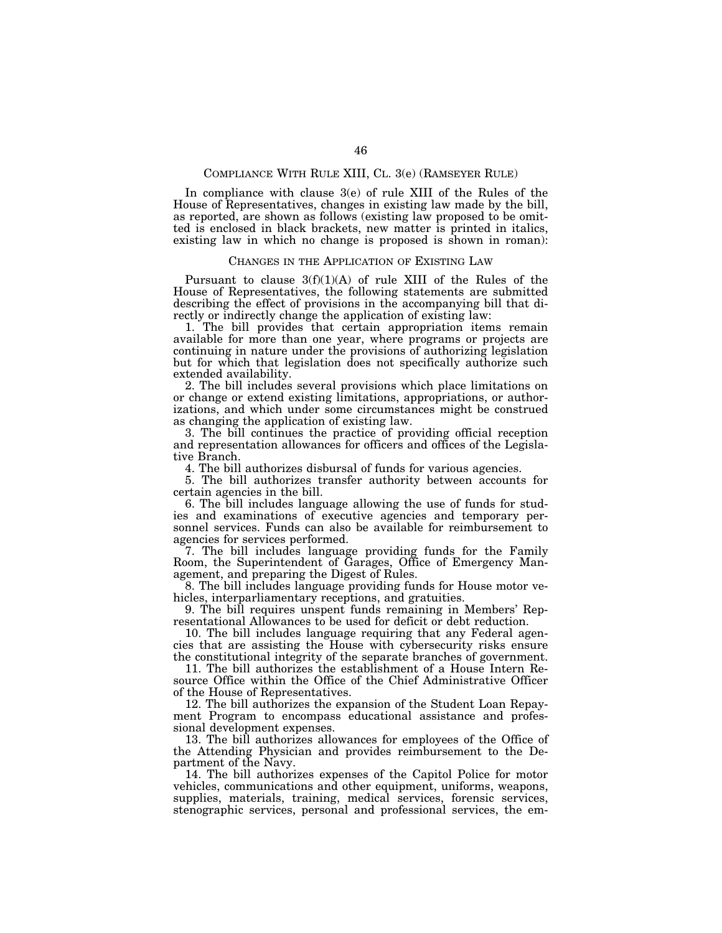# COMPLIANCE WITH RULE XIII, CL. 3(e) (RAMSEYER RULE)

In compliance with clause 3(e) of rule XIII of the Rules of the House of Representatives, changes in existing law made by the bill, as reported, are shown as follows (existing law proposed to be omitted is enclosed in black brackets, new matter is printed in italics, existing law in which no change is proposed is shown in roman):

# CHANGES IN THE APPLICATION OF EXISTING LAW

Pursuant to clause  $3(f)(1)(A)$  of rule XIII of the Rules of the House of Representatives, the following statements are submitted describing the effect of provisions in the accompanying bill that directly or indirectly change the application of existing law:

1. The bill provides that certain appropriation items remain available for more than one year, where programs or projects are continuing in nature under the provisions of authorizing legislation but for which that legislation does not specifically authorize such extended availability.

2. The bill includes several provisions which place limitations on or change or extend existing limitations, appropriations, or authorizations, and which under some circumstances might be construed as changing the application of existing law.

3. The bill continues the practice of providing official reception and representation allowances for officers and offices of the Legislative Branch.

4. The bill authorizes disbursal of funds for various agencies.

5. The bill authorizes transfer authority between accounts for certain agencies in the bill.

6. The bill includes language allowing the use of funds for studies and examinations of executive agencies and temporary personnel services. Funds can also be available for reimbursement to agencies for services performed.

7. The bill includes language providing funds for the Family Room, the Superintendent of Garages, Office of Emergency Management, and preparing the Digest of Rules.

8. The bill includes language providing funds for House motor vehicles, interparliamentary receptions, and gratuities.

9. The bill requires unspent funds remaining in Members' Representational Allowances to be used for deficit or debt reduction.

10. The bill includes language requiring that any Federal agencies that are assisting the House with cybersecurity risks ensure the constitutional integrity of the separate branches of government.

11. The bill authorizes the establishment of a House Intern Resource Office within the Office of the Chief Administrative Officer of the House of Representatives.

12. The bill authorizes the expansion of the Student Loan Repayment Program to encompass educational assistance and professional development expenses.

13. The bill authorizes allowances for employees of the Office of the Attending Physician and provides reimbursement to the Department of the Navy.

14. The bill authorizes expenses of the Capitol Police for motor vehicles, communications and other equipment, uniforms, weapons, supplies, materials, training, medical services, forensic services, stenographic services, personal and professional services, the em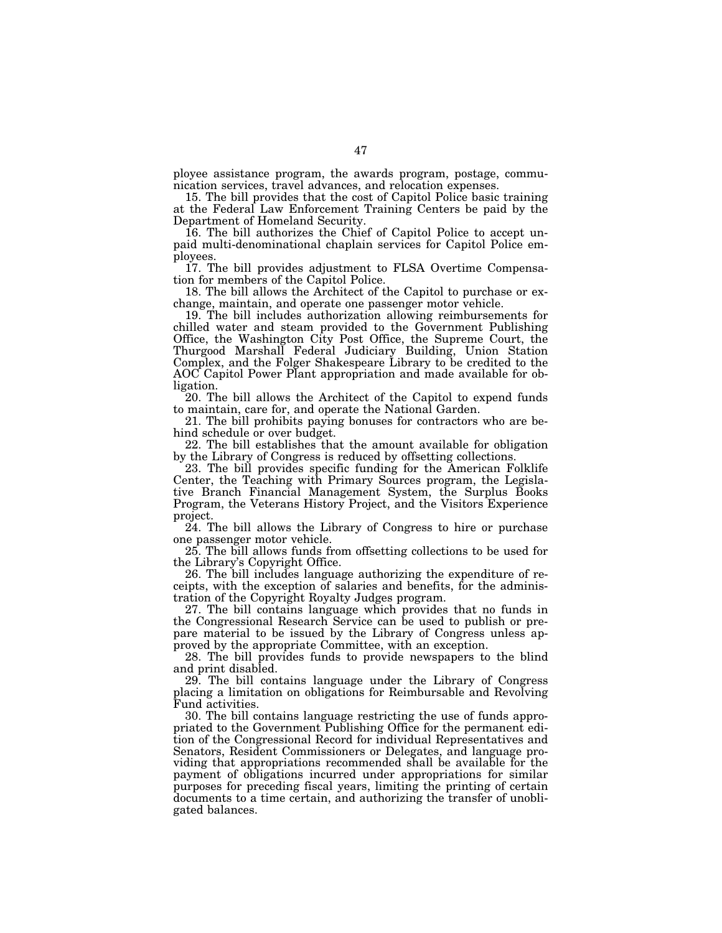ployee assistance program, the awards program, postage, communication services, travel advances, and relocation expenses.

15. The bill provides that the cost of Capitol Police basic training at the Federal Law Enforcement Training Centers be paid by the Department of Homeland Security.

16. The bill authorizes the Chief of Capitol Police to accept unpaid multi-denominational chaplain services for Capitol Police employees.

17. The bill provides adjustment to FLSA Overtime Compensation for members of the Capitol Police.

18. The bill allows the Architect of the Capitol to purchase or exchange, maintain, and operate one passenger motor vehicle.

19. The bill includes authorization allowing reimbursements for chilled water and steam provided to the Government Publishing Office, the Washington City Post Office, the Supreme Court, the Thurgood Marshall Federal Judiciary Building, Union Station Complex, and the Folger Shakespeare Library to be credited to the AOC Capitol Power Plant appropriation and made available for obligation.

20. The bill allows the Architect of the Capitol to expend funds to maintain, care for, and operate the National Garden.

21. The bill prohibits paying bonuses for contractors who are behind schedule or over budget.

22. The bill establishes that the amount available for obligation by the Library of Congress is reduced by offsetting collections.

23. The bill provides specific funding for the American Folklife Center, the Teaching with Primary Sources program, the Legislative Branch Financial Management System, the Surplus Books Program, the Veterans History Project, and the Visitors Experience project.

24. The bill allows the Library of Congress to hire or purchase one passenger motor vehicle.

25. The bill allows funds from offsetting collections to be used for the Library's Copyright Office.

26. The bill includes language authorizing the expenditure of receipts, with the exception of salaries and benefits, for the administration of the Copyright Royalty Judges program.

27. The bill contains language which provides that no funds in the Congressional Research Service can be used to publish or prepare material to be issued by the Library of Congress unless approved by the appropriate Committee, with an exception.

28. The bill provides funds to provide newspapers to the blind and print disabled.

29. The bill contains language under the Library of Congress placing a limitation on obligations for Reimbursable and Revolving Fund activities.

30. The bill contains language restricting the use of funds appropriated to the Government Publishing Office for the permanent edition of the Congressional Record for individual Representatives and Senators, Resident Commissioners or Delegates, and language providing that appropriations recommended shall be available for the payment of obligations incurred under appropriations for similar purposes for preceding fiscal years, limiting the printing of certain documents to a time certain, and authorizing the transfer of unobligated balances.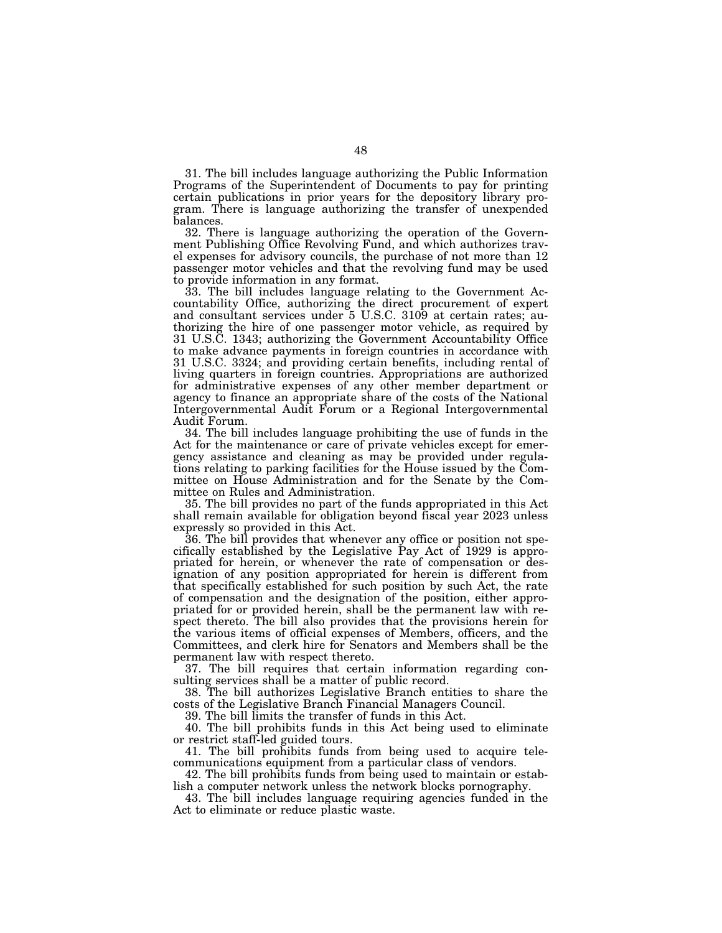31. The bill includes language authorizing the Public Information Programs of the Superintendent of Documents to pay for printing certain publications in prior years for the depository library program. There is language authorizing the transfer of unexpended balances.

32. There is language authorizing the operation of the Government Publishing Office Revolving Fund, and which authorizes travel expenses for advisory councils, the purchase of not more than 12 passenger motor vehicles and that the revolving fund may be used to provide information in any format.

33. The bill includes language relating to the Government Accountability Office, authorizing the direct procurement of expert and consultant services under 5 U.S.C. 3109 at certain rates; authorizing the hire of one passenger motor vehicle, as required by 31 U.S.C. 1343; authorizing the Government Accountability Office to make advance payments in foreign countries in accordance with 31 U.S.C. 3324; and providing certain benefits, including rental of living quarters in foreign countries. Appropriations are authorized for administrative expenses of any other member department or agency to finance an appropriate share of the costs of the National Intergovernmental Audit Forum or a Regional Intergovernmental Audit Forum.

34. The bill includes language prohibiting the use of funds in the Act for the maintenance or care of private vehicles except for emergency assistance and cleaning as may be provided under regulations relating to parking facilities for the House issued by the Committee on House Administration and for the Senate by the Committee on Rules and Administration.

35. The bill provides no part of the funds appropriated in this Act shall remain available for obligation beyond fiscal year 2023 unless expressly so provided in this Act.

36. The bill provides that whenever any office or position not specifically established by the Legislative Pay Act of 1929 is appropriated for herein, or whenever the rate of compensation or designation of any position appropriated for herein is different from that specifically established for such position by such Act, the rate of compensation and the designation of the position, either appropriated for or provided herein, shall be the permanent law with respect thereto. The bill also provides that the provisions herein for the various items of official expenses of Members, officers, and the Committees, and clerk hire for Senators and Members shall be the permanent law with respect thereto.

37. The bill requires that certain information regarding consulting services shall be a matter of public record.

38. The bill authorizes Legislative Branch entities to share the costs of the Legislative Branch Financial Managers Council.

39. The bill limits the transfer of funds in this Act.

40. The bill prohibits funds in this Act being used to eliminate or restrict staff-led guided tours.

41. The bill prohibits funds from being used to acquire telecommunications equipment from a particular class of vendors.

42. The bill prohibits funds from being used to maintain or establish a computer network unless the network blocks pornography.

43. The bill includes language requiring agencies funded in the Act to eliminate or reduce plastic waste.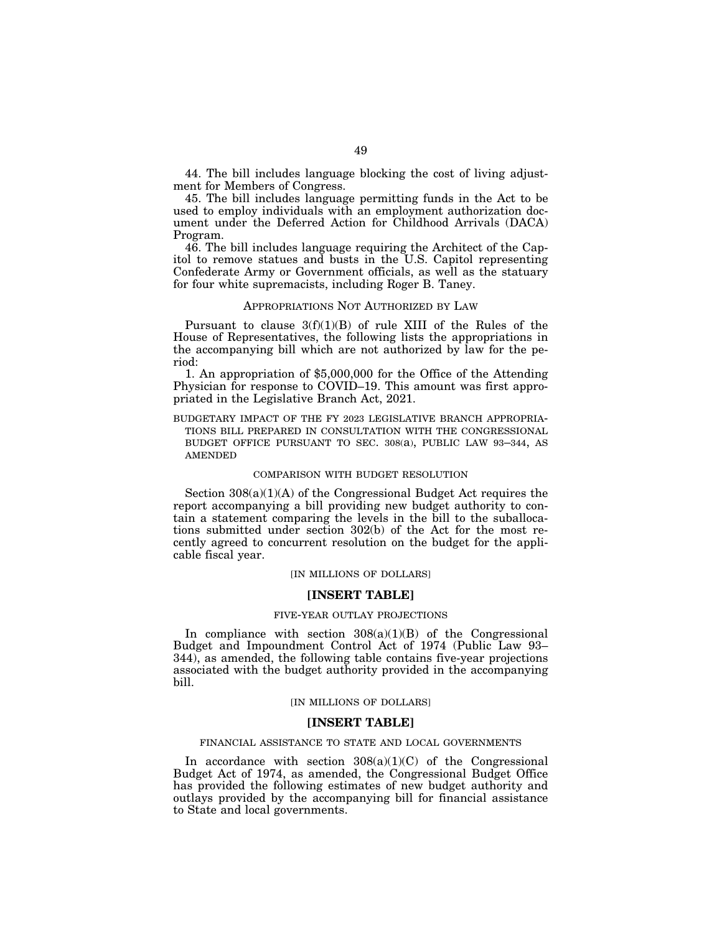44. The bill includes language blocking the cost of living adjustment for Members of Congress.

45. The bill includes language permitting funds in the Act to be used to employ individuals with an employment authorization document under the Deferred Action for Childhood Arrivals (DACA) Program.

46. The bill includes language requiring the Architect of the Capitol to remove statues and busts in the U.S. Capitol representing Confederate Army or Government officials, as well as the statuary for four white supremacists, including Roger B. Taney.

# APPROPRIATIONS NOT AUTHORIZED BY LAW

Pursuant to clause  $3(f)(1)(B)$  of rule XIII of the Rules of the House of Representatives, the following lists the appropriations in the accompanying bill which are not authorized by law for the period:

1. An appropriation of \$5,000,000 for the Office of the Attending Physician for response to COVID–19. This amount was first appropriated in the Legislative Branch Act, 2021.

BUDGETARY IMPACT OF THE FY 2023 LEGISLATIVE BRANCH APPROPRIA-TIONS BILL PREPARED IN CONSULTATION WITH THE CONGRESSIONAL BUDGET OFFICE PURSUANT TO SEC. 308(a), PUBLIC LAW 93–344, AS AMENDED

### COMPARISON WITH BUDGET RESOLUTION

Section 308(a)(1)(A) of the Congressional Budget Act requires the report accompanying a bill providing new budget authority to contain a statement comparing the levels in the bill to the suballocations submitted under section 302(b) of the Act for the most recently agreed to concurrent resolution on the budget for the applicable fiscal year.

### [IN MILLIONS OF DOLLARS]

# **[INSERT TABLE]**

## FIVE-YEAR OUTLAY PROJECTIONS

In compliance with section  $308(a)(1)(B)$  of the Congressional Budget and Impoundment Control Act of 1974 (Public Law 93– 344), as amended, the following table contains five-year projections associated with the budget authority provided in the accompanying bill.

### [IN MILLIONS OF DOLLARS]

# **[INSERT TABLE]**

### FINANCIAL ASSISTANCE TO STATE AND LOCAL GOVERNMENTS

In accordance with section  $308(a)(1)(C)$  of the Congressional Budget Act of 1974, as amended, the Congressional Budget Office has provided the following estimates of new budget authority and outlays provided by the accompanying bill for financial assistance to State and local governments.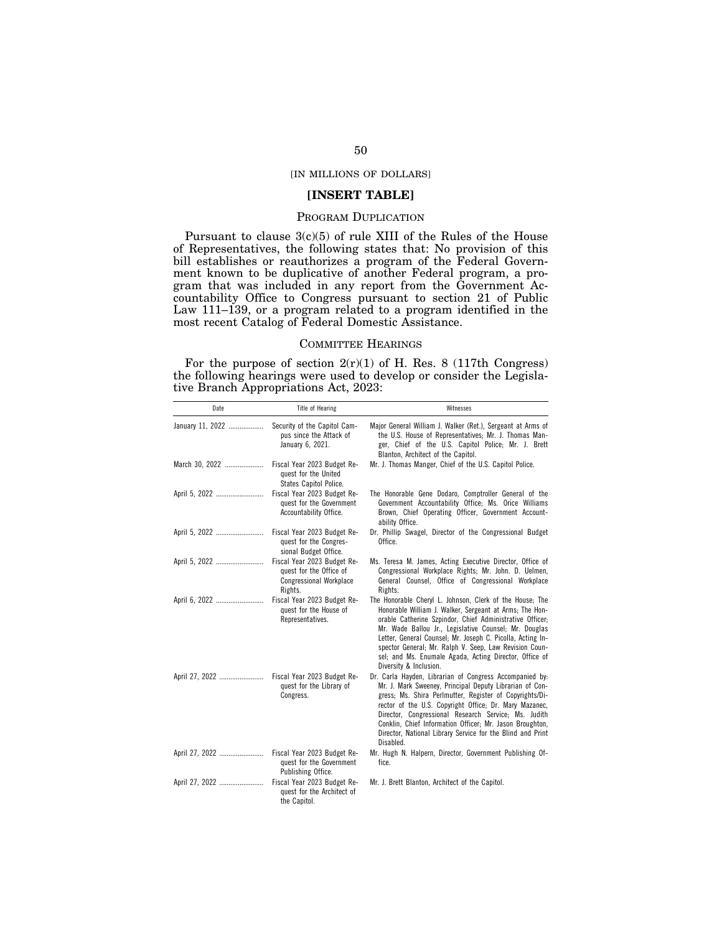# [IN MILLIONS OF DOLLARS]

# **[INSERT TABLE]**

# PROGRAM DUPLICATION

Pursuant to clause  $3(c)(5)$  of rule XIII of the Rules of the House of Representatives, the following states that: No provision of this bill establishes or reauthorizes a program of the Federal Government known to be duplicative of another Federal program, a program that was included in any report from the Government Accountability Office to Congress pursuant to section 21 of Public Law 111–139, or a program related to a program identified in the most recent Catalog of Federal Domestic Assistance.

# COMMITTEE HEARINGS

For the purpose of section  $2(r)(1)$  of H. Res. 8 (117th Congress) the following hearings were used to develop or consider the Legislative Branch Appropriations Act, 2023:

| Date             | Title of Hearing                                                                                    | Witnesses                                                                                                                                                                                                                                                                                                                                                                                                                                            |
|------------------|-----------------------------------------------------------------------------------------------------|------------------------------------------------------------------------------------------------------------------------------------------------------------------------------------------------------------------------------------------------------------------------------------------------------------------------------------------------------------------------------------------------------------------------------------------------------|
| January 11, 2022 | Security of the Capitol Cam-<br>pus since the Attack of<br>January 6, 2021.                         | Major General William J. Walker (Ret.), Sergeant at Arms of<br>the U.S. House of Representatives; Mr. J. Thomas Man-<br>ger, Chief of the U.S. Capitol Police; Mr. J. Brett<br>Blanton, Architect of the Capitol.                                                                                                                                                                                                                                    |
| March 30, 2022   | Fiscal Year 2023 Budget Re-<br>quest for the United<br>States Capitol Police.                       | Mr. J. Thomas Manger, Chief of the U.S. Capitol Police.                                                                                                                                                                                                                                                                                                                                                                                              |
| April 5, 2022    | Fiscal Year 2023 Budget Re-<br>quest for the Government<br>Accountability Office.                   | The Honorable Gene Dodaro, Comptroller General of the<br>Government Accountability Office; Ms. Orice Williams<br>Brown, Chief Operating Officer, Government Account-<br>ability Office.                                                                                                                                                                                                                                                              |
| April 5, 2022    | Fiscal Year 2023 Budget Re-<br>quest for the Congres-<br>sional Budget Office.                      | Dr. Phillip Swagel, Director of the Congressional Budget<br>Office.                                                                                                                                                                                                                                                                                                                                                                                  |
| April 5, 2022    | Fiscal Year 2023 Budget Re-<br>quest for the Office of<br><b>Congressional Workplace</b><br>Rights. | Ms. Teresa M. James, Acting Executive Director, Office of<br>Congressional Workplace Rights; Mr. John. D. Uelmen,<br>General Counsel, Office of Congressional Workplace<br>Rights.                                                                                                                                                                                                                                                                   |
| April 6, 2022    | Fiscal Year 2023 Budget Re-<br>quest for the House of<br>Representatives.                           | The Honorable Cheryl L. Johnson, Clerk of the House; The<br>Honorable William J. Walker, Sergeant at Arms; The Hon-<br>orable Catherine Szpindor, Chief Administrative Officer;<br>Mr. Wade Ballou Jr., Legislative Counsel; Mr. Douglas<br>Letter, General Counsel; Mr. Joseph C. Picolla, Acting In-<br>spector General; Mr. Ralph V. Seep, Law Revision Coun-<br>sel; and Ms. Enumale Agada, Acting Director, Office of<br>Diversity & Inclusion. |
| April 27, 2022   | Fiscal Year 2023 Budget Re-<br>quest for the Library of<br>Congress.                                | Dr. Carla Hayden, Librarian of Congress Accompanied by:<br>Mr. J. Mark Sweeney, Principal Deputy Librarian of Con-<br>gress; Ms. Shira Perlmutter, Register of Copyrights/Di-<br>rector of the U.S. Copyright Office; Dr. Mary Mazanec,<br>Director, Congressional Research Service; Ms. Judith<br>Conklin, Chief Information Officer; Mr. Jason Broughton,<br>Director, National Library Service for the Blind and Print<br>Disabled.               |
| April 27, 2022   | Fiscal Year 2023 Budget Re-<br>quest for the Government<br>Publishing Office.                       | Mr. Hugh N. Halpern, Director, Government Publishing Of-<br>fice.                                                                                                                                                                                                                                                                                                                                                                                    |
| April 27, 2022   | Fiscal Year 2023 Budget Re-<br>quest for the Architect of<br>the Capitol.                           | Mr. J. Brett Blanton, Architect of the Capitol.                                                                                                                                                                                                                                                                                                                                                                                                      |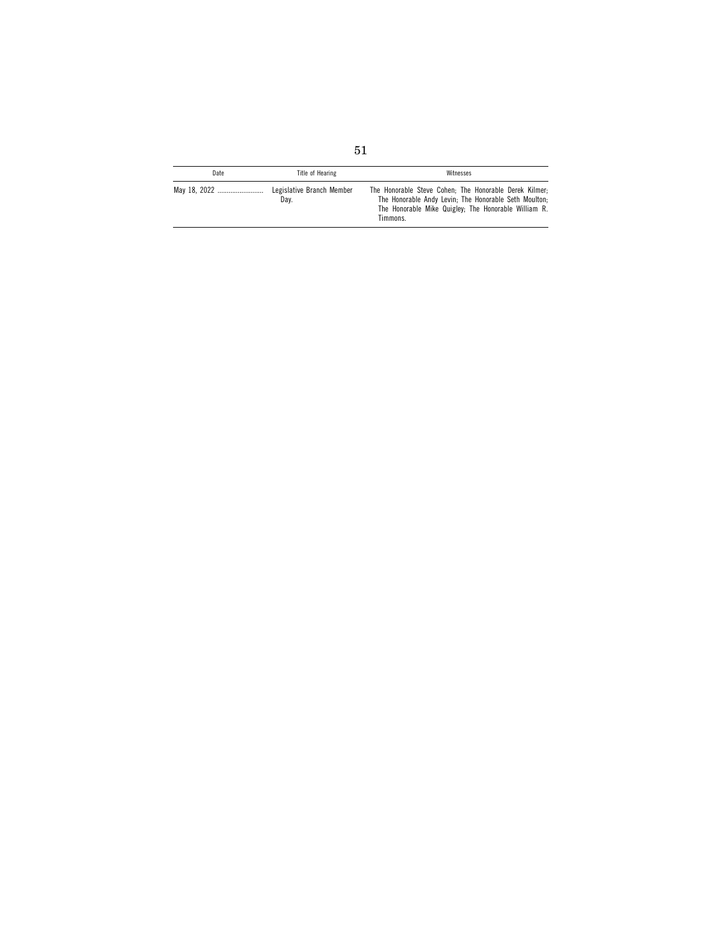| Date | Title of Hearing                  | Witnesses                                                                                                                                                                           |
|------|-----------------------------------|-------------------------------------------------------------------------------------------------------------------------------------------------------------------------------------|
|      | Legislative Branch Member<br>Dav. | The Honorable Steve Cohen: The Honorable Derek Kilmer:<br>The Honorable Andy Levin; The Honorable Seth Moulton;<br>The Honorable Mike Quigley; The Honorable William R.<br>Timmons. |

51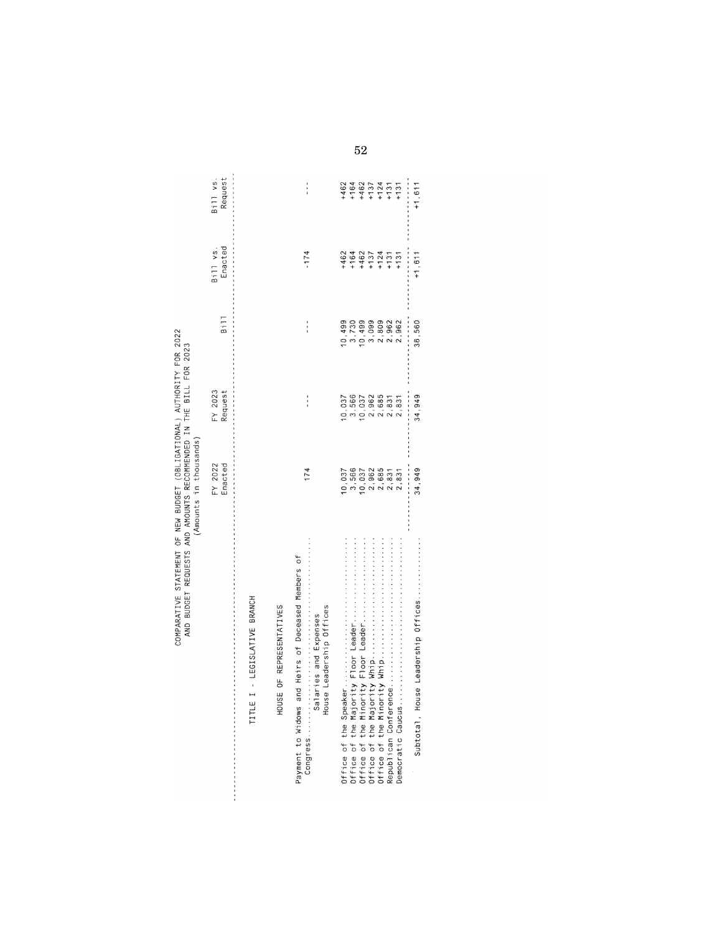| COMPARATIVE STATEMENT OF NEW BUDGET (OBLIGATIONAL) AUTHORITY FOR 2022 | AND BUDGET REQUESTS AND AMOUNTS RECOMMENDED IN THE BILL FOR 2023 | Amounts in thousands |
|-----------------------------------------------------------------------|------------------------------------------------------------------|----------------------|
|                                                                       |                                                                  |                      |
|                                                                       |                                                                  |                      |

| Payment to Widows and Heirs of Deceased Members of |
|----------------------------------------------------|
|                                                    |
|                                                    |
|                                                    |
|                                                    |
|                                                    |
|                                                    |
| 医马洛耳氏手术耳氏反射前后的 医白光的复数形式牙光性血管反射                     |

| $+1, 811$ | 34,949                                                                                                                                                                                                                                                                                              |
|-----------|-----------------------------------------------------------------------------------------------------------------------------------------------------------------------------------------------------------------------------------------------------------------------------------------------------|
|           |                                                                                                                                                                                                                                                                                                     |
|           | $\begin{array}{l} 0.37 \\ 0.060 \\ 0.070 \\ 0.000 \\ 0.000 \\ 0.000 \\ 0.000 \\ 0.000 \\ 0.000 \\ 0.000 \\ 0.000 \\ 0.000 \\ 0.000 \\ 0.000 \\ 0.000 \\ 0.000 \\ 0.000 \\ 0.000 \\ 0.000 \\ 0.000 \\ 0.000 \\ 0.000 \\ 0.000 \\ 0.000 \\ 0.000 \\ 0.000 \\ 0.000 \\ 0.000 \\ 0.000 \\ 0.000 \\ 0.0$ |
|           |                                                                                                                                                                                                                                                                                                     |
|           |                                                                                                                                                                                                                                                                                                     |
|           |                                                                                                                                                                                                                                                                                                     |
|           |                                                                                                                                                                                                                                                                                                     |
|           |                                                                                                                                                                                                                                                                                                     |

Subtotal, House Leadership Offices............

 $52\,$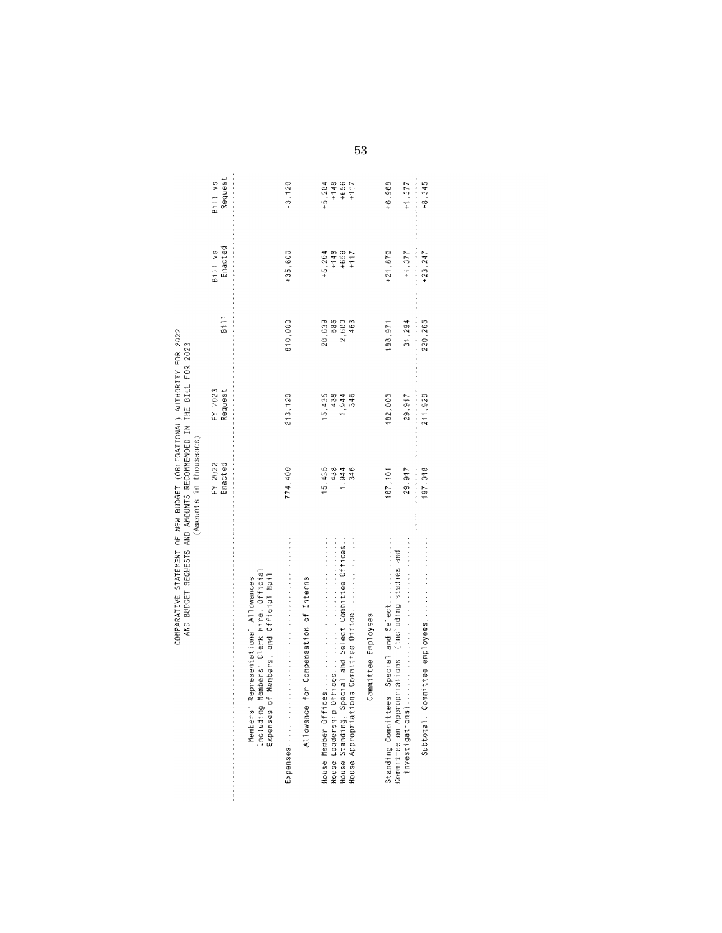| AND BUDGET REQUESTS AND AMOUNTS RECOMMENDED IN THE BILL FOR 2023                                                              | (Amounts in thousands) |                    |               |                     |                            |
|-------------------------------------------------------------------------------------------------------------------------------|------------------------|--------------------|---------------|---------------------|----------------------------|
|                                                                                                                               | FY 2022<br>Enacted     | FY 2023<br>Request | $\frac{1}{2}$ | Enacted<br>Bill vs. | Request<br>Bill vs         |
|                                                                                                                               |                        |                    |               |                     |                            |
| embers' Clerk Hire, Official<br>Expenses of Members, and Official Mail<br>Members' Representational Allowances<br>Including M |                        |                    |               |                     |                            |
| Expenses                                                                                                                      | 774,400                | 813,120            | 810,000       | $+35,600$           | $-3,120$                   |
| or Compensation of Interns<br>Allowance f                                                                                     |                        |                    |               |                     |                            |
|                                                                                                                               | 15,435                 | 15,435             | 20,639        | $+5,204$            | $+5,204$                   |
| House Leadership Offices.                                                                                                     | 438                    | 438<br>1,944       | 586<br>2,600  | $+148$<br>$+8$ 56   |                            |
| House Standing, Special and Select Committee Offices<br>House Appropriations Committee Office                                 | 1,944<br>346           | 346                | 463           | $+117$              | $+148$<br>$+656$<br>$+117$ |
| Committee Employees                                                                                                           |                        |                    |               |                     |                            |
| Standing Committees, Special and Select.                                                                                      | 167,101                | 182,003            | 188,971       | $+21,870$           | $+6,968$                   |
| (including studies and<br>Committee on Appropriations<br>investigations)                                                      | 29,917                 | 29,917             | 31,294        | $+1,377$            | $+1,377$                   |
|                                                                                                                               | 197,018                | 211.920            | 220,265       | $+23, 247$          | $+8,345$                   |

COMPARATIVE STATEMENT OF NEW BUDGET (OBLIGATIONAL) AUTHORITY FOR 2022

 ${\bf 53}$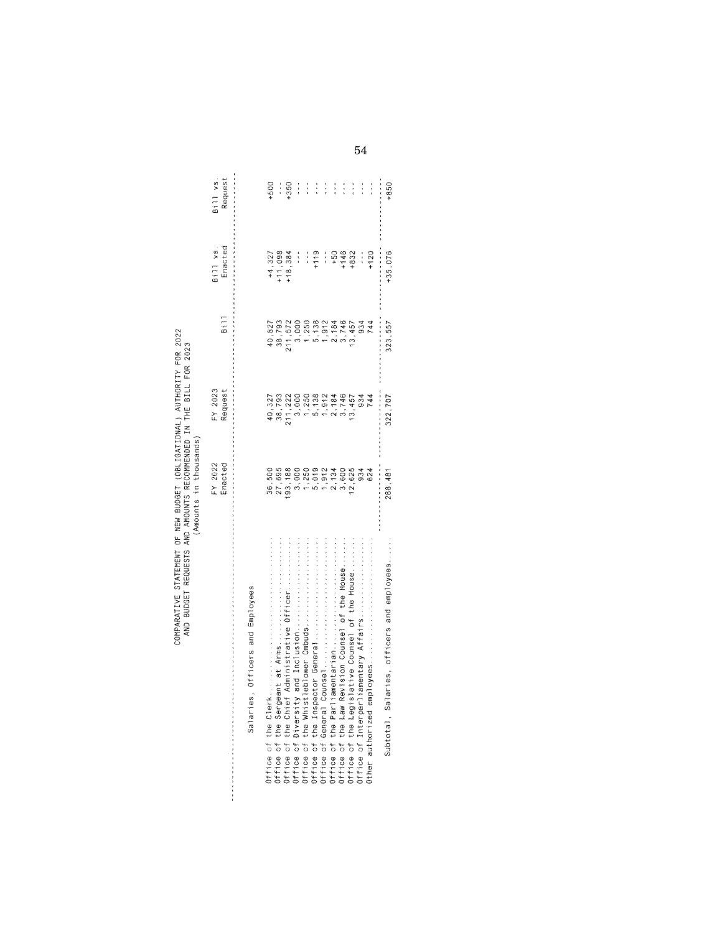# COMPARATIVE STATEMENT OF NEW BUDGET (OBLIGATIONAL) AUTHORITY FOR 2022<br>AND BUDGET REQUESTS AND AMOUNTS RECOMMENDED IN THE BILL FOR 2023<br>(Amounts in thousands)

|                                            | FY 2022<br>Enacted                                | FY 2023<br>Request                                                                                            | Bill       | Bill vs.<br>Enacted                             | Bill vs.<br>Request |
|--------------------------------------------|---------------------------------------------------|---------------------------------------------------------------------------------------------------------------|------------|-------------------------------------------------|---------------------|
| Officers and Employees<br>Salaries,        |                                                   |                                                                                                               |            |                                                 |                     |
|                                            |                                                   |                                                                                                               |            |                                                 |                     |
|                                            | 36,500                                            |                                                                                                               | 40.827     |                                                 | $+500$              |
|                                            | 27,695                                            | 40,327<br>38,793                                                                                              | 38,793     |                                                 | $\frac{1}{3}$       |
|                                            |                                                   |                                                                                                               |            | $+4,327$<br>$+11,098$<br>$+18,384$              | +350                |
|                                            |                                                   |                                                                                                               |            | $\begin{array}{c} x \\ x \\ y \\ z \end{array}$ | $\frac{1}{3}$       |
|                                            | 8000004008<br>100051008<br>500051000<br>500101010 | $211, 223$ $3, 000$ $3, 125$ $5, 138$ $6, 139$ $7, 139$ $8, 139$ $7, 139$ $7, 139$ $7, 139$ $7, 139$ $7, 139$ |            |                                                 | $\frac{1}{2}$       |
|                                            |                                                   |                                                                                                               |            | $+19$<br>$+19$<br>$+50$<br>$+140$<br>$+140$     | $\vdots$            |
|                                            |                                                   |                                                                                                               |            |                                                 | $\frac{1}{2}$       |
|                                            |                                                   |                                                                                                               |            |                                                 | $\frac{1}{3}$       |
|                                            |                                                   |                                                                                                               |            |                                                 | $\ddot{\ddot{i}}$   |
|                                            |                                                   |                                                                                                               |            |                                                 | $\frac{1}{2}$       |
|                                            | 934                                               |                                                                                                               | 934<br>744 | $\frac{1}{4}$                                   | $\frac{1}{4}$       |
| )ther authorized empl                      | 624                                               |                                                                                                               |            | $+120$                                          | Ì                   |
| Subtotal, Salaries, officers and employees | 288,481                                           | 322,707                                                                                                       | 323,557    | +35,076<br>,,,,,,                               | 计主义务<br>+850        |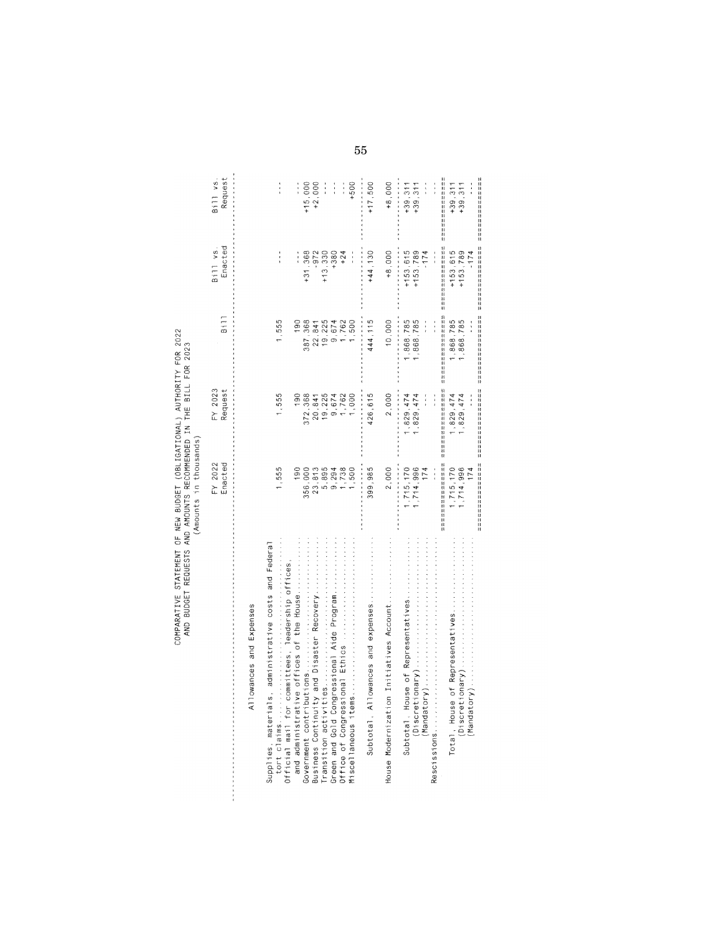# COMPARATIVE STATEMENT OF NEW BUDGET (OBLIGATIONAL) AUTHORITY FOR 2022<br>AND BUDGET REQUESTS AND AMOUNTS RECOMMENDED IN THE BILL FOR 2023<br>(Amounts in thousands)

|                                                                                                                                                  | FY 2022<br>Enacted                                                                 | FY 2023<br>Request                                                | <b>Bill</b>                                                       | Enacted<br>Bill vs                              | Request<br>Bill vs                                    |
|--------------------------------------------------------------------------------------------------------------------------------------------------|------------------------------------------------------------------------------------|-------------------------------------------------------------------|-------------------------------------------------------------------|-------------------------------------------------|-------------------------------------------------------|
| owances and Expenses<br>AT <sub>1</sub>                                                                                                          |                                                                                    |                                                                   |                                                                   |                                                 |                                                       |
| administrative costs and Federal<br>committees, leadership offices<br>Supplies, materials<br>tort claims                                         | 1,555                                                                              | 1,555                                                             | 1,555                                                             | $\frac{1}{x}$                                   | $\frac{1}{2}$                                         |
| Official mail for committees, leadership o<br>and administrative offices of the House.<br>Government contributions.<br>Business Continuity and I | $\frac{60}{2}$<br>356,000                                                          | 372,368<br>190                                                    | 387,368<br>$\frac{8}{10}$                                         | $+31,368$<br>$\frac{1}{2}$                      | 清雪鱼<br>$+15,000$                                      |
| and Disaster Recovery.<br>Transition activities<br>Green and Gold Congressional Aide Program.                                                    | 5,895<br>9,294<br>23,813                                                           | $\begin{array}{c} 19,225 \\ 9,674 \\ 1,762 \end{array}$<br>20,841 | $\begin{array}{c} 19,225 \\ 9,674 \\ 1,762 \end{array}$<br>22,841 | $-972$<br>$+13,330$<br>$+380$                   | $+2,000$<br>$\frac{1}{3}$                             |
| onal Ethics<br>Office of Congressi<br>Miscellaneous items                                                                                        | 1,738<br>1,500                                                                     | 1,000                                                             | 1,500                                                             | $+24$<br>$\frac{1}{x}$                          | $+500$<br>ļ                                           |
| owances and expenses<br>Subtotal, All                                                                                                            | 399,985                                                                            | 426,615                                                           | 444,115                                                           | $+44,130$                                       | +17,500                                               |
| Initiatives Account<br>House Modernization                                                                                                       | 2,000                                                                              | 2,000                                                             | 10,000                                                            | $+8,000$                                        | $+8,000$                                              |
| Subtotal, House of Representatives<br>$(D$ iscretionary)<br>Rescissions                                                                          | 1,715,170<br>,714,996<br>174                                                       | ,829,474<br>, 829, 474                                            | ,868,785<br>,868,785<br>$-1$                                      | $+153.789$<br>$+153, 615$<br>$-174$             | $+39,311$<br>$+39,311$                                |
| Total, House of Representatives<br>$(D)$ scretionary).<br>$(\text{Mandatory})$ .                                                                 | 计分析程序 经非法经济的 计程序 计数字数字 计数字数字 计数字符 计数字<br>林林环科纤科林林林<br>,714,996<br>1,715,170<br>174 | 我找我的好好找好好<br>, 829, 474<br>, 829, 474                             | 计打针打针针针针针杆杆针目针针针<br>计目标时时目标目标<br>.868.785<br>.868,785             | $+153,789$<br>计独裁性性结核线<br>$+153, 615$<br>$-174$ | 林月桂桂桂桂桂桂桂桂桂桂桂桂桂<br>化非特殊特性纤维<br>$+39.311$<br>$+39.311$ |

 ${\bf 55}$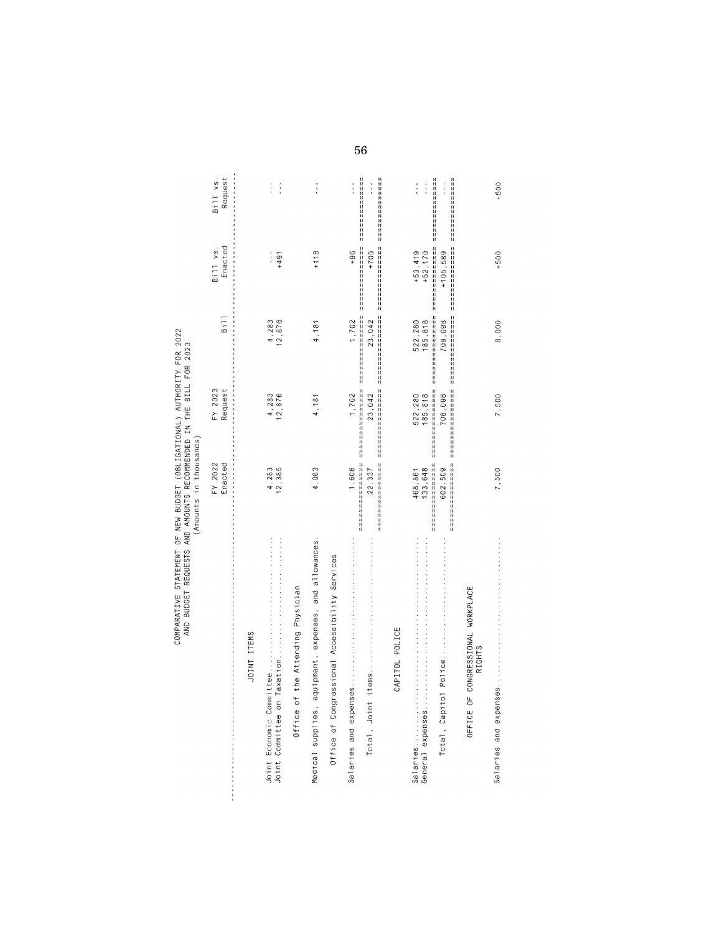|                                                                                                                                                                                                                                      | Enacted<br>FY 2022             | FY 2023<br>Request                              | B11                      | Enacted<br>Bill vs.             | Request<br>B111 vs.                 |
|--------------------------------------------------------------------------------------------------------------------------------------------------------------------------------------------------------------------------------------|--------------------------------|-------------------------------------------------|--------------------------|---------------------------------|-------------------------------------|
| JOINT ITEMS                                                                                                                                                                                                                          |                                |                                                 |                          |                                 |                                     |
|                                                                                                                                                                                                                                      | 4,283<br>12,385                | 4,283<br>12,876                                 | 4,283<br>12.876          | $\frac{1}{2}$<br>$+491$         | $\ddot{\dot{\ } }$<br>$\frac{1}{4}$ |
| the Attending Physician<br>Office of                                                                                                                                                                                                 |                                |                                                 |                          |                                 |                                     |
| equipment, expenses, and allowances<br>Medical supplies,                                                                                                                                                                             | 4,063                          | 4,181                                           | 4,181                    | $+118$                          | $\frac{1}{1}$                       |
| essional Accessibility Services<br>Office of Congr                                                                                                                                                                                   |                                |                                                 |                          |                                 |                                     |
| <b>Contract of the Contract of Contract of Contract of Contract of Contract of Contract On Contract On Contract On Contract On Contract On Contract On Contract On Contract On Contract On Contract On Contract On Contract On C</b> | 1,606                          | 1,702                                           | 1,702                    | $+96$                           | $\ddot{\phantom{a}}$                |
| Total, Joint                                                                                                                                                                                                                         | 化打扫过时扫扫扫扫打扫扫<br>22,337<br>科林村目 | 机球球球球球球球球球<br>23,042<br>精神科                     | 计计算过程转替替针针针目经径<br>23,042 | $+705$                          | 计数字数字 计数字数字数字 经计算计算计算经过程 经经济<br>多重复 |
| CAPITOL POLICE                                                                                                                                                                                                                       |                                | 机材材封技材材材材材材材料材料 有材料机材材材材材材材材材料材料 经经证证外付证件比较标准计价 |                          |                                 | 机材料材料料料料料料料料料料料                     |
| 女子名法的女子名的现在分词 的过去分词生的过去式和过去分词形式过去分词形式<br>Salaries<br>General expenses.                                                                                                                                                               | 133,648<br>468,861             | 522,280<br>185,818                              | 522,280<br>185,818       | $+53,419$<br>$+52,170$          | 计日本<br>生生生                          |
| Total Canting Dollar                                                                                                                                                                                                                 | 经经营经济经济 计数字数字 经经济<br>AN2 509   | 我打打打打打打打打打打打打打打<br>708 098                      | 打转计转移转转计计算<br>708 098    | 计标准程序计算机转换程序 计程序<br>$+105$ $50$ | 计对任科目计目行目目目目目目                      |

 $56\,$ 

| $\ddot{\ddot{\ }}$         |  |        |                                                                           | ota                                                                  |
|----------------------------|--|--------|---------------------------------------------------------------------------|----------------------------------------------------------------------|
|                            |  |        | The first wind and their state and all the state of the state of the con- |                                                                      |
| $\ddot{\ddot{\textbf{z}}}$ |  |        | t                                                                         | 一次的过去式和过去分词使使用过的过去式和过去分词使用的过去分词使用的过去分词使使用重要                          |
| ,,,,                       |  | י<br>ג |                                                                           | - マイト・ノイト・トイト・トイト・トイト・トイト・トラート クリト・アンティー イント・コース インド・コンド (の) (の) 【 て |

# OFFICE OF CONGRESSIONAL WORKPLACE<br>RIGHTS

| 500                                                                                                               |  |
|-------------------------------------------------------------------------------------------------------------------|--|
| $\frac{1}{2}$<br>ί                                                                                                |  |
| 000                                                                                                               |  |
| ,500<br>j                                                                                                         |  |
| 500<br>j                                                                                                          |  |
| 化开始的开始的 化四环化 化二环化二环化二环化二<br>.<br>.<br>.<br>.<br>anses<br>ļ<br>ξ<br>uid<br>Ö<br>青老<br>$\frac{8}{5}$<br>ś<br>Balari |  |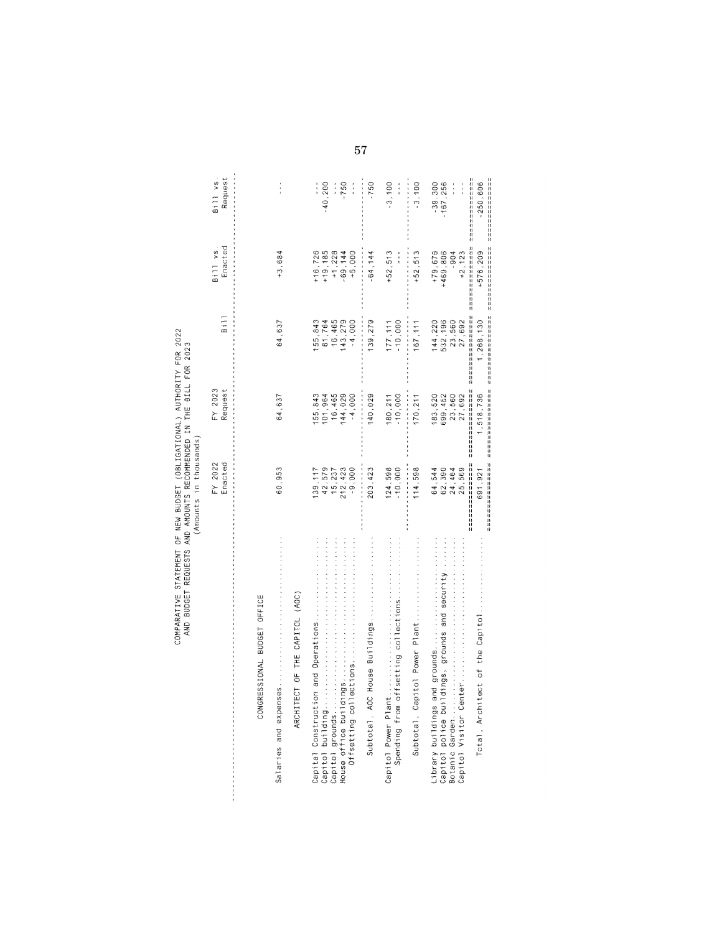| COMPARATIVE STATEMENT OF NEW BUDGET (OBLIGATIONAL) AUTHORITY FOR 2022 | AND BUDGET REQUESTS AND AMOUNTS RECOMMENDED IN THE BILL FOR 2023 | 计分类 计自动控制 医心包 医心包 医心包 医心包 医心包 医心包 医心包 医心包 医心包 |
|-----------------------------------------------------------------------|------------------------------------------------------------------|-----------------------------------------------|
|                                                                       |                                                                  |                                               |
|                                                                       |                                                                  |                                               |
|                                                                       |                                                                  |                                               |
|                                                                       |                                                                  |                                               |
|                                                                       |                                                                  |                                               |
|                                                                       |                                                                  |                                               |

| 202<br>はいん                                  |              |
|---------------------------------------------|--------------|
|                                             |              |
| THE BILL FOR                                |              |
|                                             |              |
|                                             |              |
| UDGET REQUESTS AND AMOUNTS RECOMMENDED IN 7 | in thousands |
|                                             | Amounts      |
|                                             |              |
|                                             |              |
|                                             |              |

| 经财经股份经股权股 计程序程序            | 我开样开作书打打打打打打打打打                                             |                             | 一日日 村村 计自身对待 经经营利用 计自动 | 计科技目标时目标目标时程序目标标                     |                                                |
|----------------------------|-------------------------------------------------------------|-----------------------------|------------------------|--------------------------------------|------------------------------------------------|
| $-250, 606$                | +576.209                                                    | 1,268,130                   | 1,518,736              | 691,921                              | Total, Architect of the Capitol                |
| 计程序程序程序程序<br>$\frac{1}{1}$ | 排样转移材料用料料<br>$+2, 123$                                      | (经线经)经线线线线线                 | 科林科林科林科林科<br>27,692    | 科科林林科科林<br>25,569<br>月桂桂             |                                                |
| $\frac{1}{2}$              | $-904$                                                      |                             | 23,560                 | 24,464                               |                                                |
| $-167,256$                 | +469,806                                                    | 532.196<br>23.560<br>27.692 | 699,452                | 62,390                               | Capitol police buildings, grounds and security |
| $-39,300$                  | +79,676                                                     | 144,220                     | 183,520                | 64,544                               | Library buildings and grounds.                 |
| $-3,100$                   | $+52,513$                                                   | 167, 111                    | 170,211                | 114,598                              | Subtotal, Capitol Power Plant.                 |
| 半半角                        |                                                             | $-10,000$                   | $-10,000$              | $-10,000$                            | Spending from offsetting collections.          |
| $-3,100$                   | $+52,513$                                                   | 177, 111                    | 180,211                | 124,598                              | Capitol Power Plant.                           |
| $-750$<br>多多条              | $-64, 144$                                                  | 139,279                     | 140,029                | 203,423                              | House Buildings.<br>Subtotal, AOC              |
| $\frac{5}{3}$              | $+5,000$                                                    | $-4,000$                    | $-4,000$               | $-9,000$                             | Offsetting collections                         |
| $-750$                     |                                                             | 143,279                     | 144,029                |                                      | House office buildings                         |
| ĵ                          |                                                             | 61,764<br>16,465            | 16,465                 |                                      | ヘッド・マング アンメンシートレーナル                            |
| $-40,200$                  | $+16,726$<br>$+19,185$<br>$+1,228$<br>$+1,228$<br>$+69,144$ |                             | 101,964                | $42, 579$<br>$15, 237$<br>$212, 423$ | Capitol building<br>Capitol grounds            |
| $\ddot{\hspace{0.1cm}}$    |                                                             | 155,843                     | 155,843                | 139,117                              | and Operations.<br>Capital Construction        |
|                            |                                                             |                             |                        |                                      | ARCHITECT OF THE CAPITOL (AOC)                 |
| $\frac{1}{3}$              | +3,684                                                      | 64,637                      | 64,637                 | 60,953                               | ø<br>Salaries and expense                      |
|                            |                                                             |                             |                        |                                      | CONGRESSIONAL BUDGET OFFICE                    |
|                            |                                                             |                             |                        |                                      |                                                |
| Request<br>Bill vs         | Enacted<br>Bill vs                                          | <b>B111</b>                 | FY 2023<br>Request     | FY 2022<br>Enacted                   | 法共济实际关系的                                       |
|                            |                                                             |                             |                        |                                      |                                                |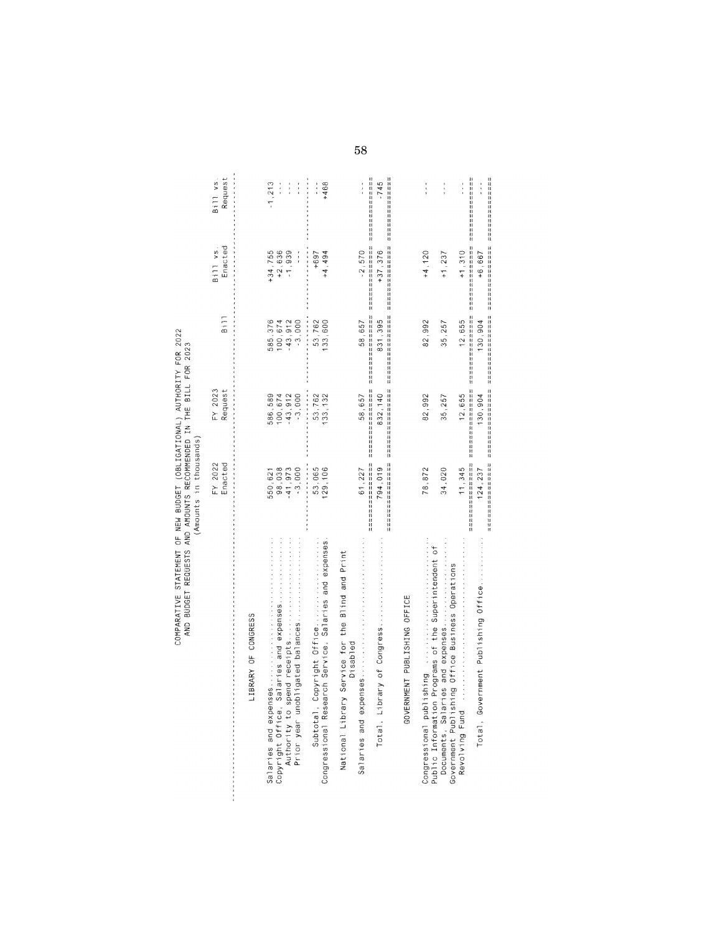# COMPARATIVE STATEMENT OF NEW BUDGET (OBLIGATIONAL) AUTHORITY FOR 2022<br>AND BUDGET REQUESTS AND AMOUNTS RECOMMENDED IN THE BILL FOR 2023<br>(Amounts in thousands)

| ׇ֦֧֚֡                 |       |
|-----------------------|-------|
|                       |       |
|                       |       |
|                       |       |
|                       |       |
|                       |       |
| $\vdots$              |       |
|                       |       |
|                       | ٠     |
| ï                     | Ø)    |
|                       |       |
| t                     |       |
|                       |       |
|                       | sand  |
|                       |       |
|                       |       |
|                       |       |
|                       |       |
|                       |       |
|                       |       |
|                       |       |
|                       |       |
| .<br>.<br>.<br>.<br>. | thou. |
|                       |       |
|                       |       |
|                       |       |
| $\ddot{\phantom{a}}$  |       |
|                       | Ħ     |
|                       |       |
|                       |       |
| r                     |       |
|                       |       |
| í,                    | ø     |
|                       |       |
| ;                     | ť     |
|                       |       |
|                       |       |
|                       |       |

|                                                                                                                                                          | Enacted<br>FY 2022                                | FY 2023<br>Request                            | $B + 1 + 1$                                  | Enacted<br>Bill vs                               | Request<br>Bill vs                                                 |
|----------------------------------------------------------------------------------------------------------------------------------------------------------|---------------------------------------------------|-----------------------------------------------|----------------------------------------------|--------------------------------------------------|--------------------------------------------------------------------|
| LIBRARY OF CONGRESS                                                                                                                                      |                                                   |                                               |                                              |                                                  |                                                                    |
| Salaries and expenses<br>Copyright Office, Salaries and expenses<br>Authority to spend receipts<br>Prior year unobligated balances                       | 98,038<br>41,973<br>$-3,000$<br>550,621           | $100,674$<br>$-43,912$<br>586,589<br>$-3,000$ | 585, 376<br>100, 674<br>-43, 912<br>$-3,000$ | +34,755<br>$+2,636$<br>$-1,939$<br>$\frac{1}{2}$ | $-1,213$<br>$\frac{1}{3}$<br>$\frac{1}{1}$<br>$\frac{1}{\epsilon}$ |
| Congressional Research Service, Salaries and expenses<br>Subtotal,                                                                                       | 53,065<br>129,106                                 | 133, 132<br>53,762                            | 53,762<br>133,600                            | $+4,494$<br>$+697$                               | $\ddot{\phantom{a}}$<br>$+468$<br>$\ddot{\cdot}$                   |
| Service for the Blind and Print<br>Salaries and expenses<br>Disabled<br>National Library                                                                 | 经非非补补补补耗补补补补<br>61,227                            | 计日日日经计日计日日日<br>58.657<br>目目目                  | 11月经济科技科技科技<br>58,657                        | 计转移 计自转线线<br>$-2,570$<br>目目目<br>計样               | 11 时 11 时 11 时 11 日 11 日 11<br>$\frac{1}{2}$<br>计扫扫                |
| ary of Congress<br>Total, Libr                                                                                                                           | 计技术技师技术技师技师技师技师<br>794,019                        | 一样样样 计程序程序 经经营经济经济<br>832,140                 | 计栈柱衬料柱柱环柱<br>831, 395<br>林林科科科               | 好好好好时日过好好<br>$+37,376$<br>转转转转排                  | 计目标目标计<br>$-745$<br>计计算线路                                          |
| GOVERNMENT PUBLISHING OFFICE                                                                                                                             |                                                   |                                               |                                              |                                                  |                                                                    |
| shing<br>Congressional publ                                                                                                                              | 78,872                                            | 82,992                                        | 82,992                                       | $+4,120$                                         | $\frac{1}{2}$                                                      |
| Programs of the Superintendent of<br>ing Office Business Operations<br>es and expenses<br>Public Information<br>Documents, Salari<br>Government Publishi | 34,020                                            | 35,257                                        | 35,257                                       | $+1,237$                                         | i                                                                  |
| Revolving Fund                                                                                                                                           | 经过分的过去式和过去分词<br>11,345<br>林耳科科                    | 计时标计时时标样机<br>12,655                           | 林林林林林林林林林林<br>12,655                         | 计非转移转移转移<br>$+1,310$<br>11                       | 机材料材料材料<br>$\ddot{\cdot}$                                          |
| Total, Government Publishing Office                                                                                                                      | 31.2000年10.2000年10.2000年10.2000年10月20日<br>124.237 | 30.904                                        | 计非非计算技计计算计计算机计算机 计打印计打印打印计程序<br>30.904       | 计目标目标目标 计自行时 计分析计<br>+6.667                      | 计转移时存储程序转移 计程序                                                     |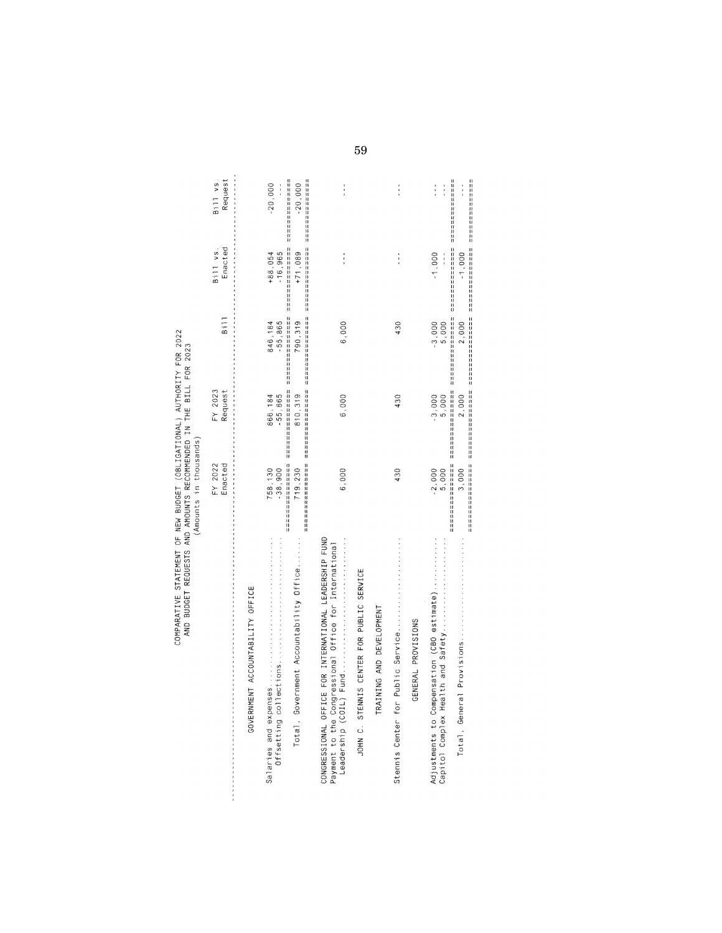# COMPARATIVE STATEMENT OF NEW BUDGET (OBLIGATIONAL) AUTHORITY FOR 2022<br>AND BUDGET REQUESTS AND ANOUNTS RECOMMENDED IN THE BILL FOR 2023

| Ś                   |                     |
|---------------------|---------------------|
| 1110                |                     |
| $\frac{1}{2}$       |                     |
| Ę                   |                     |
| <b>ALVURILISTED</b> | s<br>thousand<br>ç, |
| <b>Cinnain Mini</b> | Amounts             |
|                     |                     |
| )<br>7              |                     |

|                                                                                                                                            | FY 2022<br>Enacted                           | FY 2023<br>Request                                | <b>Bill</b>                        | Enacted<br>B111 vs.                                                       | Request<br>Bill vs                  |
|--------------------------------------------------------------------------------------------------------------------------------------------|----------------------------------------------|---------------------------------------------------|------------------------------------|---------------------------------------------------------------------------|-------------------------------------|
| GOVERNMENT ACCOUNTABILITY OFFICE                                                                                                           |                                              |                                                   |                                    |                                                                           |                                     |
| www.communication.com/www.communication/communication/communication/communication/communication/communication/<br>Offsetting col           | $-38,900$<br>758,130                         | 866.184<br>-55.865                                | -55,865<br>846,184                 | $+88,054$<br>-16,965                                                      | $-20,000$<br>$\frac{1}{3}$          |
| Total, Government Accountability Office                                                                                                    | 计转移时转移 计非非转移转移转移<br>13.打好时候时时时轻轻吵<br>719,230 | 科材林材料材料材料:<br>计机器计算计算机开关计算机算机<br>810.319<br>封柱斜衬柱 | 计打印时计打印时间打印打印时间打印<br>790.319       | 计划机转移 计数字数字数据 计程序程序程序程序程序程序<br>2010年11月12日12月12日12月12日11月12日<br>$+71.089$ | 计计算时计算机计算时<br>$-20,000$             |
| CONGRESSIONAL OFFICE FOR INTERNATIONAL LEADERSHIP FUND<br>Payment to the Congressional Office for International<br>Leadership (COIL) Fund. | 6,000                                        | 6,000                                             | 6,000                              | 医鼻毒                                                                       |                                     |
| JOHN C. STENNIS CENTER FOR PUBLIC SERVICE                                                                                                  |                                              |                                                   |                                    |                                                                           |                                     |
| TRAINING AND DEVELOPMENT                                                                                                                   |                                              |                                                   |                                    |                                                                           |                                     |
| Stennis Center for Public Service                                                                                                          | 430                                          | 430                                               | 430                                | $\frac{1}{2}$                                                             | $\frac{1}{1}$                       |
| GENERAL PROVISIONS                                                                                                                         |                                              |                                                   |                                    |                                                                           |                                     |
| Adjustments to Compensation (CBO estimate)                                                                                                 | 5,000<br>$-2,000$                            | $-3,000$<br>5,000                                 | $-3,000$<br>$5,000$                | $-1,000$<br>医复生                                                           | $\ddot{\dot{\ } }$<br>$\frac{1}{1}$ |
|                                                                                                                                            | 科科科科科科科科科科<br>3,000<br>11<br>     <br>       | 化羟林羟甘桂桂桂桂桂桂桂桂桂桂<br>2,000                          | 计算机 计数字<br>2,000<br>11<br>11<br>11 | 计过程程序 计程序程序 计程序程序<br>$-1,000$                                             | 计计计计算计计算计算计算线线<br>$\frac{1}{2}$     |

59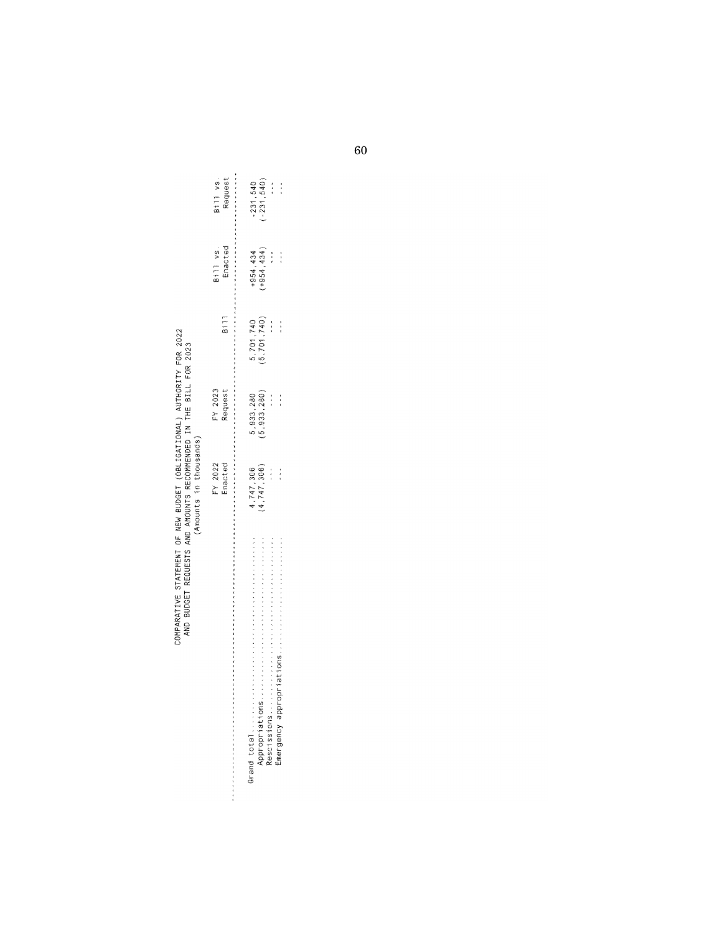# COMPARATIVE STATEMENT OF NEW BUDGET (OBLIGATIONAL) AUTHORITY FOR 2022<br>AND BUDGET REQUESTS AND AMOUNTS RECOMMENDED IN THE BILL FOR 2023<br>(Amounts in thousands)

| ************************                                   | FY 2022<br>Enacted | FY 2023<br>Request | $\frac{1}{10}$             | Enacted<br>Bill vs.  | Request<br>B111 vs. |
|------------------------------------------------------------|--------------------|--------------------|----------------------------|----------------------|---------------------|
|                                                            | 4,747,306          | 5.933.280          | 5.701.740                  | +954.434             | $-231,540$          |
|                                                            |                    |                    |                            |                      |                     |
| 化对硝基苯胺甲基苯胺甲基苯基苯胺甲基苯胺 医单位血管 的过去分词 医血管切除术<br>Appropriations. | 4,747,306          | (5, 933, 280       | (5,701,740)                | $+954, 434$          | $-231,540$          |
| 法动力分类的的变形的过去式和过去分词 医外交性神经切除术 医生物的血清的 医外<br>365C15S100S     | 计开关                | $\frac{1}{2}$      | $\ddot{\ddot{\textbf{a}}}$ | 计主片                  | 医皮质                 |
|                                                            | 青年半                | $\frac{1}{2}$      | 医复复                        | $\ddot{\phantom{a}}$ | ֓                   |